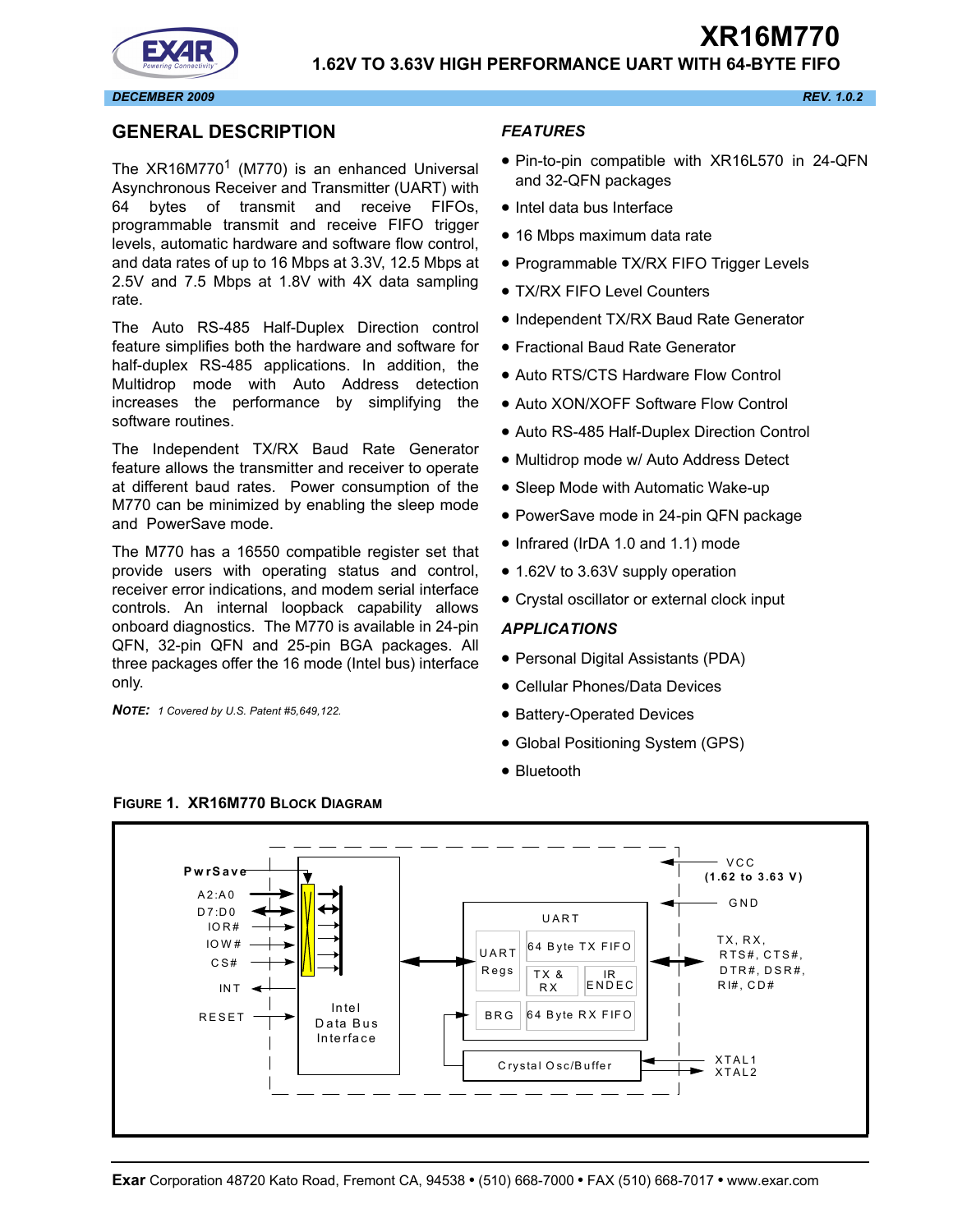



### <span id="page-0-1"></span>**GENERAL DESCRIPTION**

The  $XR16M770<sup>1</sup>$  (M770) is an enhanced Universal Asynchronous Receiver and Transmitter (UART) with 64 bytes of transmit and receive FIFOs, programmable transmit and receive FIFO trigger levels, automatic hardware and software flow control, and data rates of up to 16 Mbps at 3.3V, 12.5 Mbps at 2.5V and 7.5 Mbps at 1.8V with 4X data sampling rate.

The Auto RS-485 Half-Duplex Direction control feature simplifies both the hardware and software for half-duplex RS-485 applications. In addition, the Multidrop mode with Auto Address detection increases the performance by simplifying the software routines.

The Independent TX/RX Baud Rate Generator feature allows the transmitter and receiver to operate at different baud rates. Power consumption of the M770 can be minimized by enabling the sleep mode and PowerSave mode.

The M770 has a 16550 compatible register set that provide users with operating status and control, receiver error indications, and modem serial interface controls. An internal loopback capability allows onboard diagnostics. The M770 is available in 24-pin QFN, 32-pin QFN and 25-pin BGA packages. All three packages offer the 16 mode (Intel bus) interface only.

*NOTE: 1 Covered by U.S. Patent #5,649,122.*

### *FEATURES*

- Pin-to-pin compatible with XR16L570 in 24-QFN and 32-QFN packages
- Intel data bus Interface
- 16 Mbps maximum data rate
- Programmable TX/RX FIFO Trigger Levels
- TX/RX FIFO Level Counters
- Independent TX/RX Baud Rate Generator
- Fractional Baud Rate Generator
- Auto RTS/CTS Hardware Flow Control
- Auto XON/XOFF Software Flow Control
- Auto RS-485 Half-Duplex Direction Control
- Multidrop mode w/ Auto Address Detect
- Sleep Mode with Automatic Wake-up
- PowerSave mode in 24-pin QFN package
- Infrared (IrDA 1.0 and 1.1) mode
- 1.62V to 3.63V supply operation
- Crystal oscillator or external clock input

### *APPLICATIONS*

- Personal Digital Assistants (PDA)
- Cellular Phones/Data Devices
- Battery-Operated Devices
- Global Positioning System (GPS)
- Bluetooth



<span id="page-0-0"></span>**FIGURE 1. XR16M770 BLOCK DIAGRAM**

**XR16M770**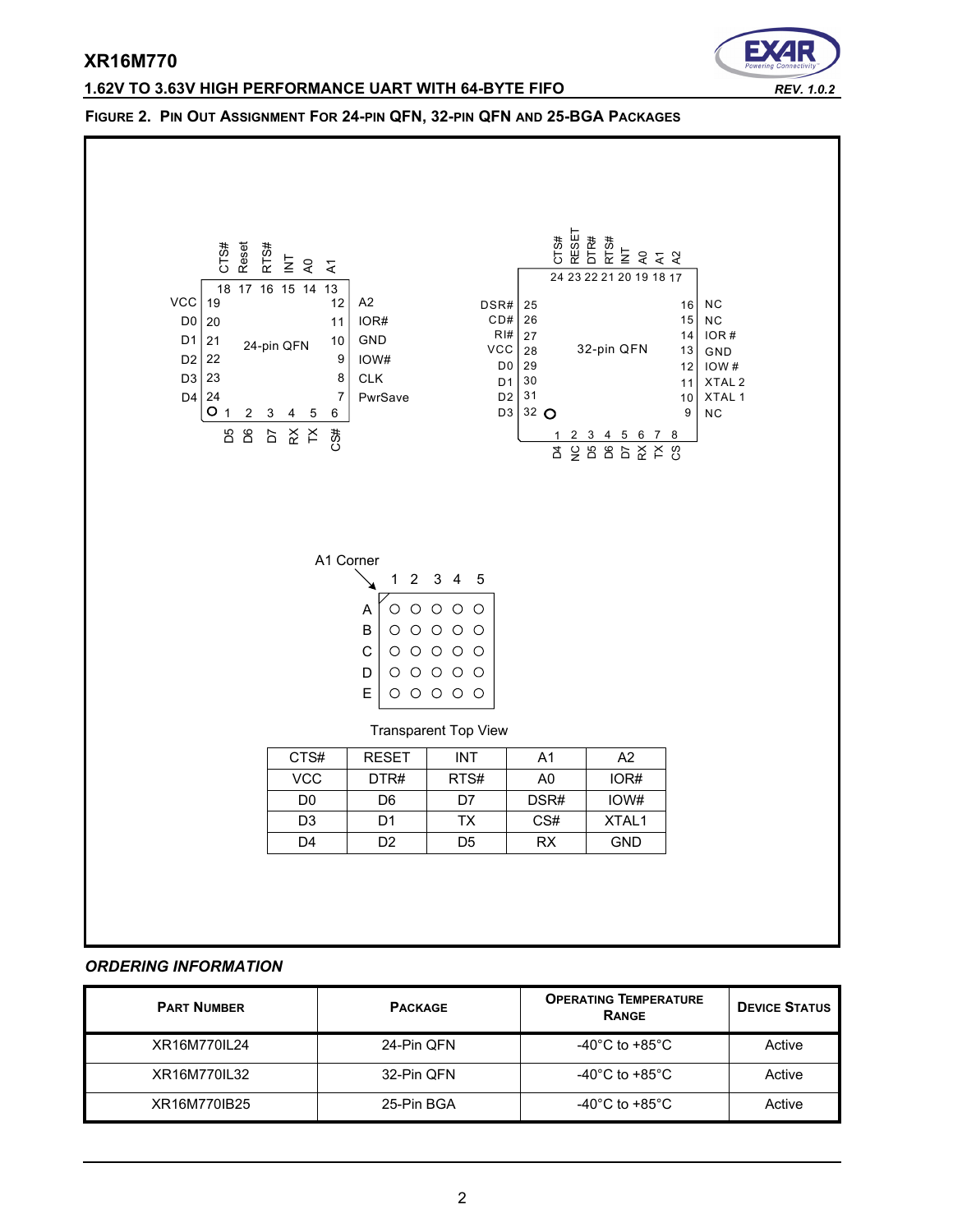# **1.62V TO 3.63V HIGH PERFORMANCE UART WITH 64-BYTE FIFO** *REV. 1.0.2*



### **FIGURE 2. PIN OUT ASSIGNMENT FOR 24-PIN QFN, 32-PIN QFN AND 25-BGA PACKAGES**

### *ORDERING INFORMATION*

| <b>PART NUMBER</b> | <b>PACKAGE</b> | <b>OPERATING TEMPERATURE</b><br>RANGE | <b>DEVICE STATUS</b> |
|--------------------|----------------|---------------------------------------|----------------------|
| XR16M770IL24       | 24-Pin QFN     | -40°C to +85°C                        | Active               |
| XR16M770IL32       | 32-Pin QFN     | -40 $^{\circ}$ C to +85 $^{\circ}$ C  | Active               |
| XR16M770IB25       | 25-Pin BGA     | -40°C to +85°C                        | Active               |

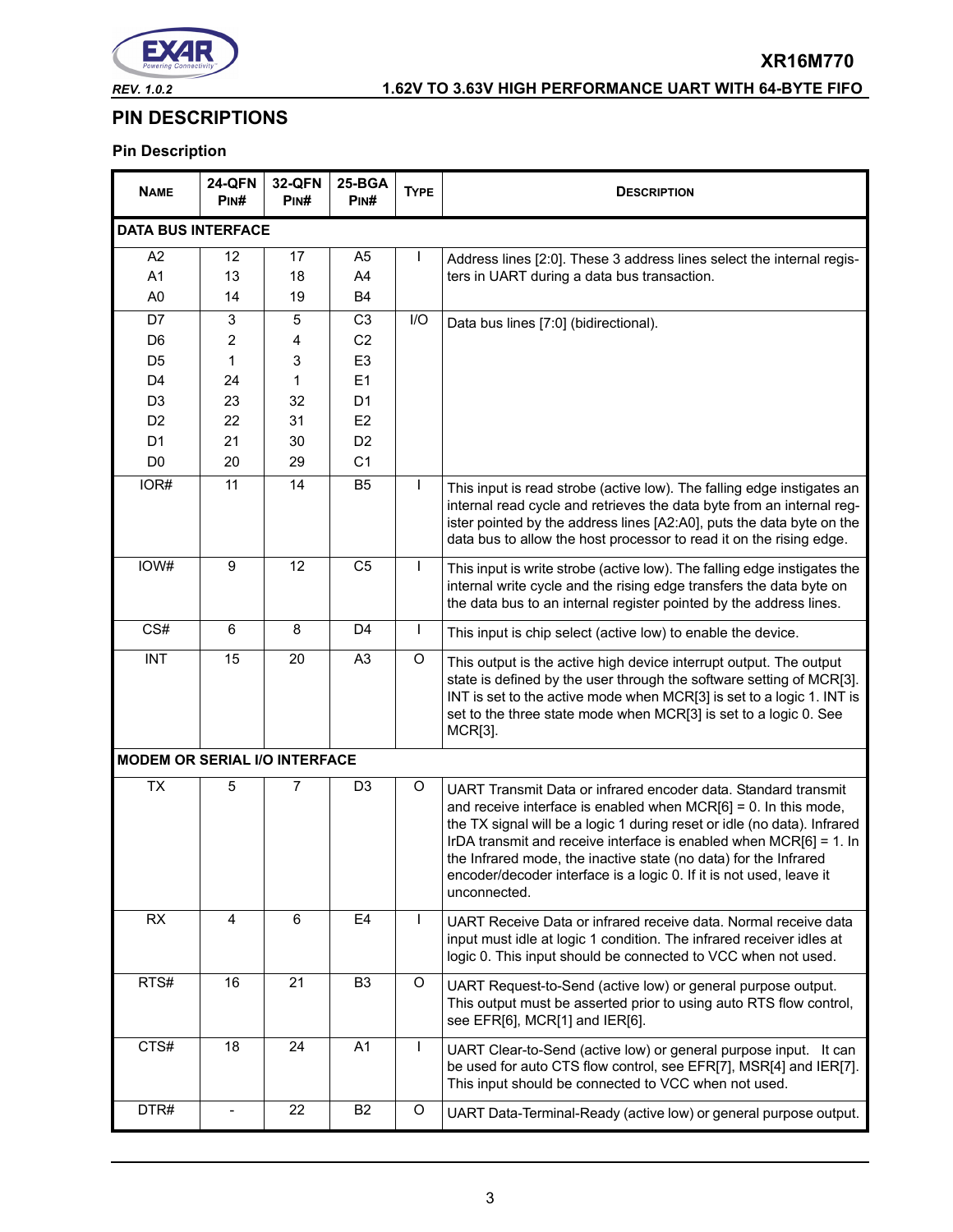

# *REV. 1.0.2* **1.62V TO 3.63V HIGH PERFORMANCE UART WITH 64-BYTE FIFO**

**XR16M770**

# **PIN DESCRIPTIONS**

# **Pin Description**

| <b>NAME</b>                          | <b>24-QFN</b><br>Pin# | <b>32-QFN</b><br>PIN# | 25-BGA<br>PINH | <b>TYPE</b>  | <b>DESCRIPTION</b>                                                                                                                                                                                                                                                                                                                                                                                                                                   |  |  |
|--------------------------------------|-----------------------|-----------------------|----------------|--------------|------------------------------------------------------------------------------------------------------------------------------------------------------------------------------------------------------------------------------------------------------------------------------------------------------------------------------------------------------------------------------------------------------------------------------------------------------|--|--|
| <b>DATA BUS INTERFACE</b>            |                       |                       |                |              |                                                                                                                                                                                                                                                                                                                                                                                                                                                      |  |  |
| A <sub>2</sub>                       | 12                    | 17                    | A <sub>5</sub> | I            | Address lines [2:0]. These 3 address lines select the internal regis-                                                                                                                                                                                                                                                                                                                                                                                |  |  |
| A1                                   | 13                    | 18                    | A4             |              | ters in UART during a data bus transaction.                                                                                                                                                                                                                                                                                                                                                                                                          |  |  |
| A <sub>0</sub>                       | 14                    | 19                    | <b>B4</b>      |              |                                                                                                                                                                                                                                                                                                                                                                                                                                                      |  |  |
| D7                                   | 3                     | 5                     | C <sub>3</sub> | I/O          | Data bus lines [7:0] (bidirectional).                                                                                                                                                                                                                                                                                                                                                                                                                |  |  |
| D <sub>6</sub>                       | 2                     | 4                     | C <sub>2</sub> |              |                                                                                                                                                                                                                                                                                                                                                                                                                                                      |  |  |
| D <sub>5</sub>                       | 1                     | 3                     | E <sub>3</sub> |              |                                                                                                                                                                                                                                                                                                                                                                                                                                                      |  |  |
| D <sub>4</sub>                       | 24                    | 1                     | E1             |              |                                                                                                                                                                                                                                                                                                                                                                                                                                                      |  |  |
| D <sub>3</sub>                       | 23                    | 32                    | D <sub>1</sub> |              |                                                                                                                                                                                                                                                                                                                                                                                                                                                      |  |  |
| D <sub>2</sub>                       | 22                    | 31                    | E <sub>2</sub> |              |                                                                                                                                                                                                                                                                                                                                                                                                                                                      |  |  |
| D <sub>1</sub>                       | 21                    | 30                    | D <sub>2</sub> |              |                                                                                                                                                                                                                                                                                                                                                                                                                                                      |  |  |
| D <sub>0</sub>                       | 20                    | 29                    | C <sub>1</sub> |              |                                                                                                                                                                                                                                                                                                                                                                                                                                                      |  |  |
| IOR#                                 | 11                    | 14                    | B <sub>5</sub> | $\mathbf{I}$ | This input is read strobe (active low). The falling edge instigates an<br>internal read cycle and retrieves the data byte from an internal reg-<br>ister pointed by the address lines [A2:A0], puts the data byte on the<br>data bus to allow the host processor to read it on the rising edge.                                                                                                                                                      |  |  |
| IOW#                                 | 9                     | 12                    | C <sub>5</sub> | $\mathsf{I}$ | This input is write strobe (active low). The falling edge instigates the<br>internal write cycle and the rising edge transfers the data byte on<br>the data bus to an internal register pointed by the address lines.                                                                                                                                                                                                                                |  |  |
| CS#                                  | 6                     | 8                     | D <sub>4</sub> | $\mathsf{I}$ | This input is chip select (active low) to enable the device.                                                                                                                                                                                                                                                                                                                                                                                         |  |  |
| <b>INT</b>                           | 15                    | 20                    | A <sub>3</sub> | O            | This output is the active high device interrupt output. The output<br>state is defined by the user through the software setting of MCR[3].<br>INT is set to the active mode when MCR[3] is set to a logic 1. INT is<br>set to the three state mode when MCR[3] is set to a logic 0. See<br>MCR[3].                                                                                                                                                   |  |  |
| <b>MODEM OR SERIAL I/O INTERFACE</b> |                       |                       |                |              |                                                                                                                                                                                                                                                                                                                                                                                                                                                      |  |  |
| <b>TX</b>                            | 5                     | $\overline{7}$        | D <sub>3</sub> | O            | UART Transmit Data or infrared encoder data. Standard transmit<br>and receive interface is enabled when $MCR[6] = 0$ . In this mode,<br>the TX signal will be a logic 1 during reset or idle (no data). Infrared<br>IrDA transmit and receive interface is enabled when $MCR[6] = 1$ . In<br>the Infrared mode, the inactive state (no data) for the Infrared<br>encoder/decoder interface is a logic 0. If it is not used, leave it<br>unconnected. |  |  |
| <b>RX</b>                            | 4                     | 6                     | E <sub>4</sub> | $\mathsf{I}$ | UART Receive Data or infrared receive data. Normal receive data<br>input must idle at logic 1 condition. The infrared receiver idles at<br>logic 0. This input should be connected to VCC when not used.                                                                                                                                                                                                                                             |  |  |
| RTS#                                 | 16                    | 21                    | B <sub>3</sub> | O            | UART Request-to-Send (active low) or general purpose output.<br>This output must be asserted prior to using auto RTS flow control,<br>see EFR[6], MCR[1] and IER[6].                                                                                                                                                                                                                                                                                 |  |  |
| CTS#                                 | 18                    | 24                    | A <sub>1</sub> | $\mathsf{I}$ | UART Clear-to-Send (active low) or general purpose input. It can<br>be used for auto CTS flow control, see EFR[7], MSR[4] and IER[7].<br>This input should be connected to VCC when not used.                                                                                                                                                                                                                                                        |  |  |
| DTR#                                 | $\qquad \qquad -$     | 22                    | B <sub>2</sub> | O            | UART Data-Terminal-Ready (active low) or general purpose output.                                                                                                                                                                                                                                                                                                                                                                                     |  |  |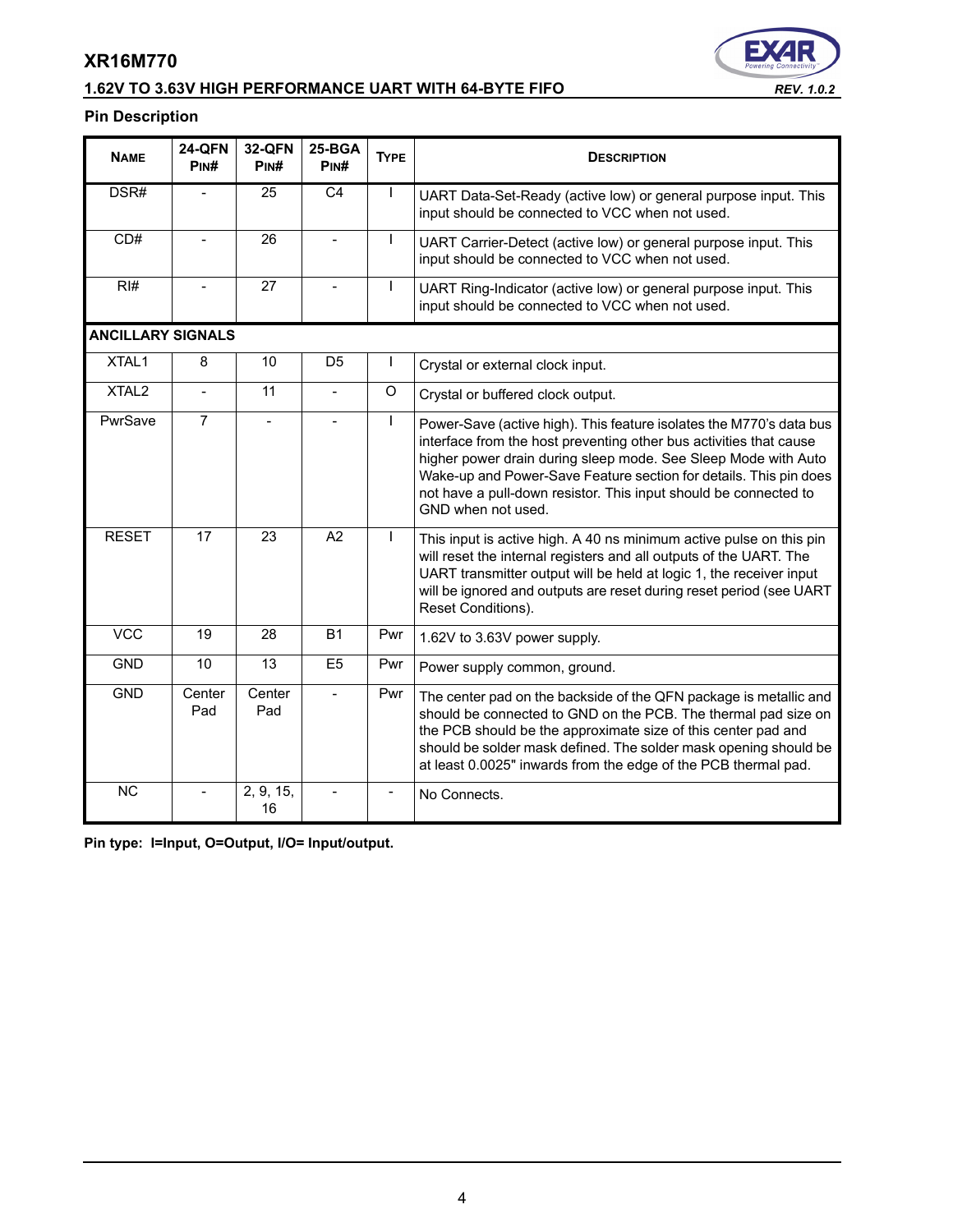# **1.62V TO 3.63V HIGH PERFORMANCE UART WITH 64-BYTE FIFO** *REV. 1.0.2*



# **Pin Description**

| <b>NAME</b>              | <b>24-QFN</b><br>PINH    | <b>32-QFN</b><br>PIN# | 25-BGA<br>P <sub>IN</sub> # | <b>TYPE</b>              | <b>DESCRIPTION</b>                                                                                                                                                                                                                                                                                                                                                         |
|--------------------------|--------------------------|-----------------------|-----------------------------|--------------------------|----------------------------------------------------------------------------------------------------------------------------------------------------------------------------------------------------------------------------------------------------------------------------------------------------------------------------------------------------------------------------|
| DSR#                     |                          | 25                    | $\overline{C4}$             |                          | UART Data-Set-Ready (active low) or general purpose input. This<br>input should be connected to VCC when not used.                                                                                                                                                                                                                                                         |
| CD#                      |                          | 26                    |                             |                          | UART Carrier-Detect (active low) or general purpose input. This<br>input should be connected to VCC when not used.                                                                                                                                                                                                                                                         |
| RH#                      |                          | 27                    |                             | $\mathsf{I}$             | UART Ring-Indicator (active low) or general purpose input. This<br>input should be connected to VCC when not used.                                                                                                                                                                                                                                                         |
| <b>ANCILLARY SIGNALS</b> |                          |                       |                             |                          |                                                                                                                                                                                                                                                                                                                                                                            |
| XTAL1                    | 8                        | 10                    | D <sub>5</sub>              | $\mathbf{I}$             | Crystal or external clock input.                                                                                                                                                                                                                                                                                                                                           |
| XTAL <sub>2</sub>        | $\overline{a}$           | 11                    |                             | $\Omega$                 | Crystal or buffered clock output.                                                                                                                                                                                                                                                                                                                                          |
| PwrSave                  | $\overline{7}$           |                       |                             |                          | Power-Save (active high). This feature isolates the M770's data bus<br>interface from the host preventing other bus activities that cause<br>higher power drain during sleep mode. See Sleep Mode with Auto<br>Wake-up and Power-Save Feature section for details. This pin does<br>not have a pull-down resistor. This input should be connected to<br>GND when not used. |
| <b>RESET</b>             | 17                       | 23                    | A2                          | $\mathbf{I}$             | This input is active high. A 40 ns minimum active pulse on this pin<br>will reset the internal registers and all outputs of the UART. The<br>UART transmitter output will be held at logic 1, the receiver input<br>will be ignored and outputs are reset during reset period (see UART<br>Reset Conditions).                                                              |
| <b>VCC</b>               | 19                       | 28                    | <b>B1</b>                   | Pwr                      | 1.62V to 3.63V power supply.                                                                                                                                                                                                                                                                                                                                               |
| <b>GND</b>               | 10                       | 13                    | E <sub>5</sub>              | Pwr                      | Power supply common, ground.                                                                                                                                                                                                                                                                                                                                               |
| <b>GND</b>               | Center<br>Pad            | Center<br>Pad         |                             | Pwr                      | The center pad on the backside of the QFN package is metallic and<br>should be connected to GND on the PCB. The thermal pad size on<br>the PCB should be the approximate size of this center pad and<br>should be solder mask defined. The solder mask opening should be<br>at least 0.0025" inwards from the edge of the PCB thermal pad.                                 |
| <b>NC</b>                | $\overline{\phantom{a}}$ | 2, 9, 15,<br>16       |                             | $\overline{\phantom{a}}$ | No Connects.                                                                                                                                                                                                                                                                                                                                                               |

**Pin type: I=Input, O=Output, I/O= Input/output.**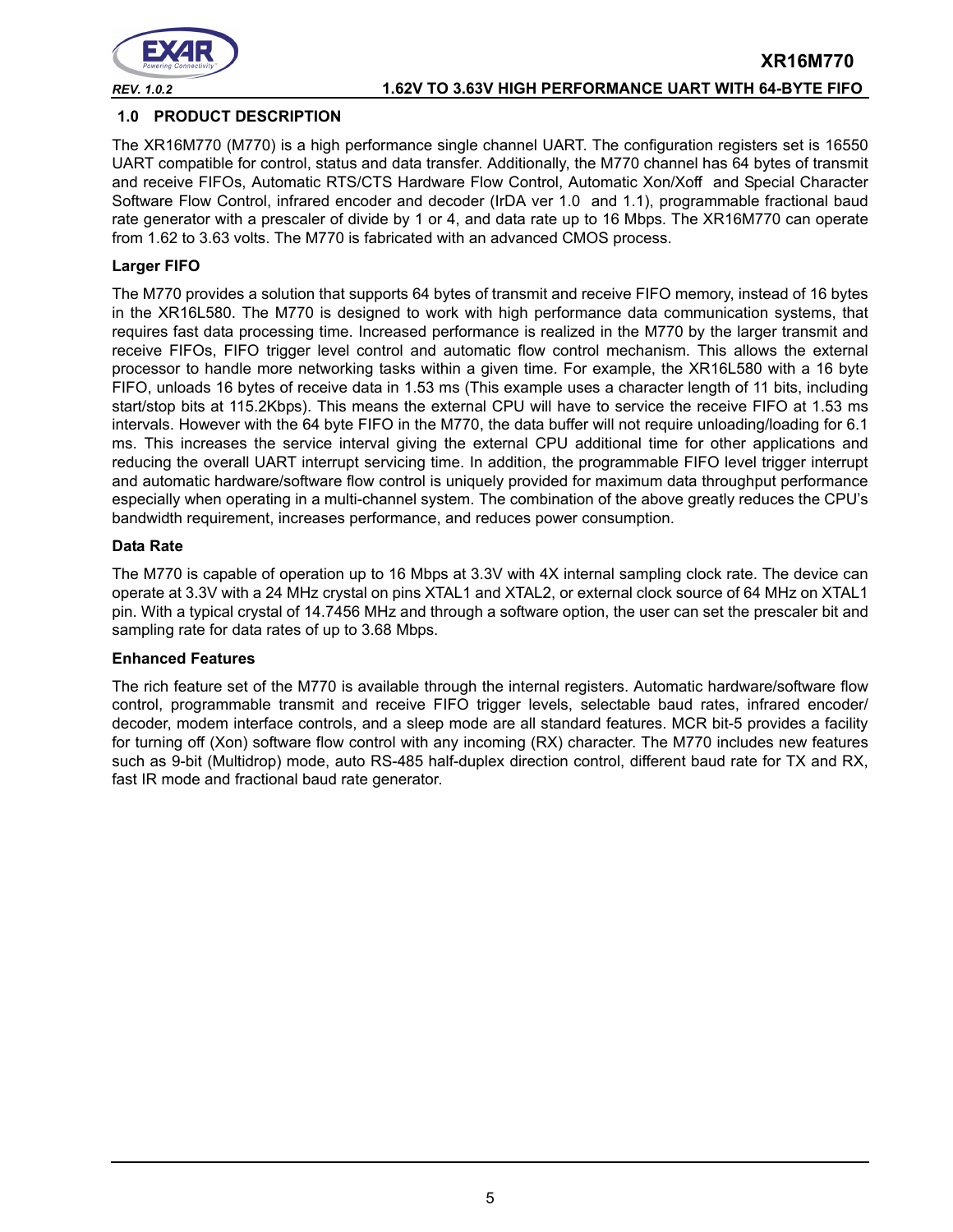

### **1.0 PRODUCT DESCRIPTION**

The XR16M770 (M770) is a high performance single channel UART. The configuration registers set is 16550 UART compatible for control, status and data transfer. Additionally, the M770 channel has 64 bytes of transmit and receive FIFOs, Automatic RTS/CTS Hardware Flow Control, Automatic Xon/Xoff and Special Character Software Flow Control, infrared encoder and decoder (IrDA ver 1.0 and 1.1), programmable fractional baud rate generator with a prescaler of divide by 1 or 4, and data rate up to 16 Mbps. The XR16M770 can operate from 1.62 to 3.63 volts. The M770 is fabricated with an advanced CMOS process.

### **Larger FIFO**

The M770 provides a solution that supports 64 bytes of transmit and receive FIFO memory, instead of 16 bytes in the XR16L580. The M770 is designed to work with high performance data communication systems, that requires fast data processing time. Increased performance is realized in the M770 by the larger transmit and receive FIFOs, FIFO trigger level control and automatic flow control mechanism. This allows the external processor to handle more networking tasks within a given time. For example, the XR16L580 with a 16 byte FIFO, unloads 16 bytes of receive data in 1.53 ms (This example uses a character length of 11 bits, including start/stop bits at 115.2Kbps). This means the external CPU will have to service the receive FIFO at 1.53 ms intervals. However with the 64 byte FIFO in the M770, the data buffer will not require unloading/loading for 6.1 ms. This increases the service interval giving the external CPU additional time for other applications and reducing the overall UART interrupt servicing time. In addition, the programmable FIFO level trigger interrupt and automatic hardware/software flow control is uniquely provided for maximum data throughput performance especially when operating in a multi-channel system. The combination of the above greatly reduces the CPU's bandwidth requirement, increases performance, and reduces power consumption.

### **Data Rate**

The M770 is capable of operation up to 16 Mbps at 3.3V with 4X internal sampling clock rate. The device can operate at 3.3V with a 24 MHz crystal on pins XTAL1 and XTAL2, or external clock source of 64 MHz on XTAL1 pin. With a typical crystal of 14.7456 MHz and through a software option, the user can set the prescaler bit and sampling rate for data rates of up to 3.68 Mbps.

### **Enhanced Features**

The rich feature set of the M770 is available through the internal registers. Automatic hardware/software flow control, programmable transmit and receive FIFO trigger levels, selectable baud rates, infrared encoder/ decoder, modem interface controls, and a sleep mode are all standard features. MCR bit-5 provides a facility for turning off (Xon) software flow control with any incoming (RX) character. The M770 includes new features such as 9-bit (Multidrop) mode, auto RS-485 half-duplex direction control, different baud rate for TX and RX, fast IR mode and fractional baud rate generator.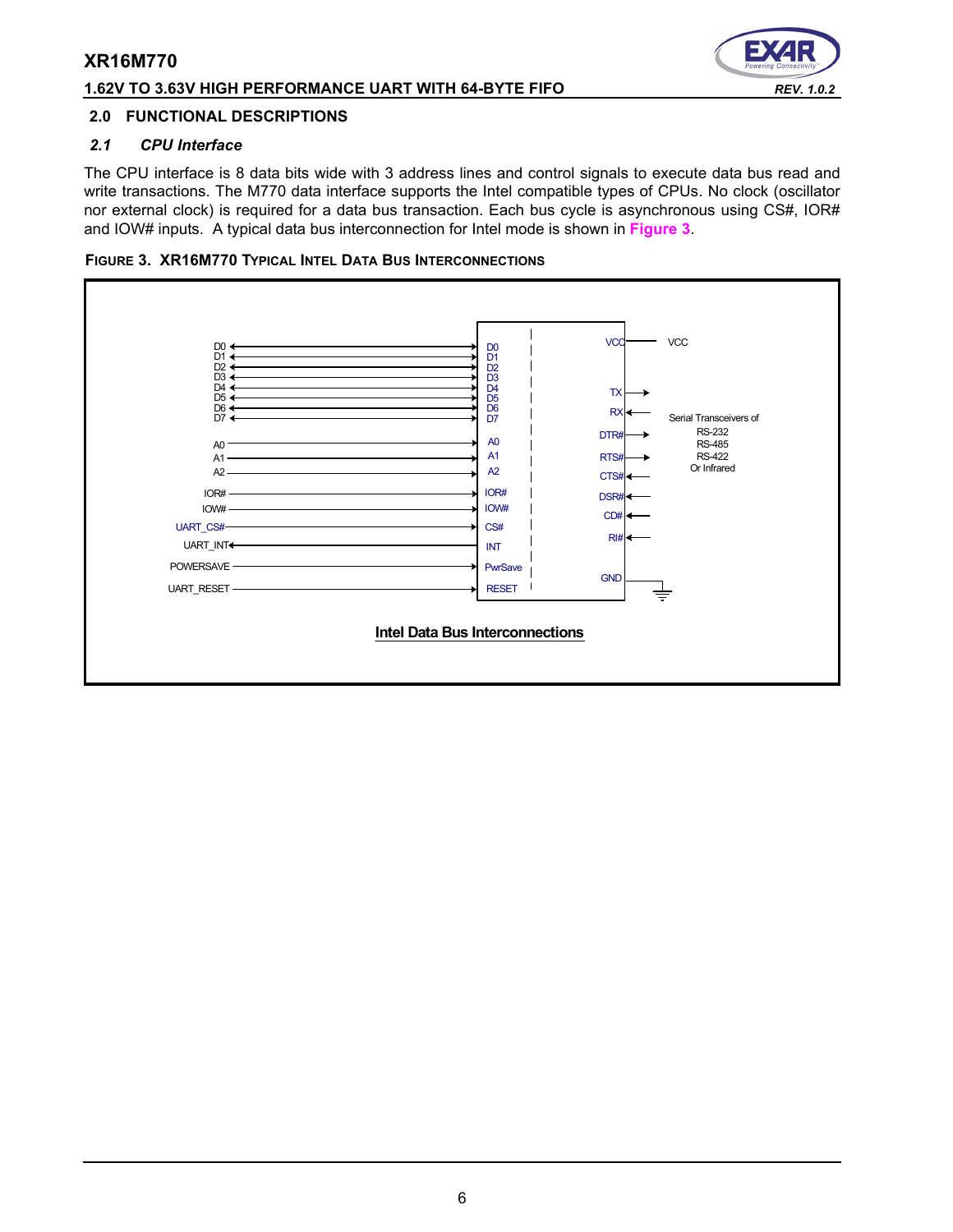### **1.62V TO 3.63V HIGH PERFORMANCE UART WITH 64-BYTE FIFO** *REV. 1.0.2*

# Э

### **2.0 FUNCTIONAL DESCRIPTIONS**

### *2.1 CPU Interface*

The CPU interface is 8 data bits wide with 3 address lines and control signals to execute data bus read and write transactions. The M770 data interface supports the Intel compatible types of CPUs. No clock (oscillator nor external clock) is required for a data bus transaction. Each bus cycle is asynchronous using CS#, IOR# and IOW# inputs. A typical data bus interconnection for Intel mode is shown in **[Figure](#page-5-0) 3**.

<span id="page-5-0"></span>

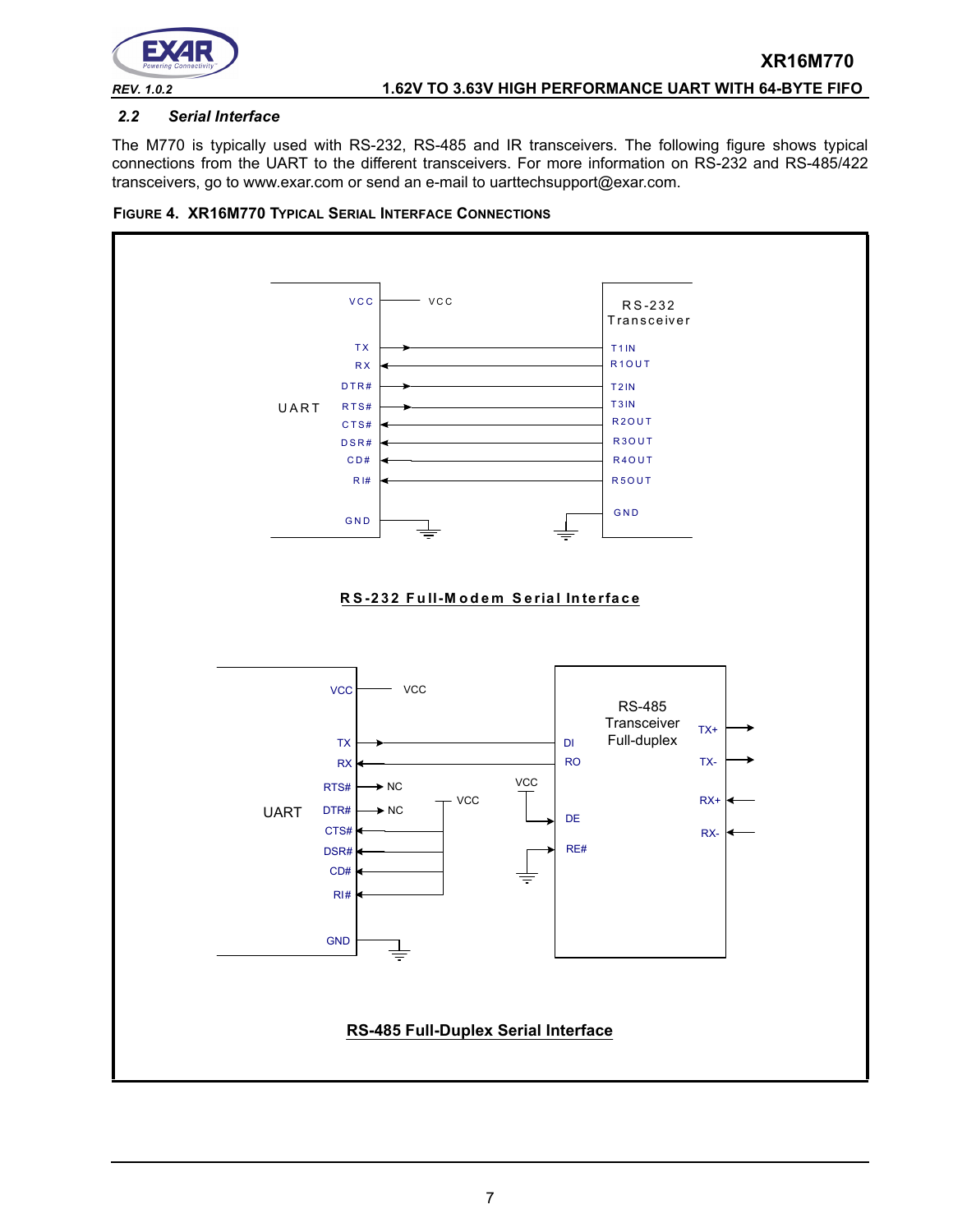

### *2.2 Serial Interface*

The M770 is typically used with RS-232, RS-485 and IR transceivers. The following figure shows typical connections from the UART to the different transceivers. For more information on RS-232 and RS-485/422 transceivers, go to www.exar.com or send an e-mail to uarttechsupport@exar.com.



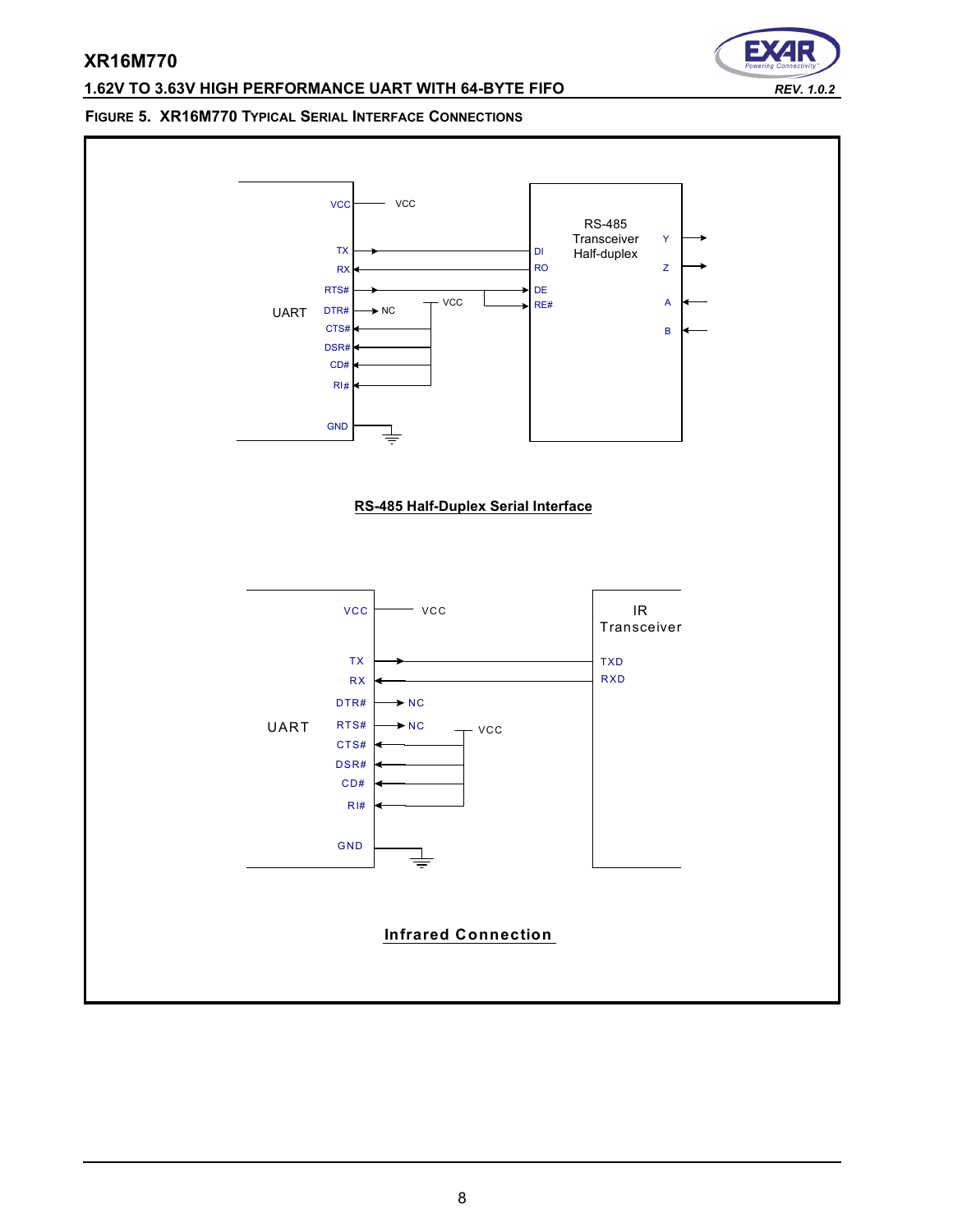# **1.62V TO 3.63V HIGH PERFORMANCE UART WITH 64-BYTE FIFO** *REV. 1.0.2*

Е

### **FIGURE 5. XR16M770 TYPICAL SERIAL INTERFACE CONNECTIONS**

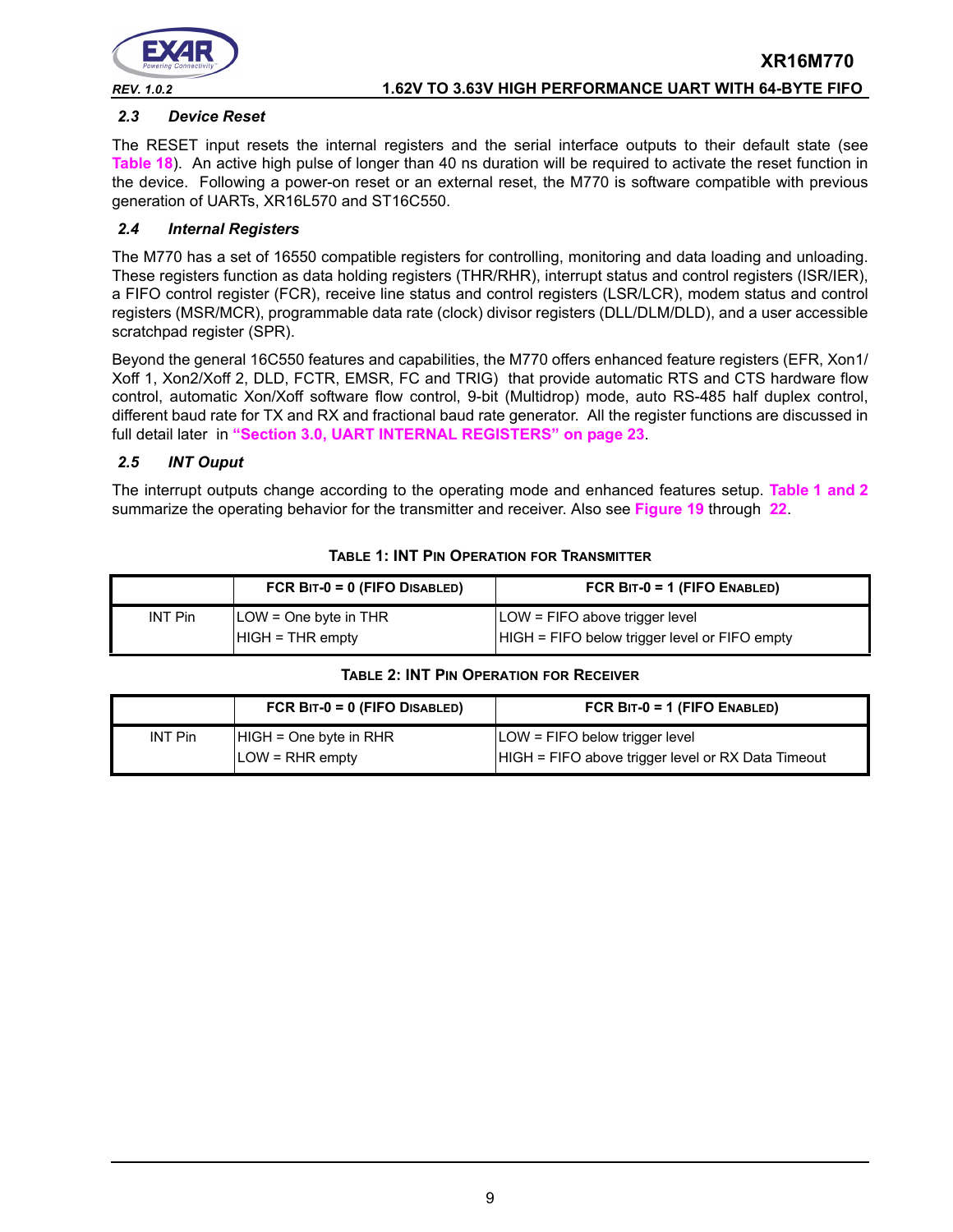

# **XR16M770** *REV. 1.0.2* **1.62V TO 3.63V HIGH PERFORMANCE UART WITH 64-BYTE FIFO**

# *2.3 Device Reset*

The RESET input resets the internal registers and the serial interface outputs to their default state (see **[Table](#page-41-0) 18**). An active high pulse of longer than 40 ns duration will be required to activate the reset function in the device. Following a power-on reset or an external reset, the M770 is software compatible with previous generation of UARTs, XR16L570 and ST16C550.

### *2.4 Internal Registers*

The M770 has a set of 16550 compatible registers for controlling, monitoring and data loading and unloading. These registers function as data holding registers (THR/RHR), interrupt status and control registers (ISR/IER), a FIFO control register (FCR), receive line status and control registers (LSR/LCR), modem status and control registers (MSR/MCR), programmable data rate (clock) divisor registers (DLL/DLM/DLD), and a user accessible scratchpad register (SPR).

Beyond the general 16C550 features and capabilities, the M770 offers enhanced feature registers (EFR, Xon1/ Xoff 1, Xon2/Xoff 2, DLD, FCTR, EMSR, FC and TRIG) that provide automatic RTS and CTS hardware flow control, automatic Xon/Xoff software flow control, 9-bit (Multidrop) mode, auto RS-485 half duplex control, different baud rate for TX and RX and fractional baud rate generator. All the register functions are discussed in full detail later in **["Section 3.0, UART INTERNAL REGISTERS" on page](#page-22-0) 23**.

### *2.5 INT Ouput*

The interrupt outputs change according to the operating mode and enhanced features setup. **[Table](#page-8-0) 1 [and](#page-8-1) 2** summarize the operating behavior for the transmitter and receiver. Also see **[Figure](#page-46-0) 19** through **[22](#page-47-0)**.

<span id="page-8-0"></span>

|                | FCR $BIT-0 = 0$ (FIFO DISABLED)                      | FCR $BIT-0 = 1$ (FIFO ENABLED)                                                  |
|----------------|------------------------------------------------------|---------------------------------------------------------------------------------|
| <b>INT Pin</b> | $\angle$ LOW = One byte in THR<br>$HIGH = THR$ empty | LOW = FIFO above trigger level<br>HIGH = FIFO below trigger level or FIFO empty |

### **TABLE 1: INT PIN OPERATION FOR TRANSMITTER**

### **TABLE 2: INT PIN OPERATION FOR RECEIVER**

<span id="page-8-1"></span>

|                | FCR $BIT-0 = 0$ (FIFO DISABLED) | FCR $BIT-0 = 1$ (FIFO ENABLED)                     |
|----------------|---------------------------------|----------------------------------------------------|
| <b>INT Pin</b> | $HIGH = One byte in RHR$        | LOW = FIFO below trigger level                     |
|                | $LOW = RHR$ empty               | HIGH = FIFO above trigger level or RX Data Timeout |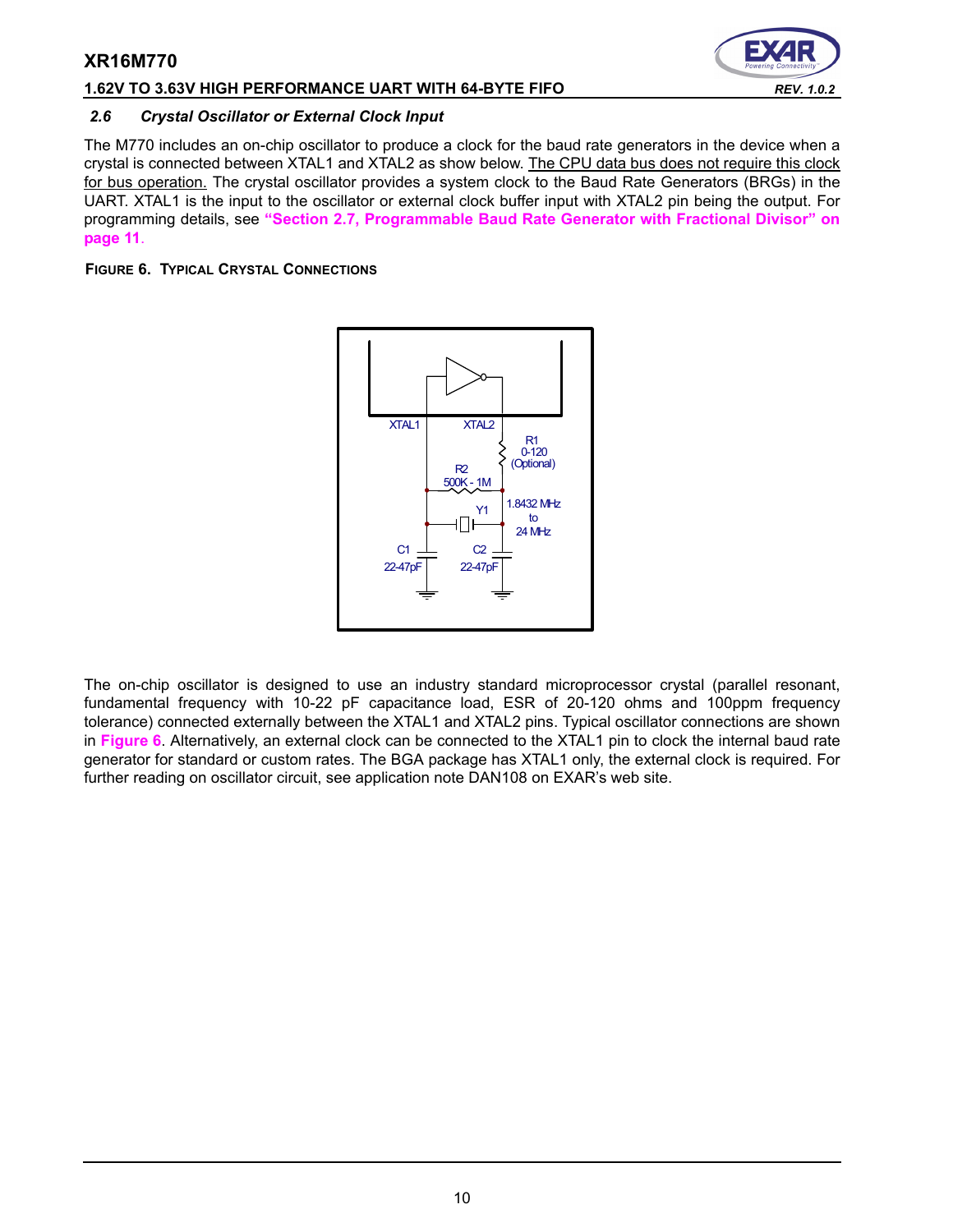### **1.62V TO 3.63V HIGH PERFORMANCE UART WITH 64-BYTE FIFO** *REV. 1.0.2*

### *2.6 Crystal Oscillator or External Clock Input*

The M770 includes an on-chip oscillator to produce a clock for the baud rate generators in the device when a crystal is connected between XTAL1 and XTAL2 as show below. The CPU data bus does not require this clock for bus operation. The crystal oscillator provides a system clock to the Baud Rate Generators (BRGs) in the UART. XTAL1 is the input to the oscillator or external clock buffer input with XTAL2 pin being the output. For programming details, see **["Section 2.7, Programmable Baud Rate Generator with Fractional Divisor" on](#page-10-0)  [page](#page-10-0) 11**.

### <span id="page-9-0"></span>**FIGURE 6. TYPICAL CRYSTAL CONNECTIONS**



The on-chip oscillator is designed to use an industry standard microprocessor crystal (parallel resonant, fundamental frequency with 10-22 pF capacitance load, ESR of 20-120 ohms and 100ppm frequency tolerance) connected externally between the XTAL1 and XTAL2 pins. Typical oscillator connections are shown in **[Figure](#page-9-0) 6**. Alternatively, an external clock can be connected to the XTAL1 pin to clock the internal baud rate generator for standard or custom rates. The BGA package has XTAL1 only, the external clock is required. For further reading on oscillator circuit, see application note DAN108 on EXAR's web site.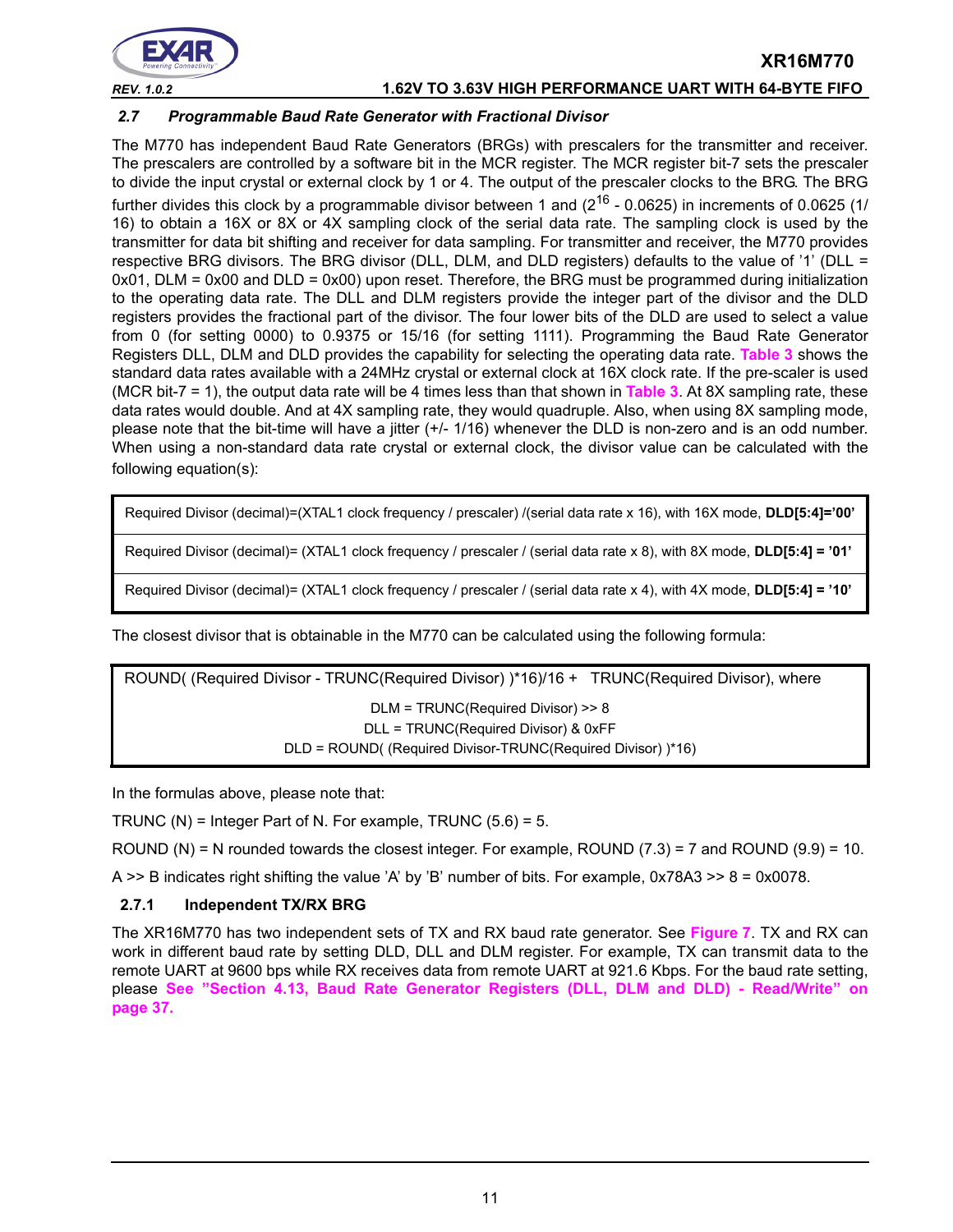

*REV. 1.0.2* **1.62V TO 3.63V HIGH PERFORMANCE UART WITH 64-BYTE FIFO**

### <span id="page-10-0"></span>*2.7 Programmable Baud Rate Generator with Fractional Divisor*

The M770 has independent Baud Rate Generators (BRGs) with prescalers for the transmitter and receiver. The prescalers are controlled by a software bit in the MCR register. The MCR register bit-7 sets the prescaler to divide the input crystal or external clock by 1 or 4. The output of the prescaler clocks to the BRG. The BRG further divides this clock by a programmable divisor between 1 and  $(2^{16} - 0.0625)$  in increments of 0.0625 (1/ 16) to obtain a 16X or 8X or 4X sampling clock of the serial data rate. The sampling clock is used by the transmitter for data bit shifting and receiver for data sampling. For transmitter and receiver, the M770 provides respective BRG divisors. The BRG divisor (DLL, DLM, and DLD registers) defaults to the value of '1' (DLL =  $0x01$ , DLM =  $0x00$  and DLD =  $0x00$ ) upon reset. Therefore, the BRG must be programmed during initialization to the operating data rate. The DLL and DLM registers provide the integer part of the divisor and the DLD registers provides the fractional part of the divisor. The four lower bits of the DLD are used to select a value from 0 (for setting 0000) to 0.9375 or 15/16 (for setting 1111). Programming the Baud Rate Generator Registers DLL, DLM and DLD provides the capability for selecting the operating data rate. **[Table](#page-11-1) 3** shows the standard data rates available with a 24MHz crystal or external clock at 16X clock rate. If the pre-scaler is used (MCR bit-7 = 1), the output data rate will be 4 times less than that shown in **[Table](#page-11-1) 3**. At 8X sampling rate, these data rates would double. And at 4X sampling rate, they would quadruple. Also, when using 8X sampling mode, please note that the bit-time will have a jitter (+/- 1/16) whenever the DLD is non-zero and is an odd number. When using a non-standard data rate crystal or external clock, the divisor value can be calculated with the following equation(s):

Required Divisor (decimal)=(XTAL1 clock frequency / prescaler) /(serial data rate x 16), with 16X mode, **DLD[5:4]='00'**

Required Divisor (decimal)= (XTAL1 clock frequency / prescaler / (serial data rate x 8), with 8X mode, **DLD[5:4] = '01'**

Required Divisor (decimal)= (XTAL1 clock frequency / prescaler / (serial data rate x 4), with 4X mode, **DLD[5:4] = '10'**

The closest divisor that is obtainable in the M770 can be calculated using the following formula:

ROUND( (Required Divisor - TRUNC(Required Divisor) )\*16)/16 + TRUNC(Required Divisor), where DLM = TRUNC(Required Divisor) >> 8 DLL = TRUNC(Required Divisor) & 0xFF DLD = ROUND( (Required Divisor-TRUNC(Required Divisor) )\*16)

In the formulas above, please note that:

TRUNC (N) = Integer Part of N. For example, TRUNC  $(5.6) = 5$ .

ROUND (N) = N rounded towards the closest integer. For example, ROUND (7.3) = 7 and ROUND (9.9) = 10.

A  $\geq$  B indicates right shifting the value 'A' by 'B' number of bits. For example, 0x78A3  $\geq$  8 = 0x0078.

### **2.7.1 Independent TX/RX BRG**

The XR16M770 has two independent sets of TX and RX baud rate generator. See **[Figure](#page-11-0) 7**. TX and RX can work in different baud rate by setting DLD, DLL and DLM register. For example, TX can transmit data to the remote UART at 9600 bps while RX receives data from remote UART at 921.6 Kbps. For the baud rate setting, please **[See "Section 4.13, Baud Rate Generator Registers \(DLL, DLM and DLD\) - Read/Write" on](#page-36-0)  [page](#page-36-0) 37.**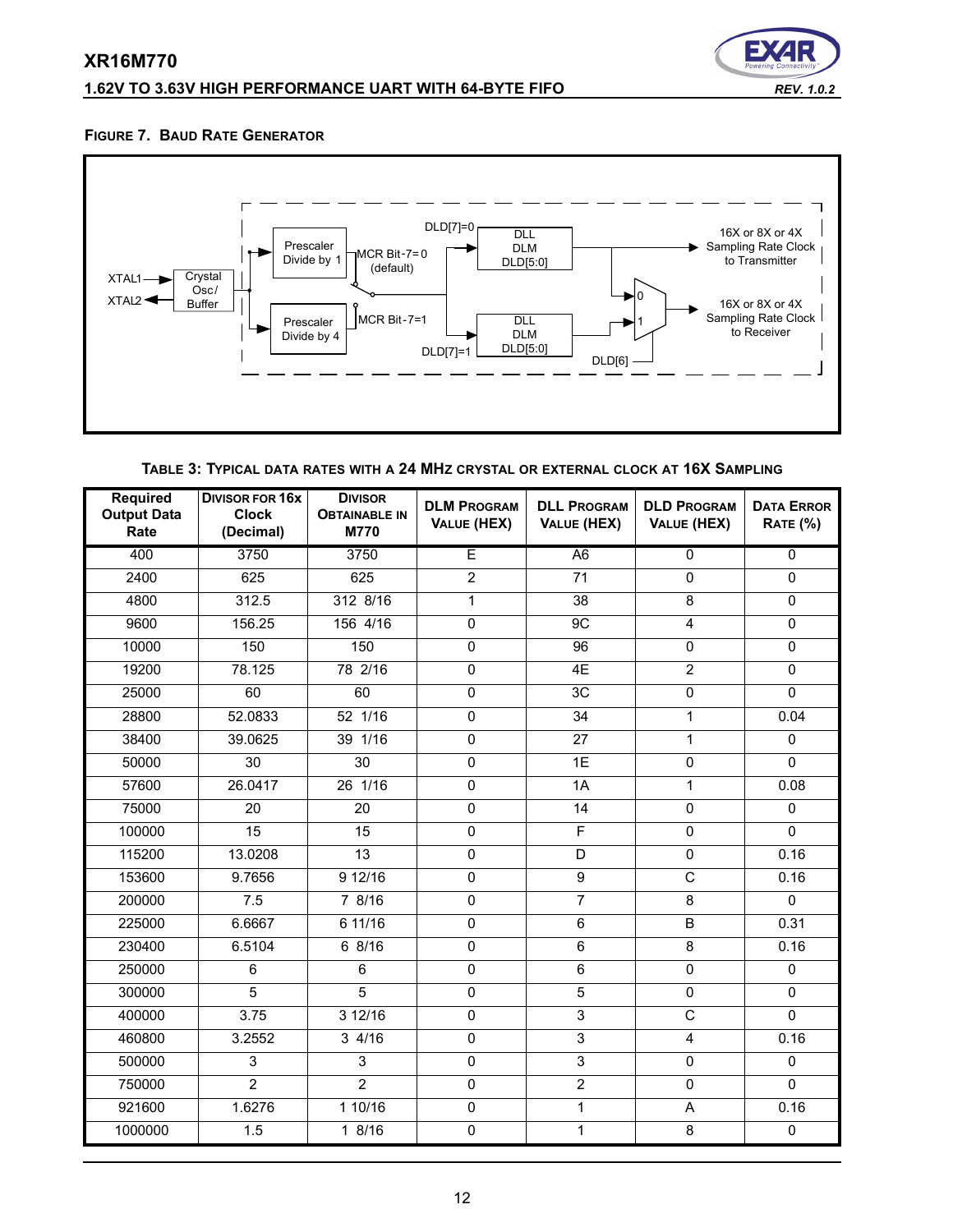# **1.62V TO 3.63V HIGH PERFORMANCE UART WITH 64-BYTE FIFO** *REV. 1.0.2*



### <span id="page-11-0"></span>**FIGURE 7. BAUD RATE GENERATOR**



**TABLE 3: TYPICAL DATA RATES WITH A 24 MHZ CRYSTAL OR EXTERNAL CLOCK AT 16X SAMPLING**

<span id="page-11-1"></span>

| <b>Required</b><br><b>Output Data</b><br>Rate | <b>DIVISOR FOR 16X</b><br><b>Clock</b><br>(Decimal) | <b>DIVISOR</b><br><b>OBTAINABLE IN</b><br><b>M770</b> | <b>DLM PROGRAM</b><br>VALUE (HEX) | <b>DLL PROGRAM</b><br>VALUE (HEX) | <b>DLD PROGRAM</b><br>VALUE (HEX) | <b>DATA ERROR</b><br><b>RATE (%)</b> |
|-----------------------------------------------|-----------------------------------------------------|-------------------------------------------------------|-----------------------------------|-----------------------------------|-----------------------------------|--------------------------------------|
| 400                                           | 3750                                                | 3750                                                  | Ē                                 | $\overline{A6}$                   | $\overline{0}$                    | $\overline{0}$                       |
| 2400                                          | 625                                                 | 625                                                   | $\overline{2}$                    | 71                                | 0                                 | 0                                    |
| 4800                                          | 312.5                                               | 312 8/16                                              | $\mathbf{1}$                      | 38                                | 8                                 | $\Omega$                             |
| 9600                                          | 156.25                                              | 156 4/16                                              | 0                                 | 9C                                | $\overline{\mathbf{4}}$           | $\overline{0}$                       |
| 10000                                         | 150                                                 | 150                                                   | 0                                 | 96                                | 0                                 | $\pmb{0}$                            |
| 19200                                         | 78.125                                              | 78 2/16                                               | $\overline{0}$                    | 4E                                | $\overline{2}$                    | 0                                    |
| 25000                                         | 60                                                  | 60                                                    | $\mathbf 0$                       | 3C                                | $\mathsf 0$                       | $\mathbf 0$                          |
| 28800                                         | 52.0833                                             | 52 1/16                                               | $\mathbf 0$                       | 34                                | 1                                 | 0.04                                 |
| 38400                                         | 39.0625                                             | 39 1/16                                               | $\mathbf 0$                       | 27                                | $\mathbf{1}$                      | $\mathbf 0$                          |
| 50000                                         | $\overline{30}$                                     | $\overline{30}$                                       | $\overline{0}$                    | 1E                                | $\overline{0}$                    | $\mathbf 0$                          |
| 57600                                         | 26.0417                                             | 26 1/16                                               | $\mathbf{0}$                      | 1A                                | 1                                 | 0.08                                 |
| 75000                                         | 20                                                  | 20                                                    | $\mathbf 0$                       | 14                                | $\mathbf 0$                       | $\Omega$                             |
| 100000                                        | 15                                                  | 15                                                    | 0                                 | $\overline{\mathsf{F}}$           | 0                                 | $\pmb{0}$                            |
| 115200                                        | 13.0208                                             | $\overline{13}$                                       | $\overline{0}$                    | $\overline{D}$                    | $\mathbf 0$                       | 0.16                                 |
| 153600                                        | 9.7656                                              | 912/16                                                | $\overline{0}$                    | $\overline{9}$                    | $\overline{\mathsf{C}}$           | 0.16                                 |
| 200000                                        | 7.5                                                 | 7 8/16                                                | 0                                 | $\overline{7}$                    | 8                                 | $\mathbf{0}$                         |
| 225000                                        | 6.6667                                              | 6 11/16                                               | 0                                 | $\,6\,$                           | $\sf B$                           | 0.31                                 |
| 230400                                        | 6.5104                                              | 68/16                                                 | $\mathbf 0$                       | $\overline{6}$                    | 8                                 | 0.16                                 |
| 250000                                        | 6                                                   | 6                                                     | $\overline{0}$                    | 6                                 | $\Omega$                          | $\mathbf{0}$                         |
| 300000                                        | 5                                                   | $\overline{5}$                                        | $\mathbf 0$                       | $\overline{5}$                    | $\mathbf 0$                       | $\pmb{0}$                            |
| 400000                                        | 3.75                                                | 312/16                                                | $\overline{0}$                    | $\overline{3}$                    | $\overline{\mathsf{C}}$           | $\Omega$                             |
| 460800                                        | 3.2552                                              | 34/16                                                 | $\mathbf 0$                       | $\overline{3}$                    | $\overline{\mathbf{4}}$           | 0.16                                 |
| 500000                                        | 3                                                   | 3                                                     | $\mathbf 0$                       | $\overline{3}$                    | $\mathsf 0$                       | $\mathbf{0}$                         |
| 750000                                        | $\overline{2}$                                      | $\overline{2}$                                        | 0                                 | $\overline{2}$                    | 0                                 | $\mathbf 0$                          |
| 921600                                        | 1.6276                                              | 110/16                                                | $\overline{0}$                    | $\overline{1}$                    | A                                 | 0.16                                 |
| 1000000                                       | 1.5                                                 | 1 8/16                                                | 0                                 | $\mathbf{1}$                      | 8                                 | $\mathsf{O}\xspace$                  |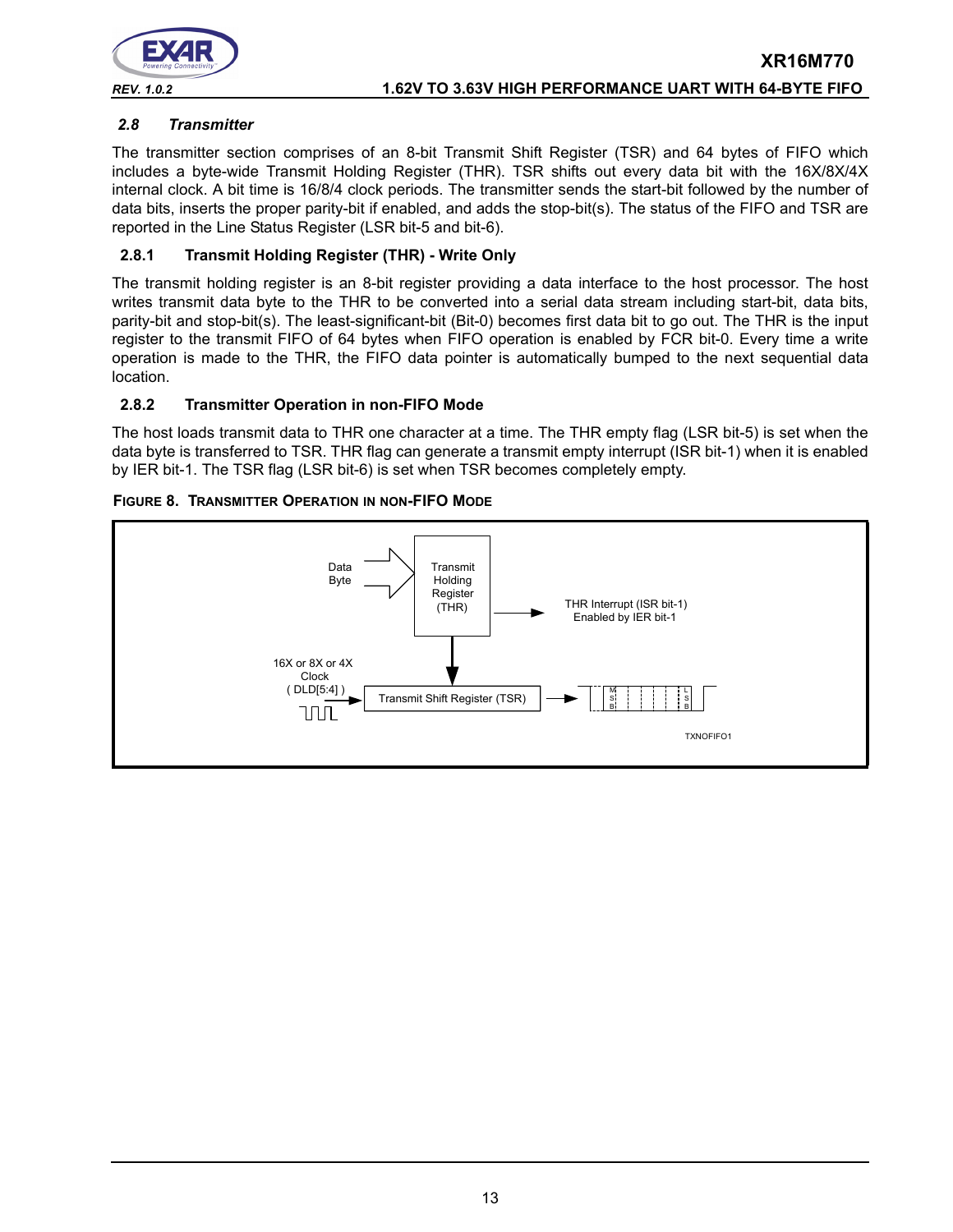

### <span id="page-12-0"></span>*2.8 Transmitter*

The transmitter section comprises of an 8-bit Transmit Shift Register (TSR) and 64 bytes of FIFO which includes a byte-wide Transmit Holding Register (THR). TSR shifts out every data bit with the 16X/8X/4X internal clock. A bit time is 16/8/4 clock periods. The transmitter sends the start-bit followed by the number of data bits, inserts the proper parity-bit if enabled, and adds the stop-bit(s). The status of the FIFO and TSR are reported in the Line Status Register (LSR bit-5 and bit-6).

### **2.8.1 Transmit Holding Register (THR) - Write Only**

The transmit holding register is an 8-bit register providing a data interface to the host processor. The host writes transmit data byte to the THR to be converted into a serial data stream including start-bit, data bits, parity-bit and stop-bit(s). The least-significant-bit (Bit-0) becomes first data bit to go out. The THR is the input register to the transmit FIFO of 64 bytes when FIFO operation is enabled by FCR bit-0. Every time a write operation is made to the THR, the FIFO data pointer is automatically bumped to the next sequential data location.

### **2.8.2 Transmitter Operation in non-FIFO Mode**

The host loads transmit data to THR one character at a time. The THR empty flag (LSR bit-5) is set when the data byte is transferred to TSR. THR flag can generate a transmit empty interrupt (ISR bit-1) when it is enabled by IER bit-1. The TSR flag (LSR bit-6) is set when TSR becomes completely empty.



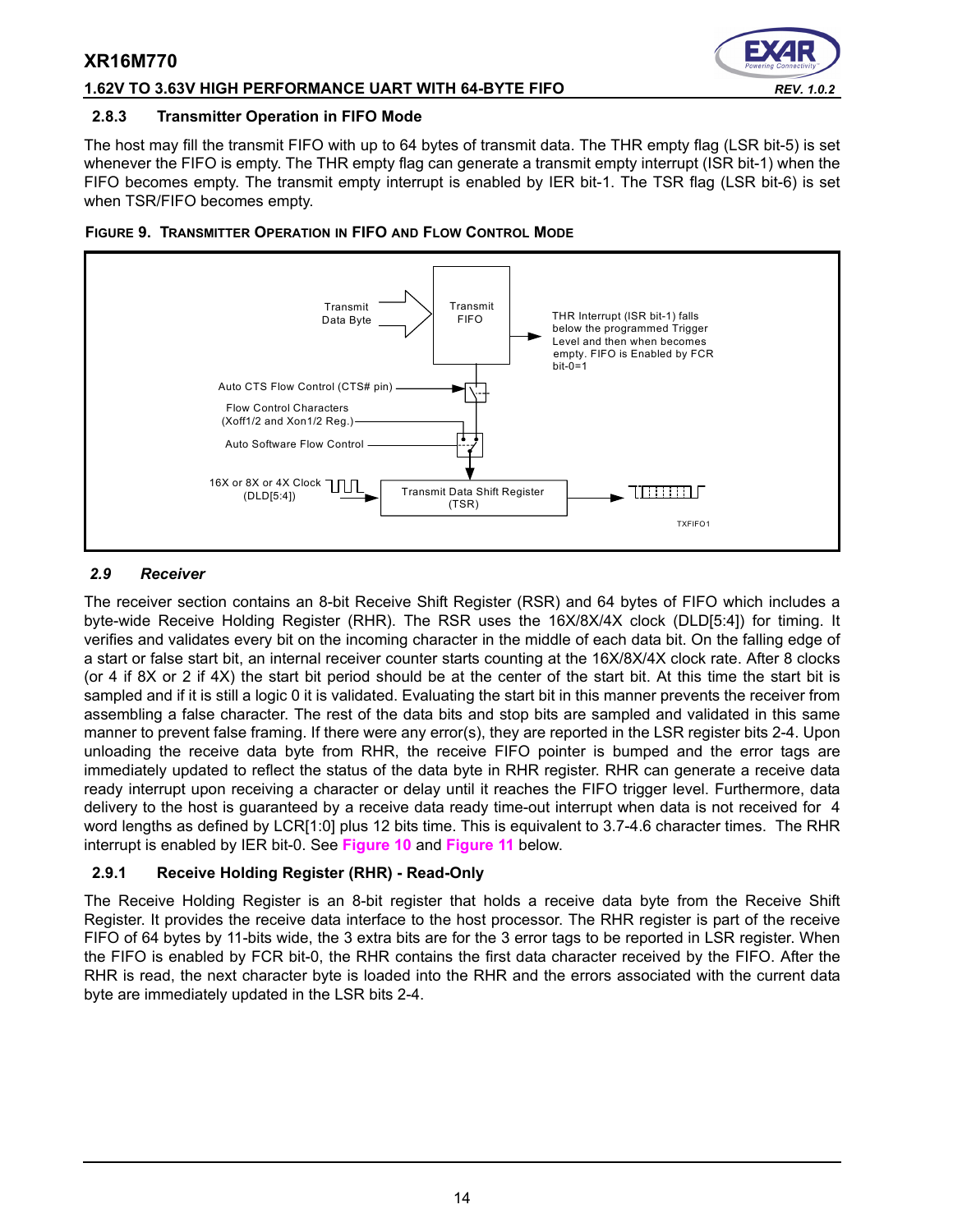### **1.62V TO 3.63V HIGH PERFORMANCE UART WITH 64-BYTE FIFO** *REV. 1.0.2*

### **2.8.3 Transmitter Operation in FIFO Mode**

The host may fill the transmit FIFO with up to 64 bytes of transmit data. The THR empty flag (LSR bit-5) is set whenever the FIFO is empty. The THR empty flag can generate a transmit empty interrupt (ISR bit-1) when the FIFO becomes empty. The transmit empty interrupt is enabled by IER bit-1. The TSR flag (LSR bit-6) is set when TSR/FIFO becomes empty.



### **FIGURE 9. TRANSMITTER OPERATION IN FIFO AND FLOW CONTROL MODE**

### <span id="page-13-0"></span>*2.9 Receiver*

The receiver section contains an 8-bit Receive Shift Register (RSR) and 64 bytes of FIFO which includes a byte-wide Receive Holding Register (RHR). The RSR uses the 16X/8X/4X clock (DLD[5:4]) for timing. It verifies and validates every bit on the incoming character in the middle of each data bit. On the falling edge of a start or false start bit, an internal receiver counter starts counting at the 16X/8X/4X clock rate. After 8 clocks (or 4 if 8X or 2 if 4X) the start bit period should be at the center of the start bit. At this time the start bit is sampled and if it is still a logic 0 it is validated. Evaluating the start bit in this manner prevents the receiver from assembling a false character. The rest of the data bits and stop bits are sampled and validated in this same manner to prevent false framing. If there were any error(s), they are reported in the LSR register bits 2-4. Upon unloading the receive data byte from RHR, the receive FIFO pointer is bumped and the error tags are immediately updated to reflect the status of the data byte in RHR register. RHR can generate a receive data ready interrupt upon receiving a character or delay until it reaches the FIFO trigger level. Furthermore, data delivery to the host is guaranteed by a receive data ready time-out interrupt when data is not received for 4 word lengths as defined by LCR[1:0] plus 12 bits time. This is equivalent to 3.7-4.6 character times. The RHR interrupt is enabled by IER bit-0. See **[Figure](#page-14-0) 10** and **[Figure](#page-14-1) 11** below.

### **2.9.1 Receive Holding Register (RHR) - Read-Only**

The Receive Holding Register is an 8-bit register that holds a receive data byte from the Receive Shift Register. It provides the receive data interface to the host processor. The RHR register is part of the receive FIFO of 64 bytes by 11-bits wide, the 3 extra bits are for the 3 error tags to be reported in LSR register. When the FIFO is enabled by FCR bit-0, the RHR contains the first data character received by the FIFO. After the RHR is read, the next character byte is loaded into the RHR and the errors associated with the current data byte are immediately updated in the LSR bits 2-4.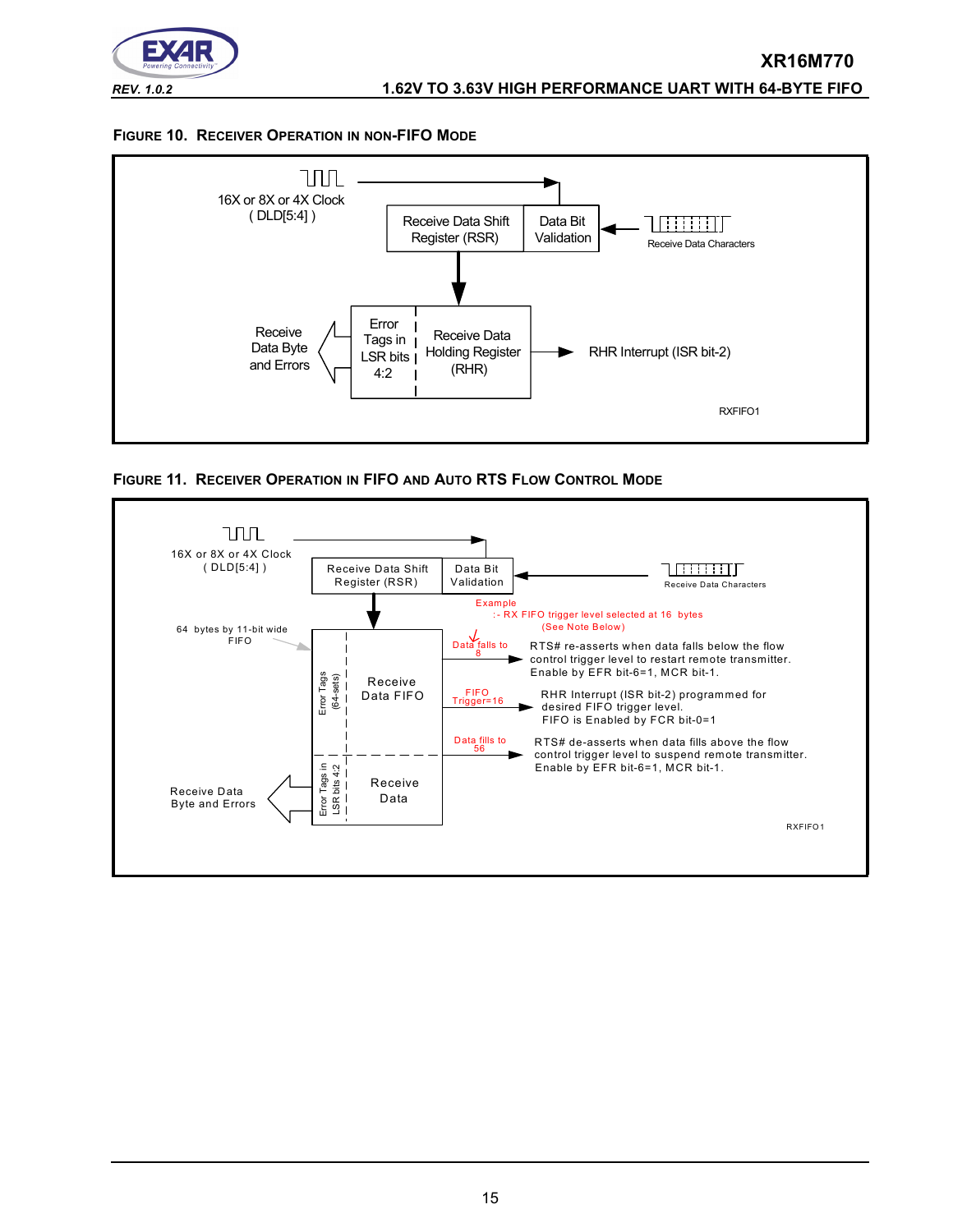

### <span id="page-14-0"></span>**FIGURE 10. RECEIVER OPERATION IN NON-FIFO MODE**



<span id="page-14-1"></span>

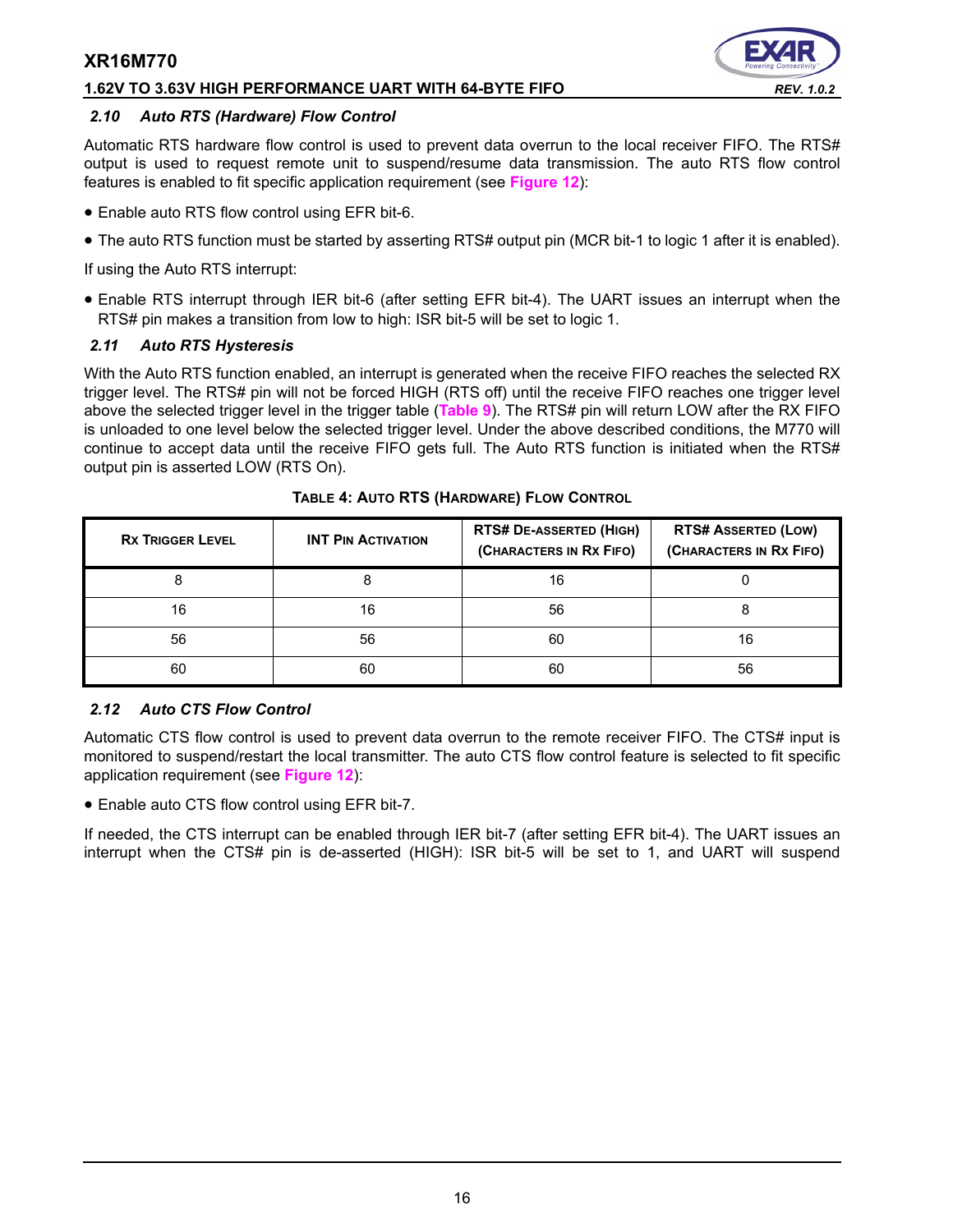### **1.62V TO 3.63V HIGH PERFORMANCE UART WITH 64-BYTE FIFO** *REV. 1.0.2*



### *2.10 Auto RTS (Hardware) Flow Control*

Automatic RTS hardware flow control is used to prevent data overrun to the local receiver FIFO. The RTS# output is used to request remote unit to suspend/resume data transmission. The auto RTS flow control features is enabled to fit specific application requirement (see **[Figure](#page-16-0) 12**):

- Enable auto RTS flow control using EFR bit-6.
- The auto RTS function must be started by asserting RTS# output pin (MCR bit-1 to logic 1 after it is enabled).

If using the Auto RTS interrupt:

• Enable RTS interrupt through IER bit-6 (after setting EFR bit-4). The UART issues an interrupt when the RTS# pin makes a transition from low to high: ISR bit-5 will be set to logic 1.

### *2.11 Auto RTS Hysteresis*

With the Auto RTS function enabled, an interrupt is generated when the receive FIFO reaches the selected RX trigger level. The RTS# pin will not be forced HIGH (RTS off) until the receive FIFO reaches one trigger level above the selected trigger level in the trigger table (**[Table](#page-29-0) 9**). The RTS# pin will return LOW after the RX FIFO is unloaded to one level below the selected trigger level. Under the above described conditions, the M770 will continue to accept data until the receive FIFO gets full. The Auto RTS function is initiated when the RTS# output pin is asserted LOW (RTS On).

| <b>RX TRIGGER LEVEL</b> | <b>INT PIN ACTIVATION</b> | <b>RTS# DE-ASSERTED (HIGH)</b><br>(CHARACTERS IN RX FIFO) | <b>RTS# ASSERTED (LOW)</b><br>(CHARACTERS IN RX FIFO) |
|-------------------------|---------------------------|-----------------------------------------------------------|-------------------------------------------------------|
|                         |                           | 16                                                        |                                                       |
| 16                      | 16                        | 56                                                        |                                                       |
| 56                      | 56                        | 60                                                        | 16                                                    |
| 60                      | 60                        | 60                                                        | 56                                                    |

**TABLE 4: AUTO RTS (HARDWARE) FLOW CONTROL**

### *2.12 Auto CTS Flow Control*

Automatic CTS flow control is used to prevent data overrun to the remote receiver FIFO. The CTS# input is monitored to suspend/restart the local transmitter. The auto CTS flow control feature is selected to fit specific application requirement (see **[Figure](#page-16-0) 12**):

• Enable auto CTS flow control using EFR bit-7.

If needed, the CTS interrupt can be enabled through IER bit-7 (after setting EFR bit-4). The UART issues an interrupt when the CTS# pin is de-asserted (HIGH): ISR bit-5 will be set to 1, and UART will suspend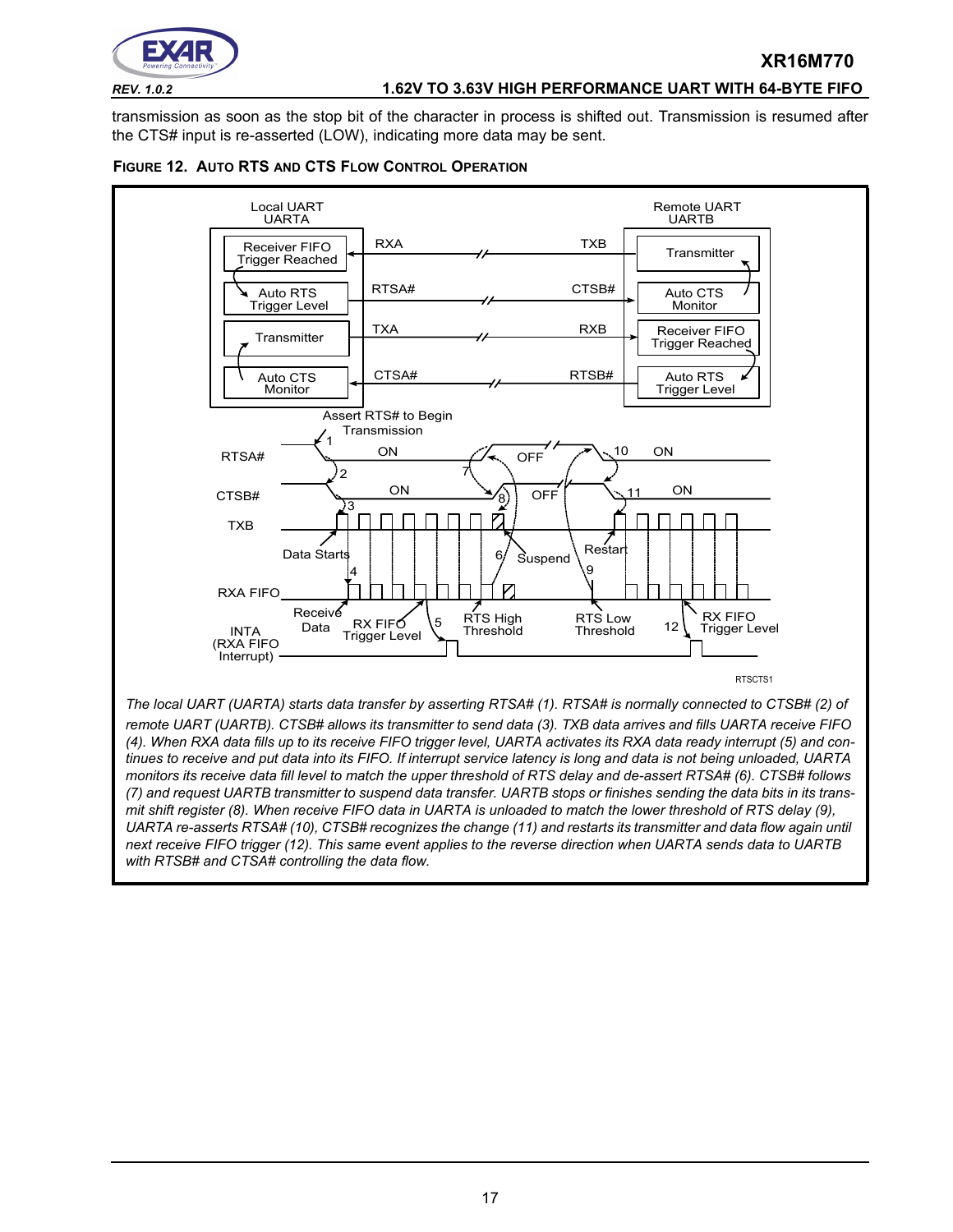

### *REV. 1.0.2* **1.62V TO 3.63V HIGH PERFORMANCE UART WITH 64-BYTE FIFO**

**XR16M770**

transmission as soon as the stop bit of the character in process is shifted out. Transmission is resumed after the CTS# input is re-asserted (LOW), indicating more data may be sent.

<span id="page-16-0"></span>

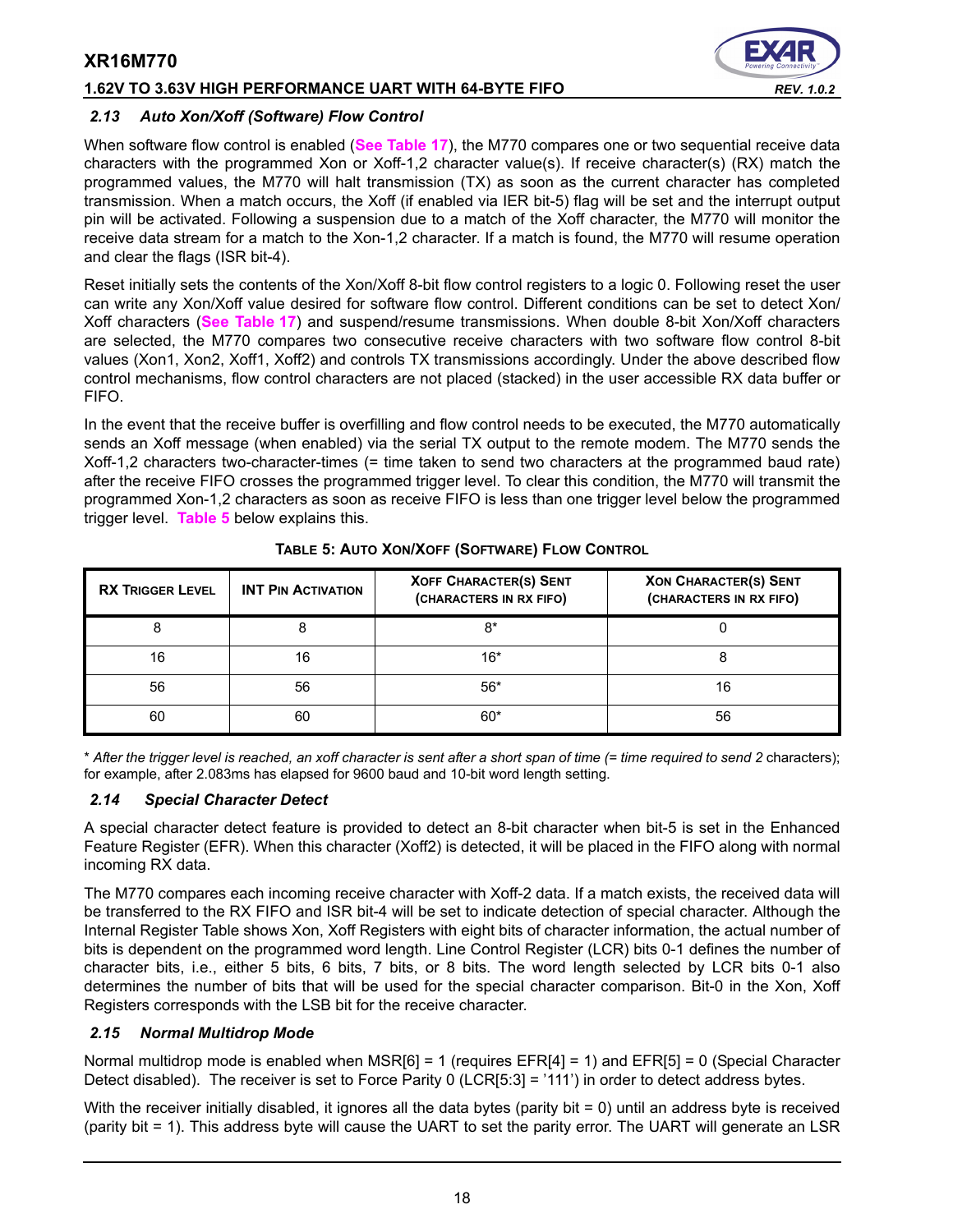### **1.62V TO 3.63V HIGH PERFORMANCE UART WITH 64-BYTE FIFO** *REV. 1.0.2*



### *2.13 Auto Xon/Xoff (Software) Flow Control*

When software flow control is enabled (**[See Table](#page-39-0) 17**), the M770 compares one or two sequential receive data characters with the programmed Xon or Xoff-1,2 character value(s). If receive character(s) (RX) match the programmed values, the M770 will halt transmission (TX) as soon as the current character has completed transmission. When a match occurs, the Xoff (if enabled via IER bit-5) flag will be set and the interrupt output pin will be activated. Following a suspension due to a match of the Xoff character, the M770 will monitor the receive data stream for a match to the Xon-1,2 character. If a match is found, the M770 will resume operation and clear the flags (ISR bit-4).

Reset initially sets the contents of the Xon/Xoff 8-bit flow control registers to a logic 0. Following reset the user can write any Xon/Xoff value desired for software flow control. Different conditions can be set to detect Xon/ Xoff characters (**[See Table](#page-39-0) 17**) and suspend/resume transmissions. When double 8-bit Xon/Xoff characters are selected, the M770 compares two consecutive receive characters with two software flow control 8-bit values (Xon1, Xon2, Xoff1, Xoff2) and controls TX transmissions accordingly. Under the above described flow control mechanisms, flow control characters are not placed (stacked) in the user accessible RX data buffer or FIFO.

In the event that the receive buffer is overfilling and flow control needs to be executed, the M770 automatically sends an Xoff message (when enabled) via the serial TX output to the remote modem. The M770 sends the Xoff-1,2 characters two-character-times (= time taken to send two characters at the programmed baud rate) after the receive FIFO crosses the programmed trigger level. To clear this condition, the M770 will transmit the programmed Xon-1,2 characters as soon as receive FIFO is less than one trigger level below the programmed trigger level. **[Table](#page-17-0) 5** below explains this.

<span id="page-17-0"></span>

| <b>RX TRIGGER LEVEL</b> | <b>INT PIN ACTIVATION</b> | <b>XOFF CHARACTER(S) SENT</b><br>(CHARACTERS IN RX FIFO) | <b>XON CHARACTER(S) SENT</b><br>(CHARACTERS IN RX FIFO) |
|-------------------------|---------------------------|----------------------------------------------------------|---------------------------------------------------------|
|                         |                           | 8*                                                       |                                                         |
| 16                      | 16                        | $16*$                                                    |                                                         |
| 56                      | 56                        | $56*$                                                    |                                                         |
| 60                      | 60                        | $60*$                                                    | 56                                                      |

### **TABLE 5: AUTO XON/XOFF (SOFTWARE) FLOW CONTROL**

\* *After the trigger level is reached, an xoff character is sent after a short span of time (= time required to send 2* characters); for example, after 2.083ms has elapsed for 9600 baud and 10-bit word length setting.

### *2.14 Special Character Detect*

A special character detect feature is provided to detect an 8-bit character when bit-5 is set in the Enhanced Feature Register (EFR). When this character (Xoff2) is detected, it will be placed in the FIFO along with normal incoming RX data.

The M770 compares each incoming receive character with Xoff-2 data. If a match exists, the received data will be transferred to the RX FIFO and ISR bit-4 will be set to indicate detection of special character. Although the Internal Register Table shows Xon, Xoff Registers with eight bits of character information, the actual number of bits is dependent on the programmed word length. Line Control Register (LCR) bits 0-1 defines the number of character bits, i.e., either 5 bits, 6 bits, 7 bits, or 8 bits. The word length selected by LCR bits 0-1 also determines the number of bits that will be used for the special character comparison. Bit-0 in the Xon, Xoff Registers corresponds with the LSB bit for the receive character.

### <span id="page-17-1"></span>*2.15 Normal Multidrop Mode*

Normal multidrop mode is enabled when MSR[6] = 1 (requires EFR[4] = 1) and EFR[5] = 0 (Special Character Detect disabled). The receiver is set to Force Parity 0 (LCR[5:3] = '111') in order to detect address bytes.

With the receiver initially disabled, it ignores all the data bytes (parity bit = 0) until an address byte is received (parity bit = 1). This address byte will cause the UART to set the parity error. The UART will generate an LSR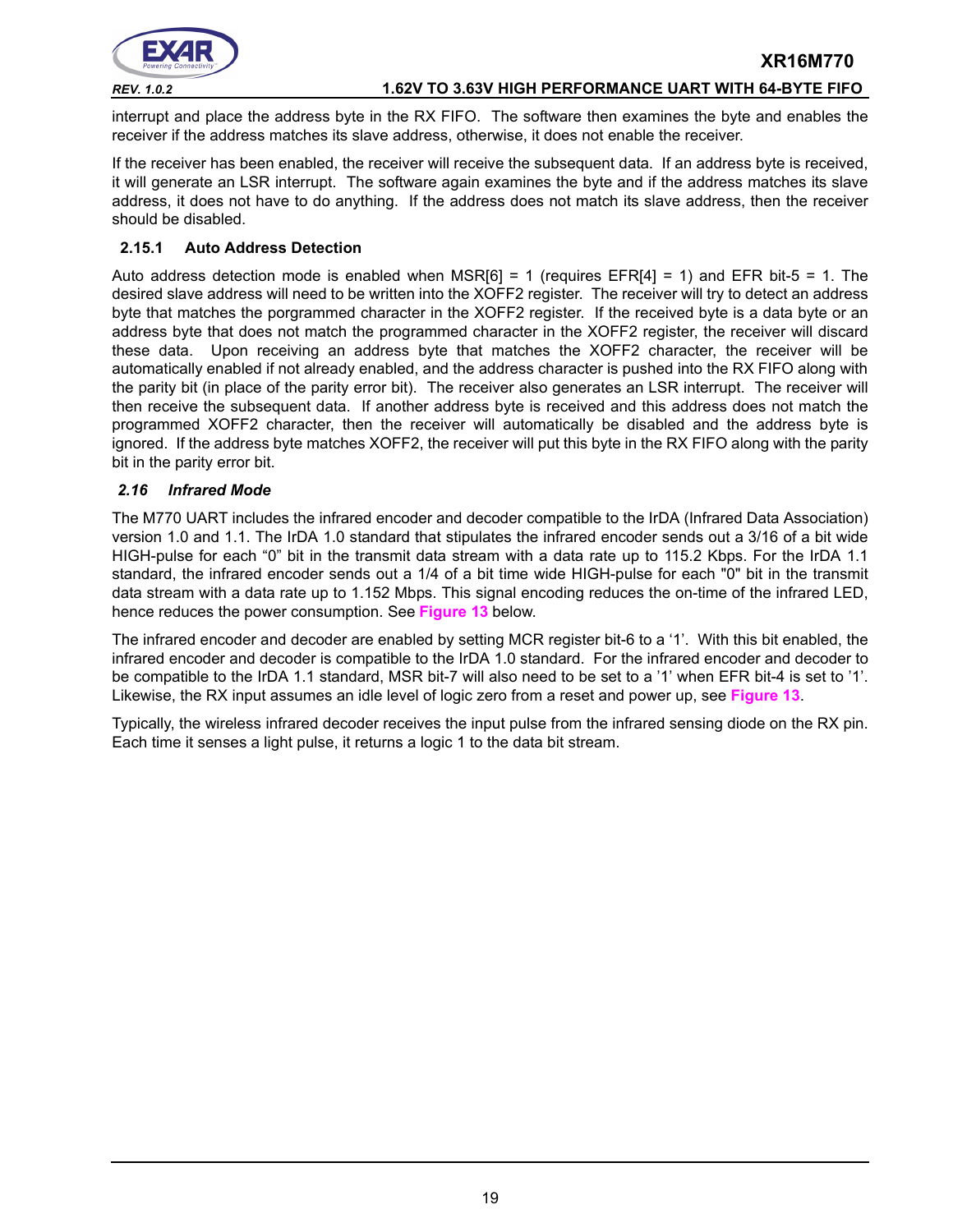

### *REV. 1.0.2* **1.62V TO 3.63V HIGH PERFORMANCE UART WITH 64-BYTE FIFO**

interrupt and place the address byte in the RX FIFO. The software then examines the byte and enables the receiver if the address matches its slave address, otherwise, it does not enable the receiver.

If the receiver has been enabled, the receiver will receive the subsequent data. If an address byte is received, it will generate an LSR interrupt. The software again examines the byte and if the address matches its slave address, it does not have to do anything. If the address does not match its slave address, then the receiver should be disabled.

### <span id="page-18-1"></span>**2.15.1 Auto Address Detection**

Auto address detection mode is enabled when MSR $[6] = 1$  (requires EFR $[4] = 1$ ) and EFR bit-5 = 1. The desired slave address will need to be written into the XOFF2 register. The receiver will try to detect an address byte that matches the porgrammed character in the XOFF2 register. If the received byte is a data byte or an address byte that does not match the programmed character in the XOFF2 register, the receiver will discard these data. Upon receiving an address byte that matches the XOFF2 character, the receiver will be automatically enabled if not already enabled, and the address character is pushed into the RX FIFO along with the parity bit (in place of the parity error bit). The receiver also generates an LSR interrupt. The receiver will then receive the subsequent data. If another address byte is received and this address does not match the programmed XOFF2 character, then the receiver will automatically be disabled and the address byte is ignored. If the address byte matches XOFF2, the receiver will put this byte in the RX FIFO along with the parity bit in the parity error bit.

### <span id="page-18-0"></span>*2.16 Infrared Mode*

The M770 UART includes the infrared encoder and decoder compatible to the IrDA (Infrared Data Association) version 1.0 and 1.1. The IrDA 1.0 standard that stipulates the infrared encoder sends out a 3/16 of a bit wide HIGH-pulse for each "0" bit in the transmit data stream with a data rate up to 115.2 Kbps. For the IrDA 1.1 standard, the infrared encoder sends out a 1/4 of a bit time wide HIGH-pulse for each "0" bit in the transmit data stream with a data rate up to 1.152 Mbps. This signal encoding reduces the on-time of the infrared LED, hence reduces the power consumption. See **[Figure](#page-19-0) 13** below.

The infrared encoder and decoder are enabled by setting MCR register bit-6 to a '1'. With this bit enabled, the infrared encoder and decoder is compatible to the IrDA 1.0 standard. For the infrared encoder and decoder to be compatible to the IrDA 1.1 standard, MSR bit-7 will also need to be set to a '1' when EFR bit-4 is set to '1'. Likewise, the RX input assumes an idle level of logic zero from a reset and power up, see **[Figure](#page-19-0) 13**.

Typically, the wireless infrared decoder receives the input pulse from the infrared sensing diode on the RX pin. Each time it senses a light pulse, it returns a logic 1 to the data bit stream.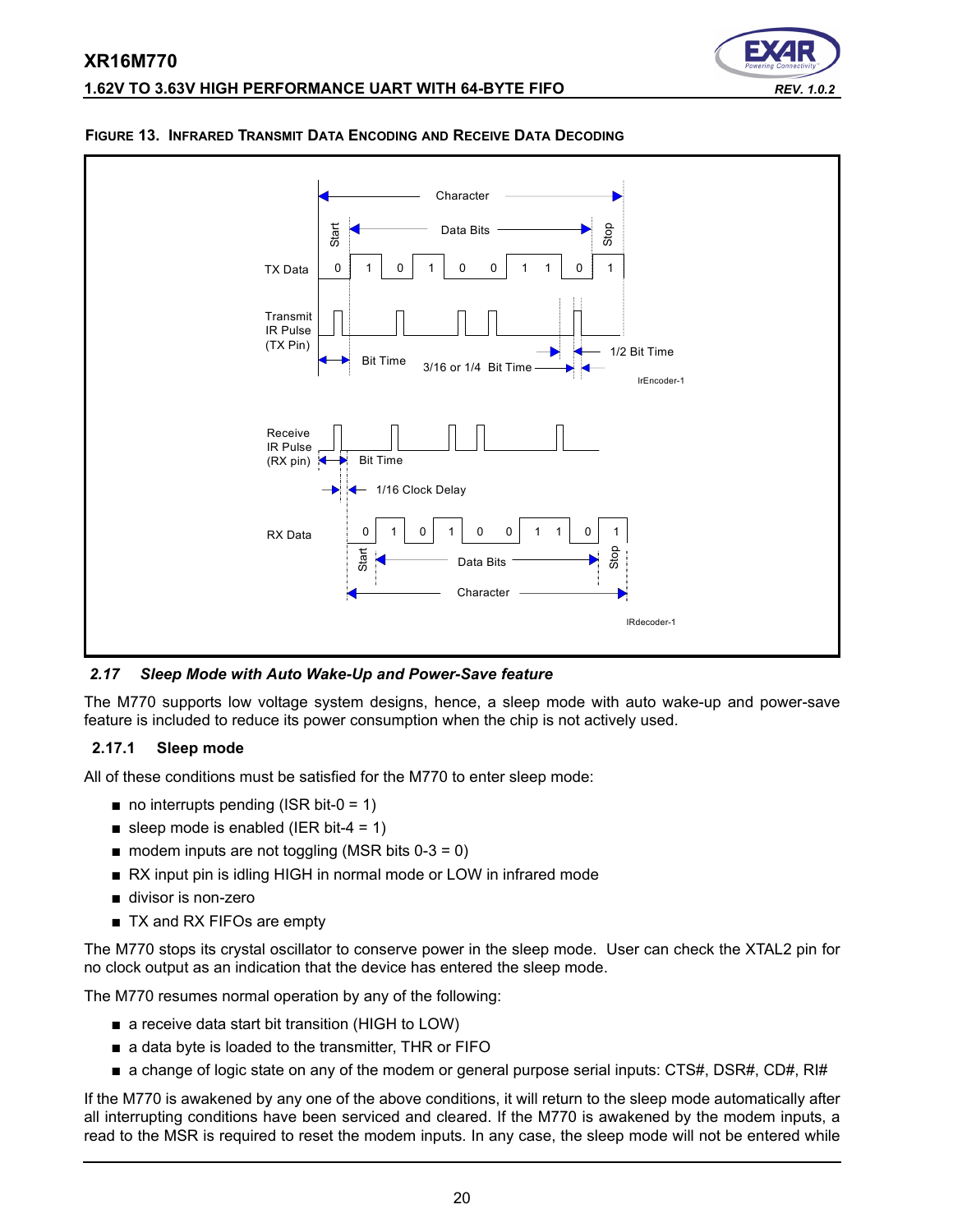



### <span id="page-19-0"></span>**FIGURE 13. INFRARED TRANSMIT DATA ENCODING AND RECEIVE DATA DECODING**

*2.17 Sleep Mode with Auto Wake-Up and Power-Save feature*

The M770 supports low voltage system designs, hence, a sleep mode with auto wake-up and power-save feature is included to reduce its power consumption when the chip is not actively used.

### **2.17.1 Sleep mode**

All of these conditions must be satisfied for the M770 to enter sleep mode:

- $\blacksquare$  no interrupts pending (ISR bit-0 = 1)
- sleep mode is enabled (IER bit-4 = 1)
- $\blacksquare$  modem inputs are not toggling (MSR bits 0-3 = 0)
- RX input pin is idling HIGH in normal mode or LOW in infrared mode
- divisor is non-zero
- TX and RX FIFOs are empty

The M770 stops its crystal oscillator to conserve power in the sleep mode. User can check the XTAL2 pin for no clock output as an indication that the device has entered the sleep mode.

The M770 resumes normal operation by any of the following:

- a receive data start bit transition (HIGH to LOW)
- a data byte is loaded to the transmitter, THR or FIFO
- a change of logic state on any of the modem or general purpose serial inputs: CTS#, DSR#, CD#, RI#

If the M770 is awakened by any one of the above conditions, it will return to the sleep mode automatically after all interrupting conditions have been serviced and cleared. If the M770 is awakened by the modem inputs, a read to the MSR is required to reset the modem inputs. In any case, the sleep mode will not be entered while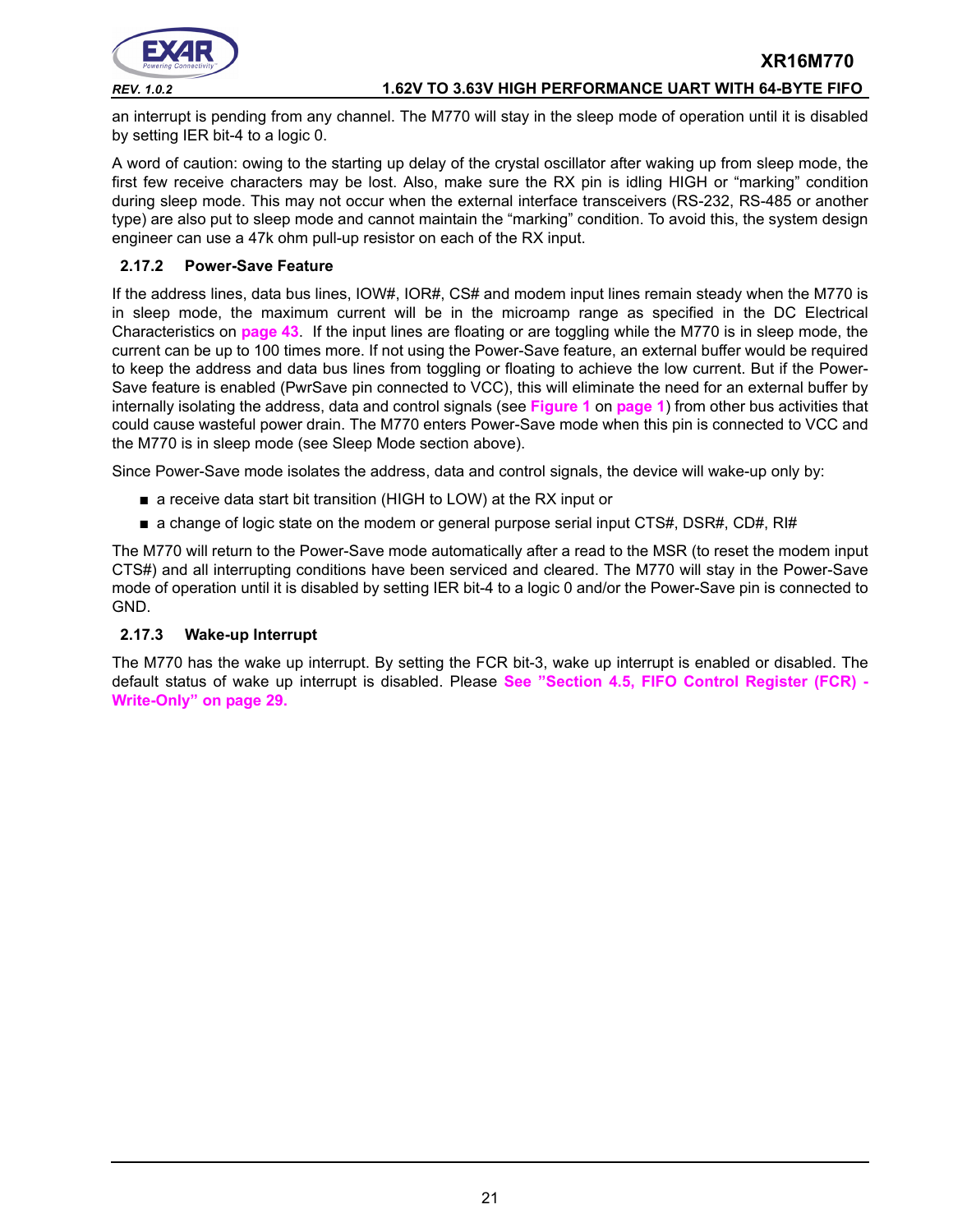

### *REV. 1.0.2* **1.62V TO 3.63V HIGH PERFORMANCE UART WITH 64-BYTE FIFO**

an interrupt is pending from any channel. The M770 will stay in the sleep mode of operation until it is disabled by setting IER bit-4 to a logic 0.

A word of caution: owing to the starting up delay of the crystal oscillator after waking up from sleep mode, the first few receive characters may be lost. Also, make sure the RX pin is idling HIGH or "marking" condition during sleep mode. This may not occur when the external interface transceivers (RS-232, RS-485 or another type) are also put to sleep mode and cannot maintain the "marking" condition. To avoid this, the system design engineer can use a 47k ohm pull-up resistor on each of the RX input.

### <span id="page-20-1"></span>**2.17.2 Power-Save Feature**

If the address lines, data bus lines, IOW#, IOR#, CS# and modem input lines remain steady when the M770 is in sleep mode, the maximum current will be in the microamp range as specified in the DC Electrical Characteristics on **[page](#page-42-0) 43**. If the input lines are floating or are toggling while the M770 is in sleep mode, the current can be up to 100 times more. If not using the Power-Save feature, an external buffer would be required to keep the address and data bus lines from toggling or floating to achieve the low current. But if the Power-Save feature is enabled (PwrSave pin connected to VCC), this will eliminate the need for an external buffer by internally isolating the address, data and control signals (see **[Figure](#page-0-0) 1** on **[page](#page-0-1) 1**) from other bus activities that could cause wasteful power drain. The M770 enters Power-Save mode when this pin is connected to VCC and the M770 is in sleep mode (see Sleep Mode section above).

Since Power-Save mode isolates the address, data and control signals, the device will wake-up only by:

- a receive data start bit transition (HIGH to LOW) at the RX input or
- a change of logic state on the modem or general purpose serial input CTS#, DSR#, CD#, RI#

The M770 will return to the Power-Save mode automatically after a read to the MSR (to reset the modem input CTS#) and all interrupting conditions have been serviced and cleared. The M770 will stay in the Power-Save mode of operation until it is disabled by setting IER bit-4 to a logic 0 and/or the Power-Save pin is connected to GND.

### <span id="page-20-0"></span>**2.17.3 Wake-up Interrupt**

The M770 has the wake up interrupt. By setting the FCR bit-3, wake up interrupt is enabled or disabled. The default status of wake up interrupt is disabled. Please **[See "Section 4.5, FIFO Control Register \(FCR\) -](#page-28-0) [Write-Only" on page](#page-28-0) 29.**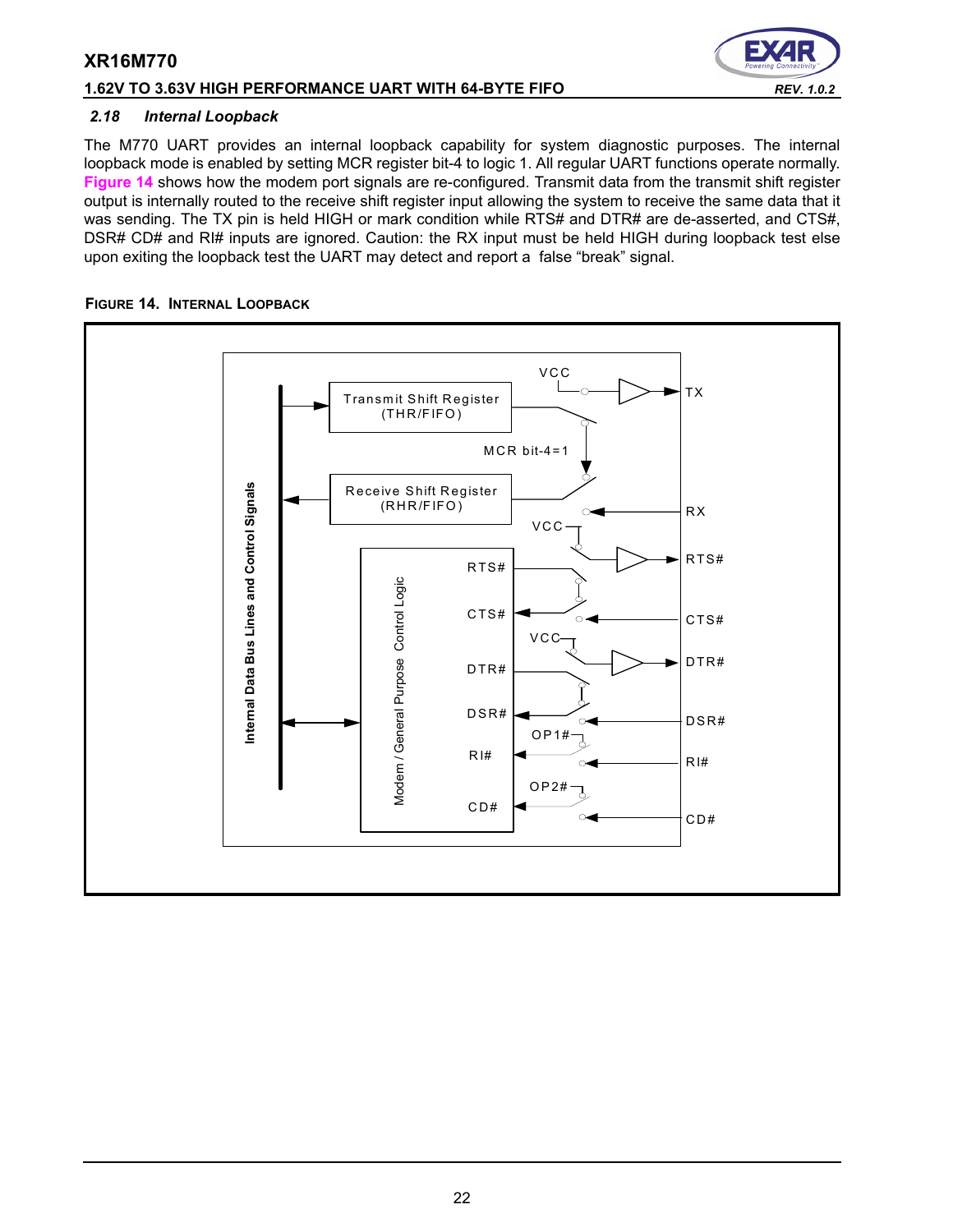### **1.62V TO 3.63V HIGH PERFORMANCE UART WITH 64-BYTE FIFO** *REV. 1.0.2*

### *2.18 Internal Loopback*

The M770 UART provides an internal loopback capability for system diagnostic purposes. The internal loopback mode is enabled by setting MCR register bit-4 to logic 1. All regular UART functions operate normally. **[Figure](#page-21-0) 14** shows how the modem port signals are re-configured. Transmit data from the transmit shift register output is internally routed to the receive shift register input allowing the system to receive the same data that it was sending. The TX pin is held HIGH or mark condition while RTS# and DTR# are de-asserted, and CTS#, DSR# CD# and RI# inputs are ignored. Caution: the RX input must be held HIGH during loopback test else upon exiting the loopback test the UART may detect and report a false "break" signal.

### <span id="page-21-0"></span>**FIGURE 14. INTERNAL LOOPBACK**

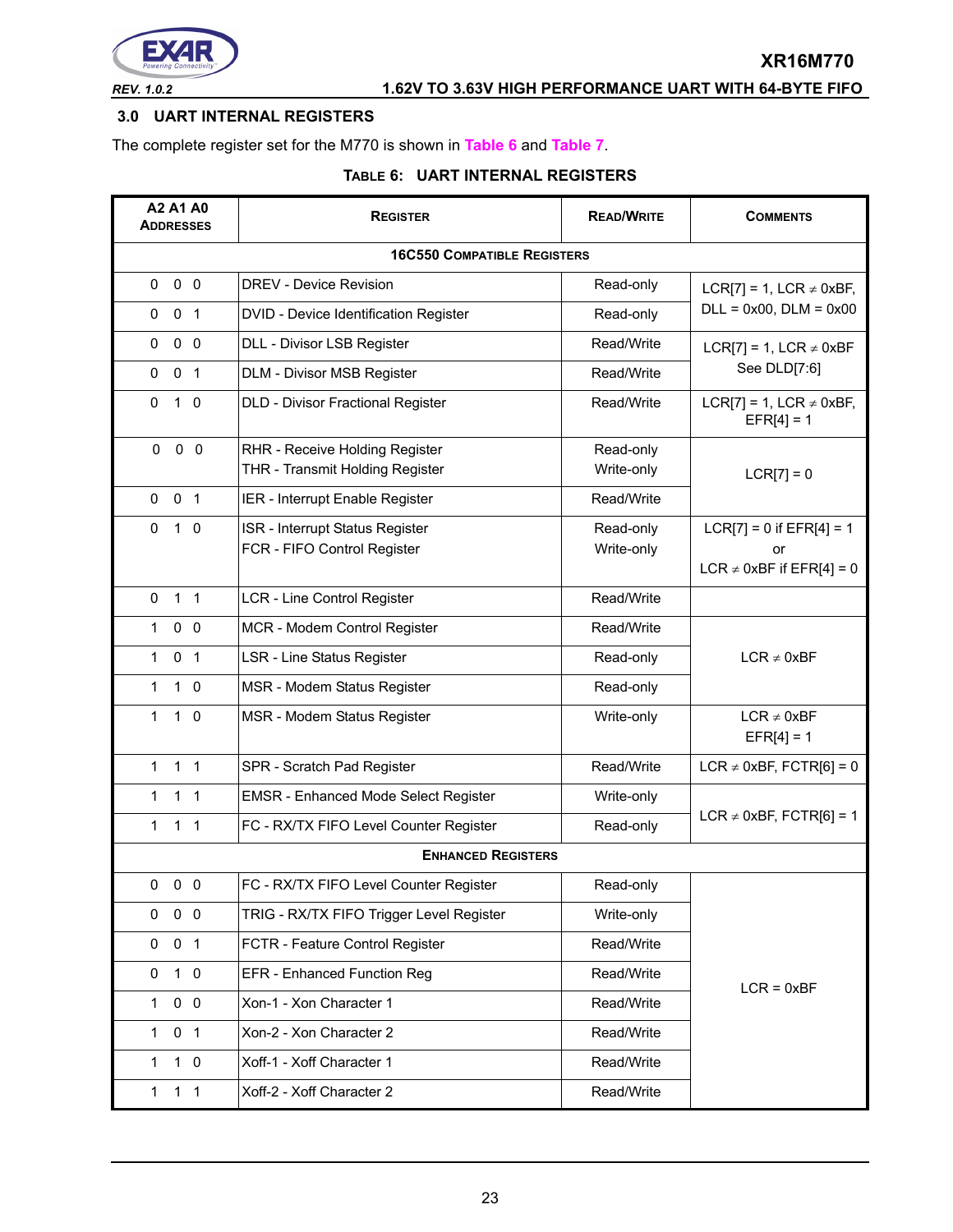

# *REV. 1.0.2* **1.62V TO 3.63V HIGH PERFORMANCE UART WITH 64-BYTE FIFO**

### <span id="page-22-0"></span>**3.0 UART INTERNAL REGISTERS**

The complete register set for the M770 is shown in **[Table](#page-22-1) 6** and **[Table](#page-23-0) 7**.

### **TABLE 6: UART INTERNAL REGISTERS**

<span id="page-22-1"></span>

| A2 A1 A0<br><b>ADDRESSES</b>   | <b>REGISTER</b>                             | <b>READ/WRITE</b> | <b>COMMENTS</b>                              |
|--------------------------------|---------------------------------------------|-------------------|----------------------------------------------|
|                                | <b>16C550 COMPATIBLE REGISTERS</b>          |                   |                                              |
| 0 <sub>0</sub><br>0            | DREV - Device Revision                      | Read-only         | LCR[7] = 1, LCR $\neq$ 0xBF,                 |
| 0<br>0 <sub>1</sub>            | DVID - Device Identification Register       | Read-only         | $DLL = 0x00$ , $DLM = 0x00$                  |
| 0 <sub>0</sub><br>0            | DLL - Divisor LSB Register                  | Read/Write        | LCR[7] = 1, LCR $\neq$ 0xBF                  |
| 0 <sub>1</sub><br>0            | DLM - Divisor MSB Register                  | Read/Write        | See DLD[7:6]                                 |
| $\Omega$<br>$1\quad0$          | <b>DLD - Divisor Fractional Register</b>    | Read/Write        | LCR[7] = 1, LCR $\neq$ 0xBF,<br>$EFR[4] = 1$ |
| $0\quad 0$<br>0                | RHR - Receive Holding Register              | Read-only         |                                              |
|                                | THR - Transmit Holding Register             | Write-only        | $LCR[7] = 0$                                 |
| 0 <sub>1</sub><br>0            | IER - Interrupt Enable Register             | Read/Write        |                                              |
| $\Omega$<br>$1\quad$ 0         | ISR - Interrupt Status Register             | Read-only         | $LCR[7] = 0$ if $EFR[4] = 1$                 |
|                                | FCR - FIFO Control Register                 | Write-only        | or<br>LCR $\neq$ 0xBF if EFR[4] = 0          |
| 1 <sub>1</sub><br>$\Omega$     | LCR - Line Control Register                 | Read/Write        |                                              |
| $0\quad 0$<br>1.               | MCR - Modem Control Register                | Read/Write        |                                              |
| 0 <sub>1</sub><br>$\mathbf{1}$ | <b>LSR - Line Status Register</b>           | Read-only         | $LCR \neq 0xBF$                              |
| $\mathbf{1}$<br>$1\quad0$      | MSR - Modem Status Register                 | Read-only         |                                              |
| $\mathbf{1}$<br>$1\quad0$      | MSR - Modem Status Register                 | Write-only        | $LCR \neq 0xBF$<br>$EFR[4] = 1$              |
| 1 <sub>1</sub><br>$\mathbf{1}$ | SPR - Scratch Pad Register                  | Read/Write        | LCR $\neq$ 0xBF, FCTR[6] = 0                 |
| 1.<br>$1\quad1$                | <b>EMSR - Enhanced Mode Select Register</b> | Write-only        |                                              |
| 1 <sub>1</sub><br>1            | FC - RX/TX FIFO Level Counter Register      | Read-only         | LCR $\neq$ 0xBF, FCTR[6] = 1                 |
|                                | <b>ENHANCED REGISTERS</b>                   |                   |                                              |
| $0\quad 0\quad 0$              | FC - RX/TX FIFO Level Counter Register      | Read-only         |                                              |
| $0\quad 0$<br>0                | TRIG - RX/TX FIFO Trigger Level Register    | Write-only        |                                              |
| 0 <sub>1</sub><br>0            | FCTR - Feature Control Register             | Read/Write        |                                              |
| $1\quad0$<br>0                 | EFR - Enhanced Function Reg                 | Read/Write        | $LCR = 0xBF$                                 |
| $0\quad 0$<br>$\mathbf{1}$     | Xon-1 - Xon Character 1                     | Read/Write        |                                              |
| $\mathbf{1}$<br>0 <sub>1</sub> | Xon-2 - Xon Character 2                     | Read/Write        |                                              |
| $1\quad 0$<br>$\mathbf{1}$     | Xoff-1 - Xoff Character 1                   | Read/Write        |                                              |
| 1 <sub>1</sub><br>$\mathbf{1}$ | Xoff-2 - Xoff Character 2                   | Read/Write        |                                              |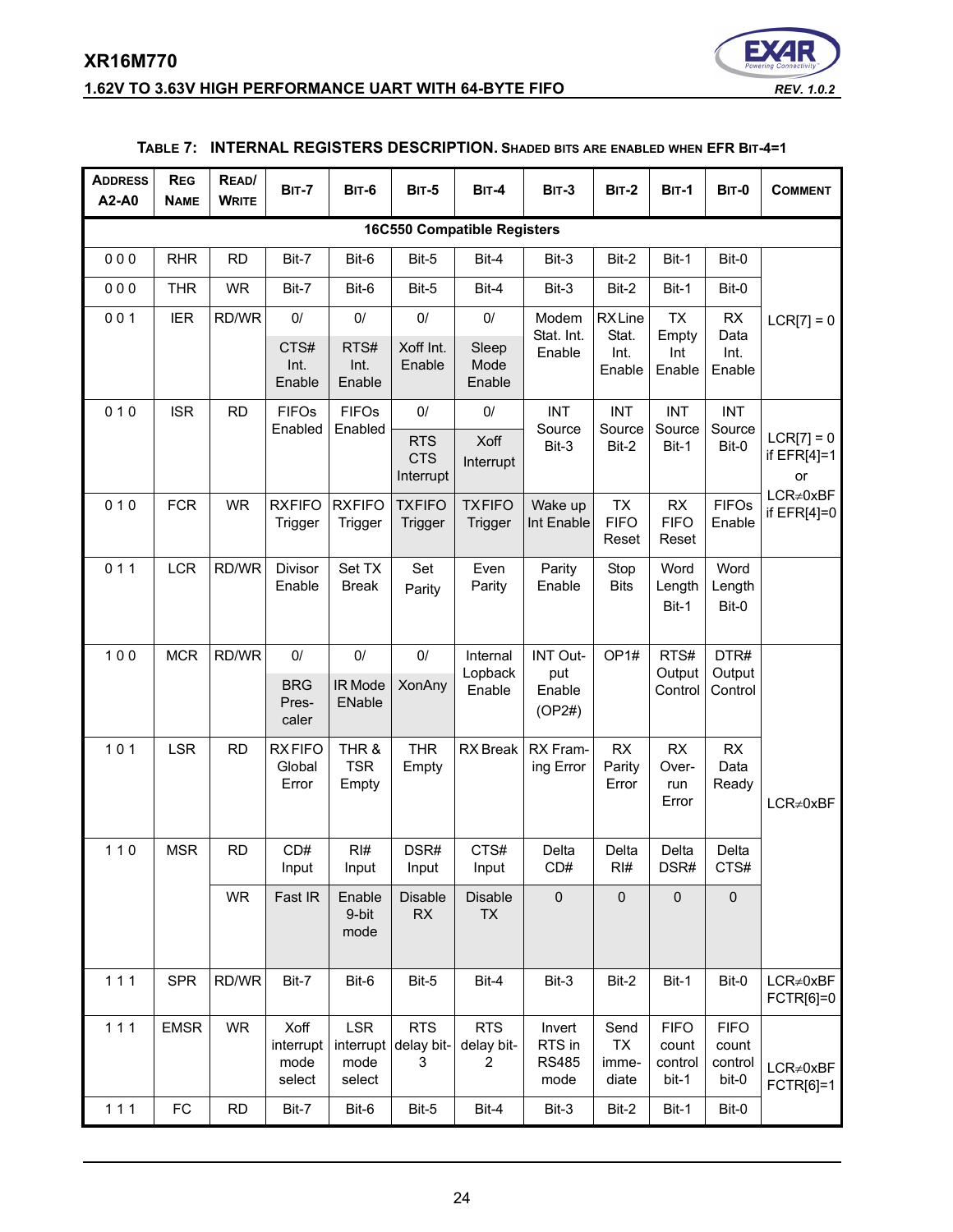# **XR16M770 1.62V TO 3.63V HIGH PERFORMANCE UART WITH 64-BYTE FIFO** *REV. 1.0.2*



<span id="page-23-0"></span>

| <b>ADDRESS</b><br>A2-A0 | <b>REG</b><br><b>NAME</b> | READ/<br><b>WRITE</b> | <b>BIT-7</b>                        | <b>BIT-6</b>                              | <b>BIT-5</b>                          | <b>BIT-4</b>                       | <b>BIT-3</b>                             | <b>BIT-2</b>                      | <b>BIT-1</b>                             | <b>BIT-0</b>                             | <b>COMMENT</b>                      |
|-------------------------|---------------------------|-----------------------|-------------------------------------|-------------------------------------------|---------------------------------------|------------------------------------|------------------------------------------|-----------------------------------|------------------------------------------|------------------------------------------|-------------------------------------|
|                         |                           |                       |                                     |                                           |                                       | <b>16C550 Compatible Registers</b> |                                          |                                   |                                          |                                          |                                     |
| 000                     | <b>RHR</b>                | <b>RD</b>             | Bit-7                               | Bit-6                                     | Bit-5                                 | Bit-4                              | Bit-3                                    | Bit-2                             | Bit-1                                    | Bit-0                                    |                                     |
| 000                     | <b>THR</b>                | <b>WR</b>             | Bit-7                               | Bit-6                                     | Bit-5                                 | Bit-4                              | Bit-3                                    | Bit-2                             | Bit-1                                    | Bit-0                                    |                                     |
| 001                     | <b>IER</b>                | RD/WR                 | $0/$                                | 0/                                        | $0/$                                  | $0/$                               | Modem                                    | <b>RXLine</b>                     | <b>TX</b>                                | RX                                       | $LCR[7] = 0$                        |
|                         |                           |                       | CTS#<br>Int.<br>Enable              | RTS#<br>Int.<br>Enable                    | Xoff Int.<br>Enable                   | Sleep<br>Mode<br>Enable            | Stat. Int.<br>Enable                     | Stat.<br>Int.<br>Enable           | Empty<br>Int<br>Enable                   | Data<br>Int.<br>Enable                   |                                     |
| 010                     | <b>ISR</b>                | <b>RD</b>             | <b>FIFOs</b>                        | <b>FIFOs</b>                              | $0/$                                  | $0/$                               | <b>INT</b>                               | <b>INT</b>                        | <b>INT</b>                               | <b>INT</b>                               |                                     |
|                         |                           |                       | Enabled                             | Enabled                                   | <b>RTS</b><br><b>CTS</b><br>Interrupt | Xoff<br>Interrupt                  | Source<br>Bit-3                          | Source<br>Bit-2                   | Source<br>Bit-1                          | Source<br>Bit-0                          | $LCR[7] = 0$<br>if $EFR[4]=1$<br>or |
| 010                     | <b>FCR</b>                | <b>WR</b>             | <b>RXFIFO</b><br>Trigger            | <b>RXFIFO</b><br>Trigger                  | <b>TXFIFO</b><br>Trigger              | <b>TXFIFO</b><br>Trigger           | Wake up<br>Int Enable                    | <b>TX</b><br><b>FIFO</b><br>Reset | RX<br><b>FIFO</b><br>Reset               | <b>FIFOs</b><br>Enable                   | $LCR \neq 0xBF$<br>if $EFR[4]=0$    |
| 011                     | <b>LCR</b>                | RD/WR                 | Divisor<br>Enable                   | Set TX<br><b>Break</b>                    | Set<br>Parity                         | Even<br>Parity                     | Parity<br>Enable                         | Stop<br><b>Bits</b>               | Word<br>Length<br>Bit-1                  | Word<br>Length<br>Bit-0                  |                                     |
| 100                     | <b>MCR</b>                | RD/WR                 | 0/<br><b>BRG</b><br>Pres-<br>caler  | 0/<br>IR Mode<br>ENable                   | $0/$<br><b>XonAny</b>                 | Internal<br>Lopback<br>Enable      | INT Out-<br>put<br>Enable<br>(OP2#)      | OP <sub>1#</sub>                  | RTS#<br>Output<br>Control                | DTR#<br>Output<br>Control                |                                     |
| 101                     | <b>LSR</b>                | <b>RD</b>             | <b>RXFIFO</b><br>Global<br>Error    | THR &<br><b>TSR</b><br>Empty              | <b>THR</b><br>Empty                   | RX Break                           | RX Fram-<br>ing Error                    | RX<br>Parity<br>Error             | <b>RX</b><br>Over-<br>run<br>Error       | RX<br>Data<br>Ready                      | $LCR \neq 0xBF$                     |
| $110$                   | <b>MSR</b>                | <b>RD</b>             | CD#<br>Input                        | RI#<br>Input                              | DSR#<br>Input                         | CTS#<br>Input                      | Delta<br>CD#                             | Delta<br>RI#                      | Delta<br>DSR#                            | Delta<br>CTS#                            |                                     |
|                         |                           | <b>WR</b>             | Fast IR                             | Enable<br>9-bit<br>mode                   | Disable<br>RX                         | Disable<br>TX                      | $\pmb{0}$                                | $\pmb{0}$                         | $\pmb{0}$                                | $\pmb{0}$                                |                                     |
| 111                     | <b>SPR</b>                | RD/WR                 | Bit-7                               | Bit-6                                     | Bit-5                                 | Bit-4                              | Bit-3                                    | Bit-2                             | Bit-1                                    | Bit-0                                    | $LCR \neq 0xBF$<br>FCTR[6]=0        |
| $111$                   | <b>EMSR</b>               | <b>WR</b>             | Xoff<br>interrupt<br>mode<br>select | <b>LSR</b><br>interrupt<br>mode<br>select | <b>RTS</b><br>delay bit-<br>3         | <b>RTS</b><br>delay bit-<br>2      | Invert<br>RTS in<br><b>RS485</b><br>mode | Send<br>TX<br>imme-<br>diate      | <b>FIFO</b><br>count<br>control<br>bit-1 | <b>FIFO</b><br>count<br>control<br>bit-0 | $LCR \neq 0xBF$<br>FCTR[6]=1        |
| $111$                   | FC                        | <b>RD</b>             | Bit-7                               | Bit-6                                     | Bit-5                                 | Bit-4                              | Bit-3                                    | Bit-2                             | Bit-1                                    | Bit-0                                    |                                     |

### **TABLE 7: INTERNAL REGISTERS DESCRIPTION. SHADED BITS ARE ENABLED WHEN EFR BIT-4=1**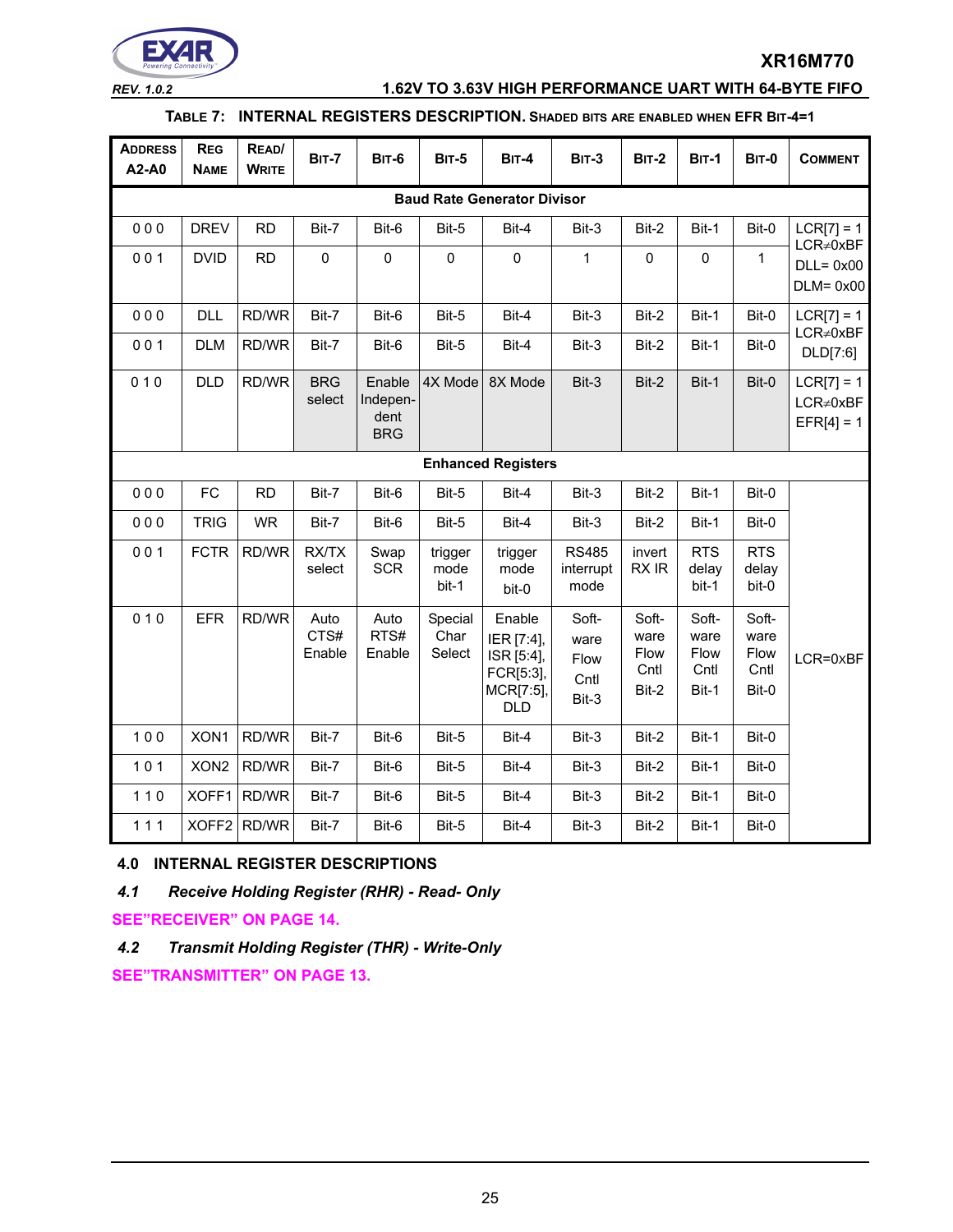

### *REV. 1.0.2* **1.62V TO 3.63V HIGH PERFORMANCE UART WITH 64-BYTE FIFO**

### **TABLE 7: INTERNAL REGISTERS DESCRIPTION. SHADED BITS ARE ENABLED WHEN EFR BIT-4=1**

| <b>ADDRESS</b><br>A2-A0 | <b>REG</b><br><b>NAME</b>          | READ/<br><b>WRITE</b> | <b>BIT-7</b>           | <b>BIT-6</b>                             | <b>BIT-5</b>              | <b>BIT-4</b>                                                               | <b>BIT-3</b>                           | <b>BIT-2</b>                           | <b>BIT-1</b>                                  | <b>BIT-0</b>                           | <b>COMMENT</b>                                  |  |  |  |
|-------------------------|------------------------------------|-----------------------|------------------------|------------------------------------------|---------------------------|----------------------------------------------------------------------------|----------------------------------------|----------------------------------------|-----------------------------------------------|----------------------------------------|-------------------------------------------------|--|--|--|
|                         | <b>Baud Rate Generator Divisor</b> |                       |                        |                                          |                           |                                                                            |                                        |                                        |                                               |                                        |                                                 |  |  |  |
| 000                     | <b>DREV</b>                        | <b>RD</b>             | Bit-7                  | Bit-6                                    | Bit-5                     | Bit-4                                                                      | Bit-3                                  | Bit-2                                  | Bit-1                                         | Bit-0                                  | $LCR[7] = 1$                                    |  |  |  |
| 001                     | <b>DVID</b>                        | <b>RD</b>             | $\mathsf 0$            | $\pmb{0}$                                | $\mathbf 0$               | $\pmb{0}$                                                                  | 1                                      | 0                                      | $\mathbf 0$                                   | 1                                      | $LCR \neq 0xBF$<br>$DLL = 0x00$<br>$DLM = 0x00$ |  |  |  |
| 000                     | <b>DLL</b>                         | RD/WR                 | Bit-7                  | Bit-6                                    | Bit-5                     | Bit-4                                                                      | Bit-3                                  | Bit-2                                  | Bit-1                                         | Bit-0                                  | $LCR[7] = 1$                                    |  |  |  |
| 001                     | <b>DLM</b>                         | RD/WR                 | Bit-7                  | Bit-6                                    | Bit-5                     | Bit-4                                                                      | Bit-3                                  | Bit-2                                  | Bit-1                                         | Bit-0                                  | $LCR \neq 0xBF$<br>DLD[7:6]                     |  |  |  |
| 010                     | <b>DLD</b>                         | RD/WR                 | <b>BRG</b><br>select   | Enable<br>Indepen-<br>dent<br><b>BRG</b> | 4X Mode                   | 8X Mode                                                                    | Bit-3                                  | Bit-2                                  | Bit-1                                         | Bit-0                                  | $LCR[7] = 1$<br>$LCR \neq 0xBF$<br>$EFR[4] = 1$ |  |  |  |
|                         |                                    |                       |                        |                                          |                           | <b>Enhanced Registers</b>                                                  |                                        |                                        |                                               |                                        |                                                 |  |  |  |
| 000                     | FC                                 | <b>RD</b>             | Bit-7                  | Bit-6                                    | Bit-5                     | Bit-4                                                                      | Bit-3                                  | Bit-2                                  | Bit-1                                         | Bit-0                                  |                                                 |  |  |  |
| 000                     | <b>TRIG</b>                        | <b>WR</b>             | Bit-7                  | Bit-6                                    | Bit-5                     | Bit-4                                                                      | Bit-3                                  | Bit-2                                  | Bit-1                                         | Bit-0                                  |                                                 |  |  |  |
| 001                     | <b>FCTR</b>                        | RD/WR                 | RX/TX<br>select        | Swap<br><b>SCR</b>                       | trigger<br>mode<br>bit-1  | trigger<br>mode<br>bit-0                                                   | <b>RS485</b><br>interrupt<br>mode      | invert<br>RX IR                        | <b>RTS</b><br>delay<br>bit-1                  | <b>RTS</b><br>delay<br>bit-0           |                                                 |  |  |  |
| 010                     | <b>EFR</b>                         | RD/WR                 | Auto<br>CTS#<br>Enable | Auto<br>RTS#<br>Enable                   | Special<br>Char<br>Select | Enable<br>IER [7:4],<br>ISR [5:4],<br>FCR[5:3],<br>MCR[7:5],<br><b>DLD</b> | Soft-<br>ware<br>Flow<br>Cntl<br>Bit-3 | Soft-<br>ware<br>Flow<br>Cntl<br>Bit-2 | Soft-<br>ware<br><b>Flow</b><br>Cntl<br>Bit-1 | Soft-<br>ware<br>Flow<br>Cntl<br>Bit-0 | $LCR = 0xBF$                                    |  |  |  |
| 100                     | XON1                               | RD/WR                 | Bit-7                  | Bit-6                                    | Bit-5                     | Bit-4                                                                      | Bit-3                                  | Bit-2                                  | Bit-1                                         | Bit-0                                  |                                                 |  |  |  |
| $101$                   | XON <sub>2</sub>                   | RD/WR                 | Bit-7                  | Bit-6                                    | Bit-5                     | Bit-4                                                                      | Bit-3                                  | Bit-2                                  | Bit-1                                         | Bit-0                                  |                                                 |  |  |  |
| $110$                   |                                    | XOFF1 RD/WR           | Bit-7                  | Bit-6                                    | Bit-5                     | Bit-4                                                                      | Bit-3                                  | Bit-2                                  | Bit-1                                         | Bit-0                                  |                                                 |  |  |  |
| 111                     |                                    | XOFF2 RD/WR           | Bit-7                  | Bit-6                                    | Bit-5                     | Bit-4                                                                      | Bit-3                                  | Bit-2                                  | Bit-1                                         | Bit-0                                  |                                                 |  |  |  |

### **4.0 INTERNAL REGISTER DESCRIPTIONS**

*4.1 Receive Holding Register (RHR) - Read- Only*

**[SEE"RECEIVER" ON PAGE](#page-13-0) 14.**

*4.2 Transmit Holding Register (THR) - Write-Only*

**[SEE"TRANSMITTER" ON PAGE](#page-12-0) 13.**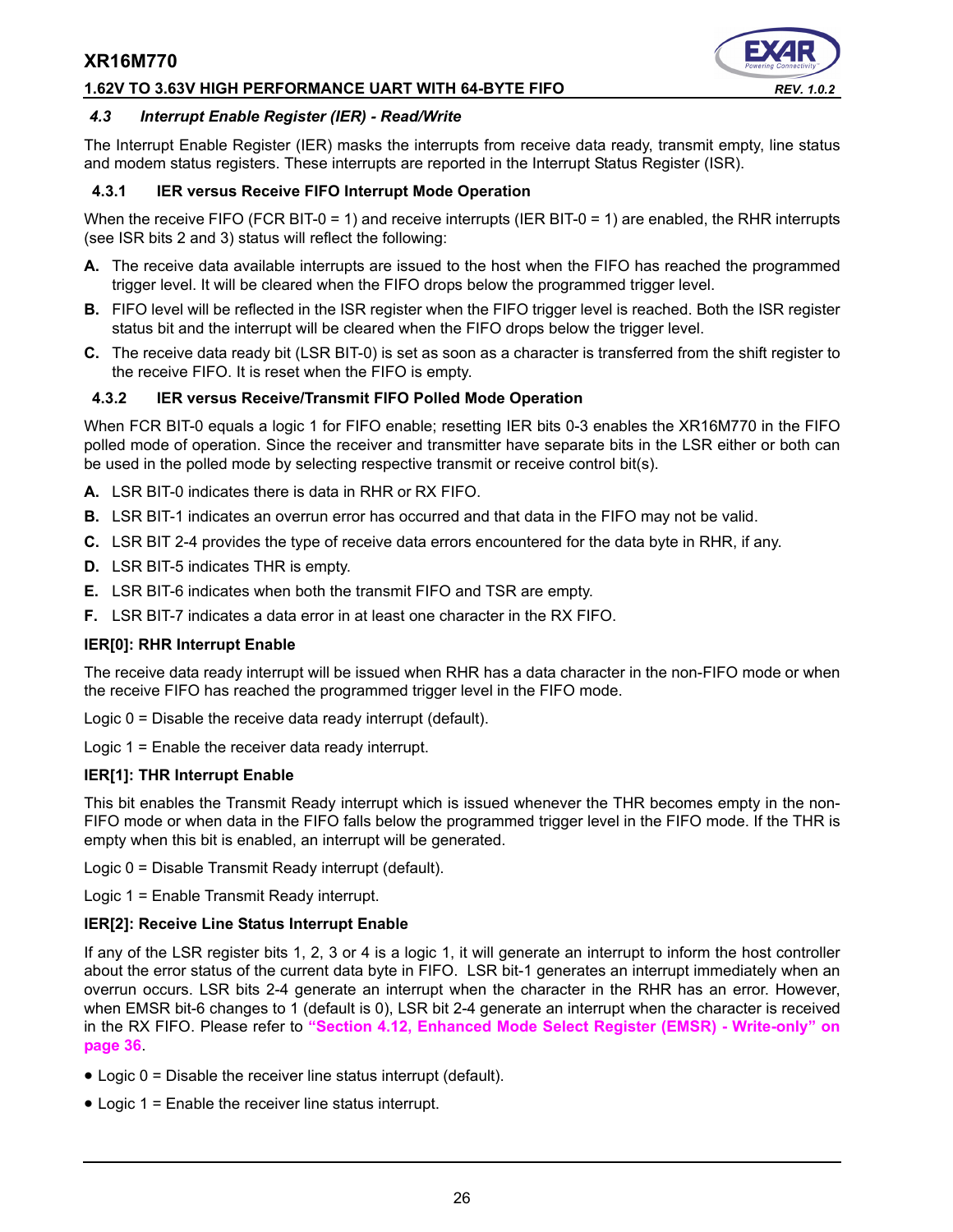### **1.62V TO 3.63V HIGH PERFORMANCE UART WITH 64-BYTE FIFO** *REV. 1.0.2*



### *4.3 Interrupt Enable Register (IER) - Read/Write*

The Interrupt Enable Register (IER) masks the interrupts from receive data ready, transmit empty, line status and modem status registers. These interrupts are reported in the Interrupt Status Register (ISR).

### **4.3.1 IER versus Receive FIFO Interrupt Mode Operation**

When the receive FIFO (FCR BIT-0 = 1) and receive interrupts (IER BIT-0 = 1) are enabled, the RHR interrupts (see ISR bits 2 and 3) status will reflect the following:

- **A.** The receive data available interrupts are issued to the host when the FIFO has reached the programmed trigger level. It will be cleared when the FIFO drops below the programmed trigger level.
- **B.** FIFO level will be reflected in the ISR register when the FIFO trigger level is reached. Both the ISR register status bit and the interrupt will be cleared when the FIFO drops below the trigger level.
- **C.** The receive data ready bit (LSR BIT-0) is set as soon as a character is transferred from the shift register to the receive FIFO. It is reset when the FIFO is empty.

### **4.3.2 IER versus Receive/Transmit FIFO Polled Mode Operation**

When FCR BIT-0 equals a logic 1 for FIFO enable; resetting IER bits 0-3 enables the XR16M770 in the FIFO polled mode of operation. Since the receiver and transmitter have separate bits in the LSR either or both can be used in the polled mode by selecting respective transmit or receive control bit(s).

- **A.** LSR BIT-0 indicates there is data in RHR or RX FIFO.
- **B.** LSR BIT-1 indicates an overrun error has occurred and that data in the FIFO may not be valid.
- **C.** LSR BIT 2-4 provides the type of receive data errors encountered for the data byte in RHR, if any.
- **D.** LSR BIT-5 indicates THR is empty.
- **E.** LSR BIT-6 indicates when both the transmit FIFO and TSR are empty.
- **F.** LSR BIT-7 indicates a data error in at least one character in the RX FIFO.

### **IER[0]: RHR Interrupt Enable**

The receive data ready interrupt will be issued when RHR has a data character in the non-FIFO mode or when the receive FIFO has reached the programmed trigger level in the FIFO mode.

Logic 0 = Disable the receive data ready interrupt (default).

Logic 1 = Enable the receiver data ready interrupt.

### **IER[1]: THR Interrupt Enable**

This bit enables the Transmit Ready interrupt which is issued whenever the THR becomes empty in the non-FIFO mode or when data in the FIFO falls below the programmed trigger level in the FIFO mode. If the THR is empty when this bit is enabled, an interrupt will be generated.

Logic 0 = Disable Transmit Ready interrupt (default).

Logic 1 = Enable Transmit Ready interrupt.

### **IER[2]: Receive Line Status Interrupt Enable**

If any of the LSR register bits 1, 2, 3 or 4 is a logic 1, it will generate an interrupt to inform the host controller about the error status of the current data byte in FIFO. LSR bit-1 generates an interrupt immediately when an overrun occurs. LSR bits 2-4 generate an interrupt when the character in the RHR has an error. However, when EMSR bit-6 changes to 1 (default is 0), LSR bit 2-4 generate an interrupt when the character is received in the RX FIFO. Please refer to **["Section 4.12, Enhanced Mode Select Register \(EMSR\) - Write-only" on](#page-35-0) [page](#page-35-0) 36**.

- Logic 0 = Disable the receiver line status interrupt (default).
- Logic 1 = Enable the receiver line status interrupt.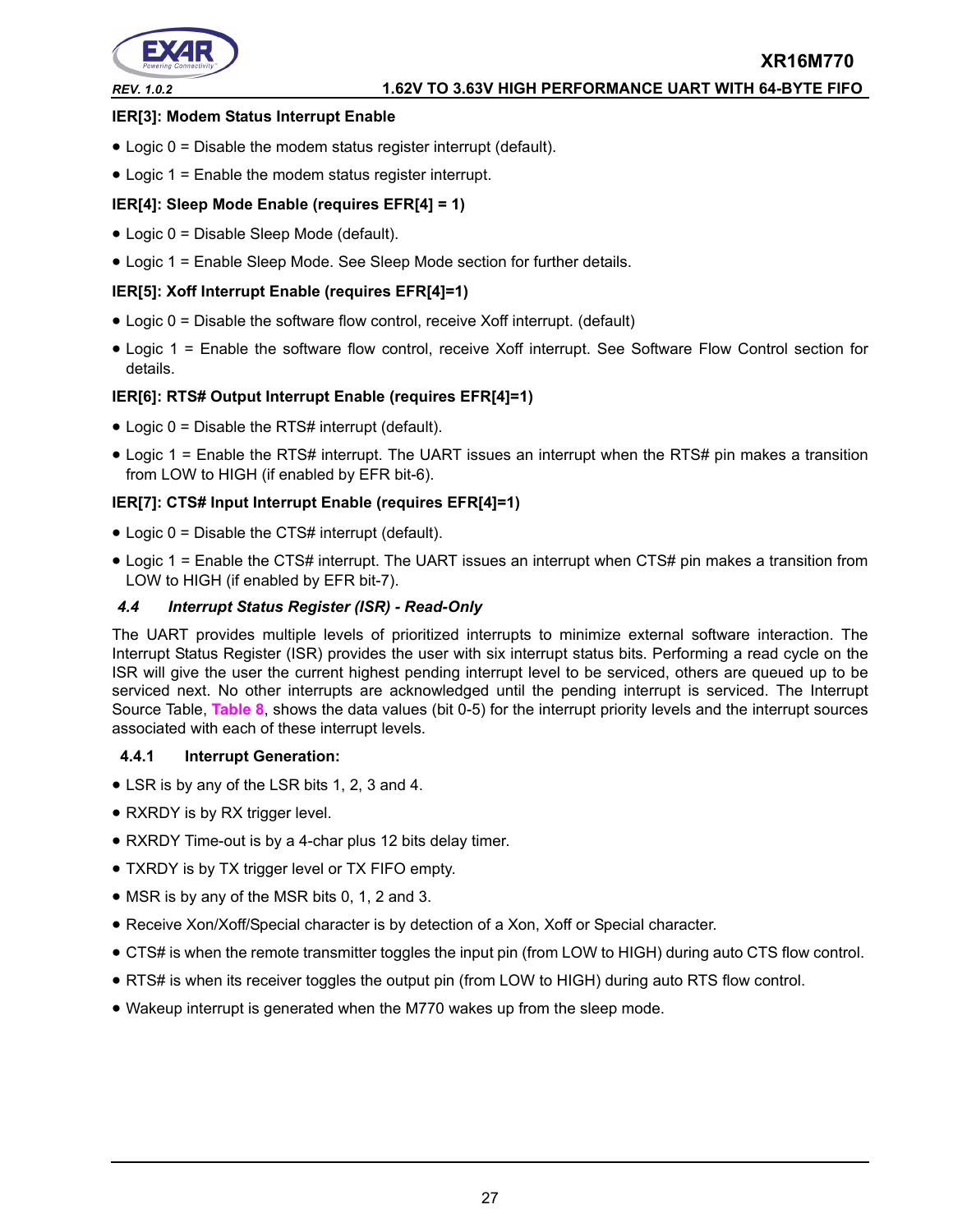

### **IER[3]: Modem Status Interrupt Enable**

- Logic 0 = Disable the modem status register interrupt (default).
- Logic 1 = Enable the modem status register interrupt.

### **IER[4]: Sleep Mode Enable (requires EFR[4] = 1)**

- Logic 0 = Disable Sleep Mode (default).
- Logic 1 = Enable Sleep Mode. See Sleep Mode section for further details.

### **IER[5]: Xoff Interrupt Enable (requires EFR[4]=1)**

- Logic 0 = Disable the software flow control, receive Xoff interrupt. (default)
- Logic 1 = Enable the software flow control, receive Xoff interrupt. See Software Flow Control section for details.

### **IER[6]: RTS# Output Interrupt Enable (requires EFR[4]=1)**

- Logic 0 = Disable the RTS# interrupt (default).
- Logic 1 = Enable the RTS# interrupt. The UART issues an interrupt when the RTS# pin makes a transition from LOW to HIGH (if enabled by EFR bit-6).

### **IER[7]: CTS# Input Interrupt Enable (requires EFR[4]=1)**

- Logic 0 = Disable the CTS# interrupt (default).
- Logic 1 = Enable the CTS# interrupt. The UART issues an interrupt when CTS# pin makes a transition from LOW to HIGH (if enabled by EFR bit-7).

### *4.4 Interrupt Status Register (ISR) - Read-Only*

The UART provides multiple levels of prioritized interrupts to minimize external software interaction. The Interrupt Status Register (ISR) provides the user with six interrupt status bits. Performing a read cycle on the ISR will give the user the current highest pending interrupt level to be serviced, others are queued up to be serviced next. No other interrupts are acknowledged until the pending interrupt is serviced. The Interrupt Source Table, **[Table](#page-27-0) 8**, shows the data values (bit 0-5) for the interrupt priority levels and the interrupt sources associated with each of these interrupt levels.

### **4.4.1 Interrupt Generation:**

- LSR is by any of the LSR bits 1, 2, 3 and 4.
- RXRDY is by RX trigger level.
- RXRDY Time-out is by a 4-char plus 12 bits delay timer.
- TXRDY is by TX trigger level or TX FIFO empty.
- MSR is by any of the MSR bits 0, 1, 2 and 3.
- Receive Xon/Xoff/Special character is by detection of a Xon, Xoff or Special character.
- CTS# is when the remote transmitter toggles the input pin (from LOW to HIGH) during auto CTS flow control.
- RTS# is when its receiver toggles the output pin (from LOW to HIGH) during auto RTS flow control.
- Wakeup interrupt is generated when the M770 wakes up from the sleep mode.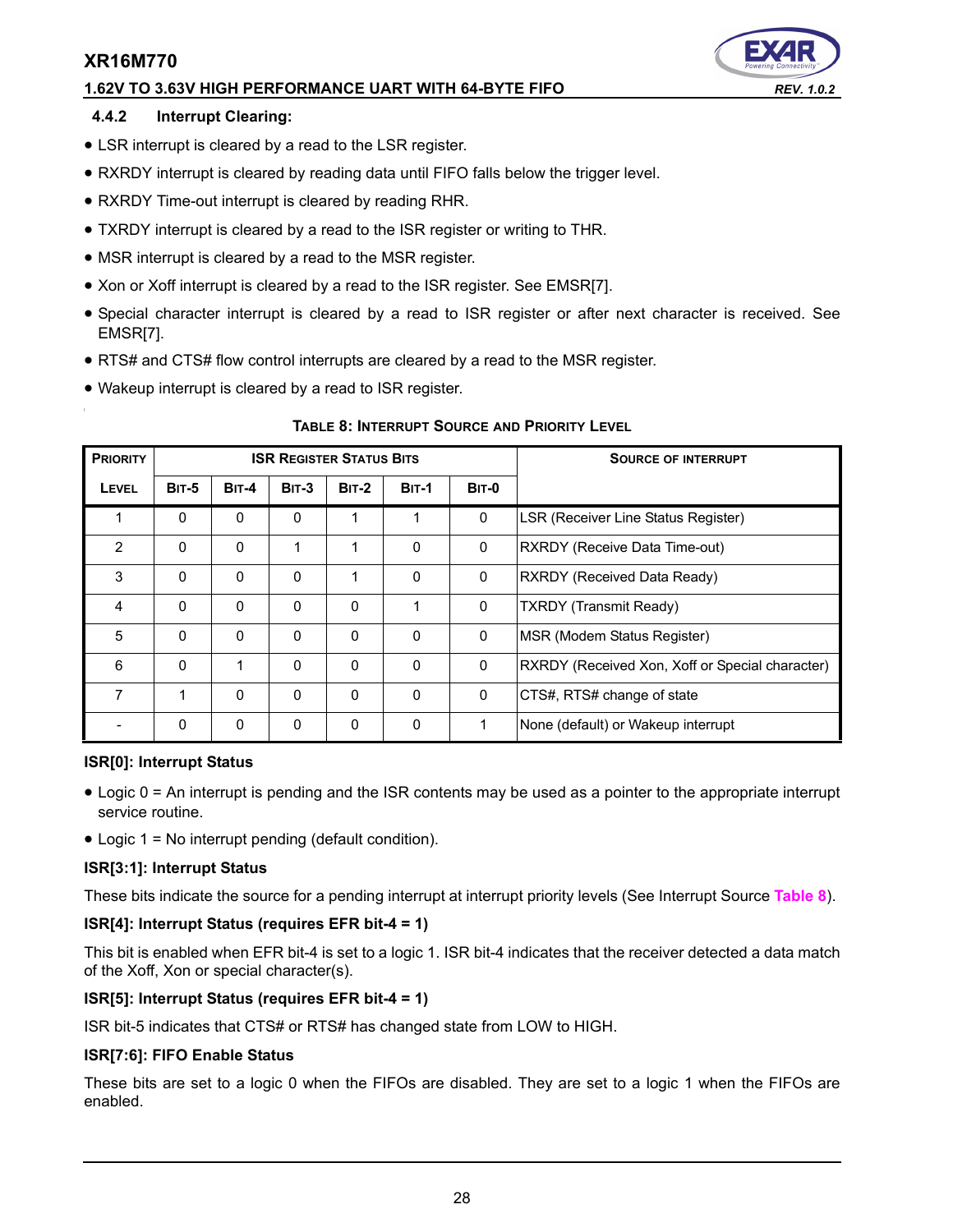### **1.62V TO 3.63V HIGH PERFORMANCE UART WITH 64-BYTE FIFO** *REV. 1.0.2*

### **4.4.2 Interrupt Clearing:**

- LSR interrupt is cleared by a read to the LSR register.
- RXRDY interrupt is cleared by reading data until FIFO falls below the trigger level.
- RXRDY Time-out interrupt is cleared by reading RHR.
- TXRDY interrupt is cleared by a read to the ISR register or writing to THR.
- MSR interrupt is cleared by a read to the MSR register.
- Xon or Xoff interrupt is cleared by a read to the ISR register. See EMSR[7].
- Special character interrupt is cleared by a read to ISR register or after next character is received. See EMSR[7].
- RTS# and CTS# flow control interrupts are cleared by a read to the MSR register.
- Wakeup interrupt is cleared by a read to ISR register.

<span id="page-27-0"></span>

| <b>PRIORITY</b> |              |              | <b>ISR REGISTER STATUS BITS</b> |              |              | <b>SOURCE OF INTERRUPT</b> |                                                 |
|-----------------|--------------|--------------|---------------------------------|--------------|--------------|----------------------------|-------------------------------------------------|
| <b>LEVEL</b>    | <b>BIT-5</b> | <b>BIT-4</b> | $BIT-3$                         | <b>BIT-2</b> | <b>BIT-1</b> | <b>BIT-0</b>               |                                                 |
|                 | $\mathbf{0}$ | $\mathbf{0}$ | 0                               | 1            | 1            | 0                          | LSR (Receiver Line Status Register)             |
| $\overline{2}$  | $\mathbf{0}$ | $\Omega$     | 1                               | 1            | $\Omega$     | 0                          | RXRDY (Receive Data Time-out)                   |
| 3               | 0            | $\Omega$     | 0                               | 1            | $\Omega$     | $\mathbf{0}$               | RXRDY (Received Data Ready)                     |
| 4               | $\mathbf{0}$ | $\mathbf{0}$ | $\Omega$                        | $\mathbf{0}$ | 1            | 0                          | <b>TXRDY (Transmit Ready)</b>                   |
| 5               | 0            | $\Omega$     | $\Omega$                        | $\Omega$     | $\Omega$     | $\mathbf{0}$               | MSR (Modem Status Register)                     |
| 6               | $\Omega$     | 1            | $\Omega$                        | $\Omega$     | $\Omega$     | $\mathbf 0$                | RXRDY (Received Xon, Xoff or Special character) |
| 7               | 1            | $\Omega$     | 0                               | $\mathbf{0}$ | $\Omega$     | 0                          | CTS#, RTS# change of state                      |
|                 | 0            | $\mathbf 0$  | 0                               | 0            | $\Omega$     |                            | None (default) or Wakeup interrupt              |

### **TABLE 8: INTERRUPT SOURCE AND PRIORITY LEVEL**

### **ISR[0]: Interrupt Status**

- Logic 0 = An interrupt is pending and the ISR contents may be used as a pointer to the appropriate interrupt service routine.
- Logic 1 = No interrupt pending (default condition).

### **ISR[3:1]: Interrupt Status**

These bits indicate the source for a pending interrupt at interrupt priority levels (See Interrupt Source **[Table](#page-27-0) 8**).

### **ISR[4]: Interrupt Status (requires EFR bit-4 = 1)**

This bit is enabled when EFR bit-4 is set to a logic 1. ISR bit-4 indicates that the receiver detected a data match of the Xoff, Xon or special character(s).

### **ISR[5]: Interrupt Status (requires EFR bit-4 = 1)**

ISR bit-5 indicates that CTS# or RTS# has changed state from LOW to HIGH.

### **ISR[7:6]: FIFO Enable Status**

These bits are set to a logic 0 when the FIFOs are disabled. They are set to a logic 1 when the FIFOs are enabled.

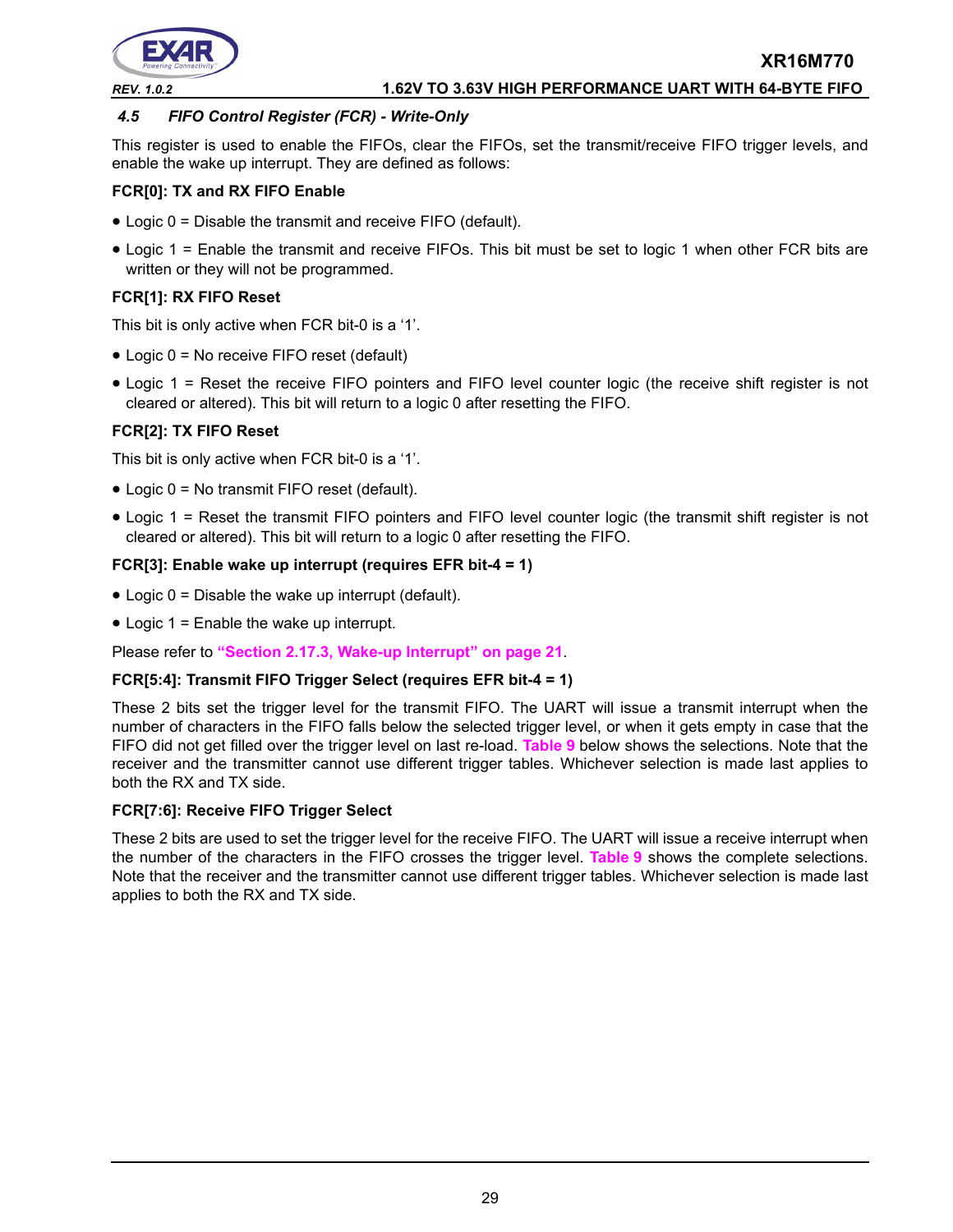

### *REV. 1.0.2* **1.62V TO 3.63V HIGH PERFORMANCE UART WITH 64-BYTE FIFO**

### <span id="page-28-0"></span>*4.5 FIFO Control Register (FCR) - Write-Only*

This register is used to enable the FIFOs, clear the FIFOs, set the transmit/receive FIFO trigger levels, and enable the wake up interrupt. They are defined as follows:

### **FCR[0]: TX and RX FIFO Enable**

- Logic 0 = Disable the transmit and receive FIFO (default).
- Logic 1 = Enable the transmit and receive FIFOs. This bit must be set to logic 1 when other FCR bits are written or they will not be programmed.

### **FCR[1]: RX FIFO Reset**

This bit is only active when FCR bit-0 is a '1'.

- Logic 0 = No receive FIFO reset (default)
- Logic 1 = Reset the receive FIFO pointers and FIFO level counter logic (the receive shift register is not cleared or altered). This bit will return to a logic 0 after resetting the FIFO.

### **FCR[2]: TX FIFO Reset**

This bit is only active when FCR bit-0 is a '1'.

- Logic 0 = No transmit FIFO reset (default).
- Logic 1 = Reset the transmit FIFO pointers and FIFO level counter logic (the transmit shift register is not cleared or altered). This bit will return to a logic 0 after resetting the FIFO.

### **FCR[3]: Enable wake up interrupt (requires EFR bit-4 = 1)**

- Logic  $0 =$  Disable the wake up interrupt (default).
- Logic 1 = Enable the wake up interrupt.

Please refer to **["Section 2.17.3, Wake-up Interrupt" on page](#page-20-0) 21**.

### **FCR[5:4]: Transmit FIFO Trigger Select (requires EFR bit-4 = 1)**

These 2 bits set the trigger level for the transmit FIFO. The UART will issue a transmit interrupt when the number of characters in the FIFO falls below the selected trigger level, or when it gets empty in case that the FIFO did not get filled over the trigger level on last re-load. **[Table](#page-29-0) 9** below shows the selections. Note that the receiver and the transmitter cannot use different trigger tables. Whichever selection is made last applies to both the RX and TX side.

### **FCR[7:6]: Receive FIFO Trigger Select**

These 2 bits are used to set the trigger level for the receive FIFO. The UART will issue a receive interrupt when the number of the characters in the FIFO crosses the trigger level. **[Table](#page-29-0) 9** shows the complete selections. Note that the receiver and the transmitter cannot use different trigger tables. Whichever selection is made last applies to both the RX and TX side.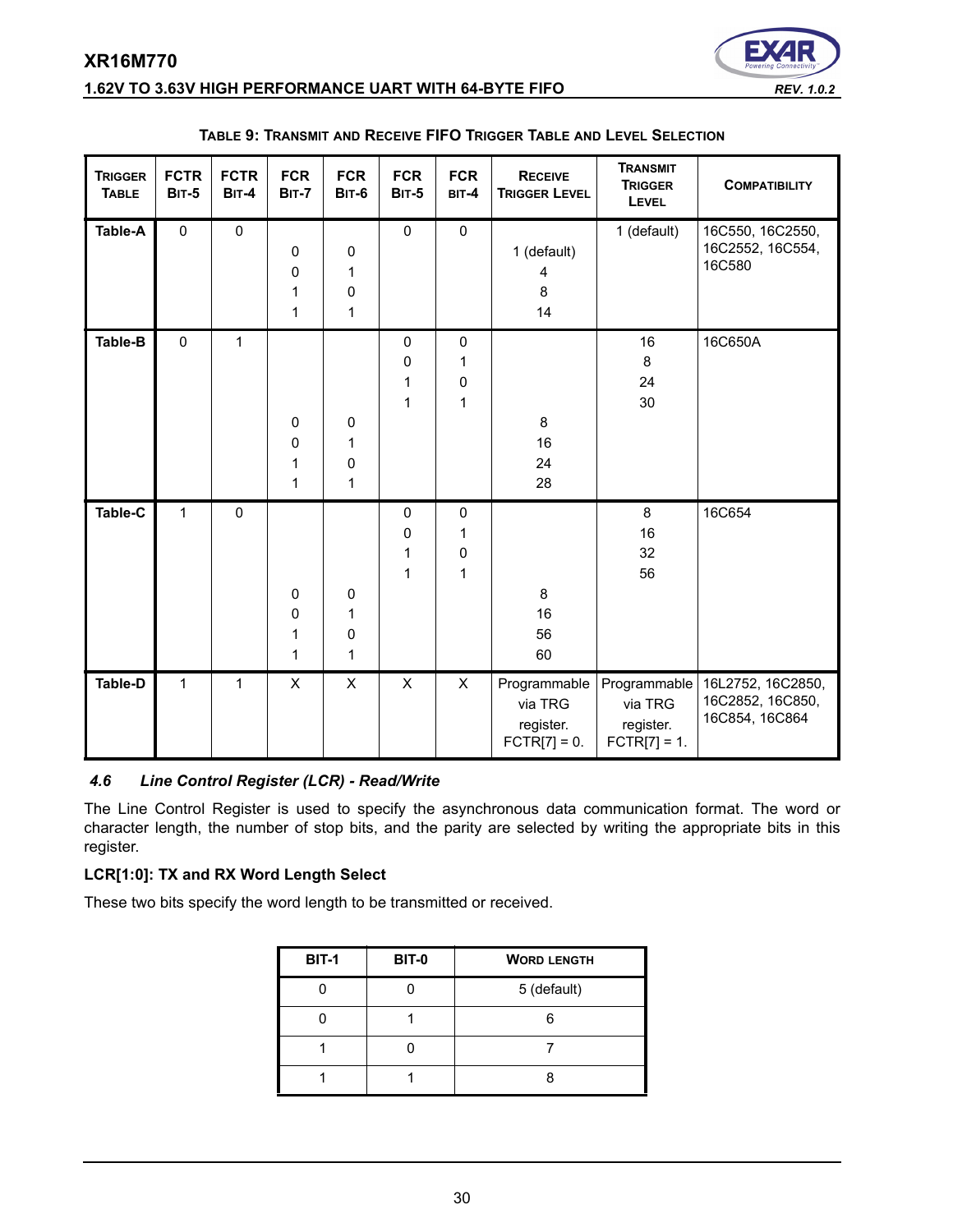

<span id="page-29-0"></span>

|  | TABLE 9: TRANSMIT AND RECEIVE FIFO TRIGGER TABLE AND LEVEL SELECTION |
|--|----------------------------------------------------------------------|
|--|----------------------------------------------------------------------|

### *4.6 Line Control Register (LCR) - Read/Write*

The Line Control Register is used to specify the asynchronous data communication format. The word or character length, the number of stop bits, and the parity are selected by writing the appropriate bits in this register.

### **LCR[1:0]: TX and RX Word Length Select**

These two bits specify the word length to be transmitted or received.

| <b>BIT-1</b> | <b>BIT-0</b> | <b>WORD LENGTH</b> |
|--------------|--------------|--------------------|
|              |              | 5 (default)        |
|              |              | ี                  |
|              |              |                    |
|              |              |                    |



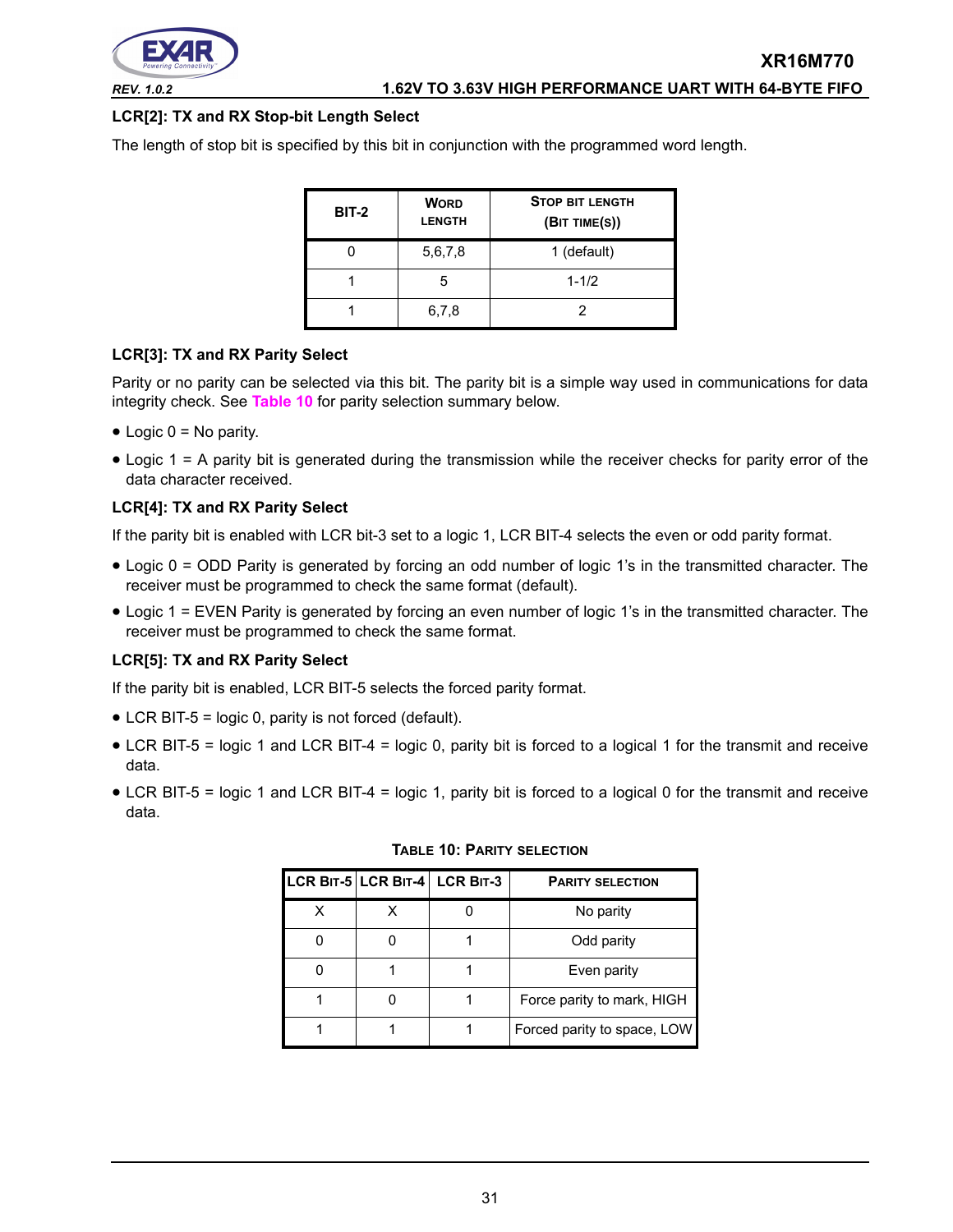

# **LCR[2]: TX and RX Stop-bit Length Select**

The length of stop bit is specified by this bit in conjunction with the programmed word length.

| <b>BIT-2</b> | <b>WORD</b><br><b>LENGTH</b> | <b>STOP BIT LENGTH</b><br>(BIT TIME(S)) |
|--------------|------------------------------|-----------------------------------------|
|              | 5,6,7,8                      | 1 (default)                             |
|              |                              | $1 - 1/2$                               |
|              | 6,7,8                        |                                         |

### **LCR[3]: TX and RX Parity Select**

Parity or no parity can be selected via this bit. The parity bit is a simple way used in communications for data integrity check. See **[Table](#page-30-0) 10** for parity selection summary below.

- $\bullet$  Logic 0 = No parity.
- Logic 1 = A parity bit is generated during the transmission while the receiver checks for parity error of the data character received.

### **LCR[4]: TX and RX Parity Select**

If the parity bit is enabled with LCR bit-3 set to a logic 1, LCR BIT-4 selects the even or odd parity format.

- Logic 0 = ODD Parity is generated by forcing an odd number of logic 1's in the transmitted character. The receiver must be programmed to check the same format (default).
- Logic 1 = EVEN Parity is generated by forcing an even number of logic 1's in the transmitted character. The receiver must be programmed to check the same format.

### **LCR[5]: TX and RX Parity Select**

If the parity bit is enabled, LCR BIT-5 selects the forced parity format.

- LCR BIT-5 = logic 0, parity is not forced (default).
- LCR BIT-5 = logic 1 and LCR BIT-4 = logic 0, parity bit is forced to a logical 1 for the transmit and receive data.
- <span id="page-30-0"></span>• LCR BIT-5 = logic 1 and LCR BIT-4 = logic 1, parity bit is forced to a logical 0 for the transmit and receive data.

|  | LCR BIT-5 LCR BIT-4 LCR BIT-3 | <b>PARITY SELECTION</b>     |
|--|-------------------------------|-----------------------------|
|  |                               | No parity                   |
|  |                               | Odd parity                  |
|  |                               | Even parity                 |
|  |                               | Force parity to mark, HIGH  |
|  |                               | Forced parity to space, LOW |

### **TABLE 10: PARITY SELECTION**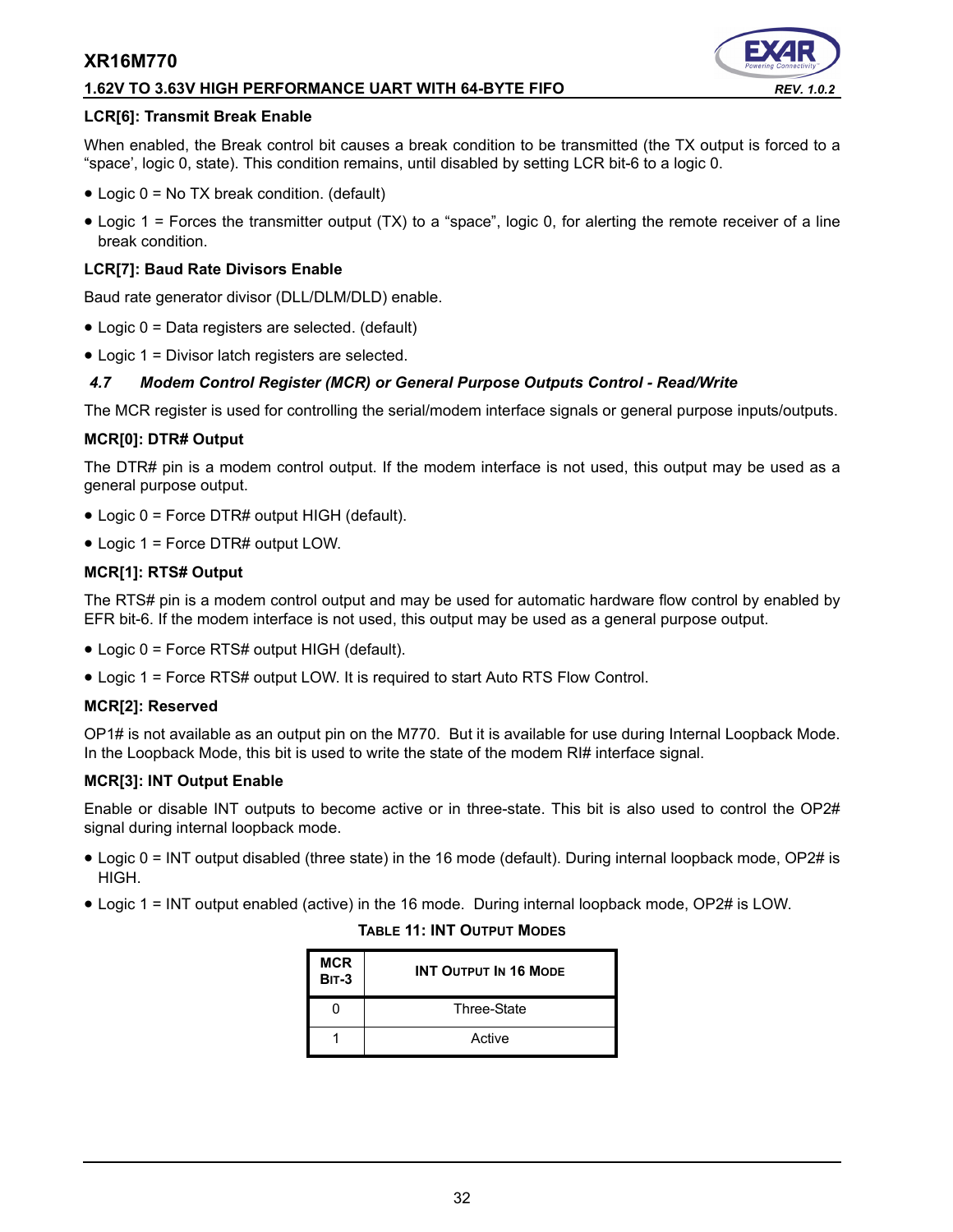### **1.62V TO 3.63V HIGH PERFORMANCE UART WITH 64-BYTE FIFO** *REV. 1.0.2*

### **LCR[6]: Transmit Break Enable**

When enabled, the Break control bit causes a break condition to be transmitted (the TX output is forced to a "space', logic 0, state). This condition remains, until disabled by setting LCR bit-6 to a logic 0.

- Logic 0 = No TX break condition. (default)
- Logic 1 = Forces the transmitter output (TX) to a "space", logic 0, for alerting the remote receiver of a line break condition.

### **LCR[7]: Baud Rate Divisors Enable**

Baud rate generator divisor (DLL/DLM/DLD) enable.

- Logic 0 = Data registers are selected. (default)
- Logic 1 = Divisor latch registers are selected.

### *4.7 Modem Control Register (MCR) or General Purpose Outputs Control - Read/Write*

The MCR register is used for controlling the serial/modem interface signals or general purpose inputs/outputs.

### **MCR[0]: DTR# Output**

The DTR# pin is a modem control output. If the modem interface is not used, this output may be used as a general purpose output.

- Logic 0 = Force DTR# output HIGH (default).
- Logic 1 = Force DTR# output LOW.

### **MCR[1]: RTS# Output**

The RTS# pin is a modem control output and may be used for automatic hardware flow control by enabled by EFR bit-6. If the modem interface is not used, this output may be used as a general purpose output.

- Logic 0 = Force RTS# output HIGH (default).
- Logic 1 = Force RTS# output LOW. It is required to start Auto RTS Flow Control.

### **MCR[2]: Reserved**

OP1# is not available as an output pin on the M770. But it is available for use during Internal Loopback Mode. In the Loopback Mode, this bit is used to write the state of the modem RI# interface signal.

### **MCR[3]: INT Output Enable**

Enable or disable INT outputs to become active or in three-state. This bit is also used to control the OP2# signal during internal loopback mode.

- Logic 0 = INT output disabled (three state) in the 16 mode (default). During internal loopback mode, OP2# is HIGH.
- Logic 1 = INT output enabled (active) in the 16 mode. During internal loopback mode, OP2# is LOW.

### **TABLE 11: INT OUTPUT MODES**

| <b>MCR</b><br><b>BIT-3</b> | <b>INT OUTPUT IN 16 MODE</b> |
|----------------------------|------------------------------|
|                            | Three-State                  |
|                            | Active                       |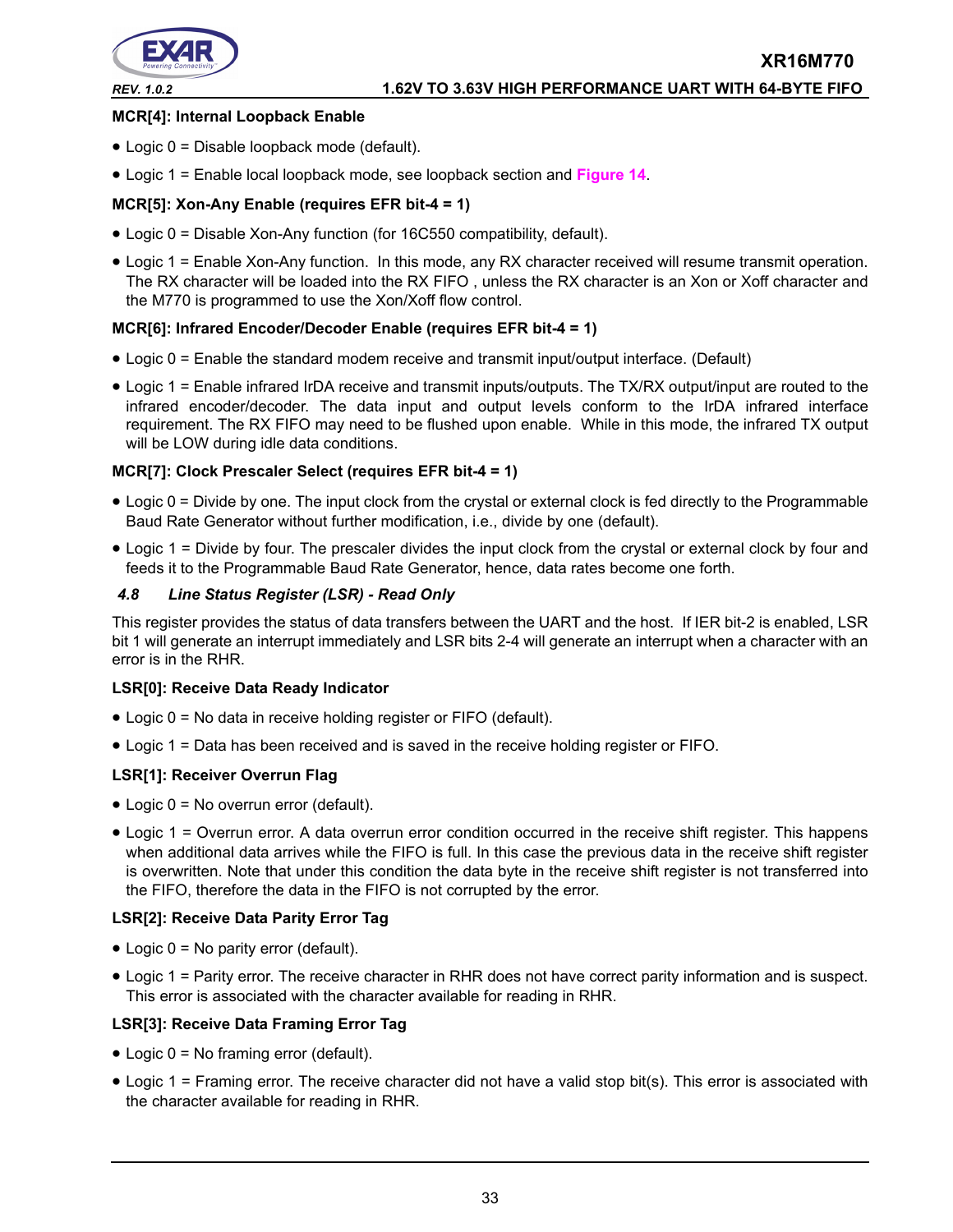

### **MCR[4]: Internal Loopback Enable**

- Logic 0 = Disable loopback mode (default).
- Logic 1 = Enable local loopback mode, see loopback section and **[Figure](#page-21-0) 14**.

### **MCR[5]: Xon-Any Enable (requires EFR bit-4 = 1)**

- Logic 0 = Disable Xon-Any function (for 16C550 compatibility, default).
- Logic 1 = Enable Xon-Any function. In this mode, any RX character received will resume transmit operation. The RX character will be loaded into the RX FIFO , unless the RX character is an Xon or Xoff character and the M770 is programmed to use the Xon/Xoff flow control.

### **MCR[6]: Infrared Encoder/Decoder Enable (requires EFR bit-4 = 1)**

- Logic 0 = Enable the standard modem receive and transmit input/output interface. (Default)
- Logic 1 = Enable infrared IrDA receive and transmit inputs/outputs. The TX/RX output/input are routed to the infrared encoder/decoder. The data input and output levels conform to the IrDA infrared interface requirement. The RX FIFO may need to be flushed upon enable. While in this mode, the infrared TX output will be LOW during idle data conditions.

### **MCR[7]: Clock Prescaler Select (requires EFR bit-4 = 1)**

- Logic 0 = Divide by one. The input clock from the crystal or external clock is fed directly to the Programmable Baud Rate Generator without further modification, i.e., divide by one (default).
- Logic 1 = Divide by four. The prescaler divides the input clock from the crystal or external clock by four and feeds it to the Programmable Baud Rate Generator, hence, data rates become one forth.

### *4.8 Line Status Register (LSR) - Read Only*

This register provides the status of data transfers between the UART and the host. If IER bit-2 is enabled, LSR bit 1 will generate an interrupt immediately and LSR bits 2-4 will generate an interrupt when a character with an error is in the RHR.

### **LSR[0]: Receive Data Ready Indicator**

- Logic 0 = No data in receive holding register or FIFO (default).
- Logic 1 = Data has been received and is saved in the receive holding register or FIFO.

### **LSR[1]: Receiver Overrun Flag**

- Logic 0 = No overrun error (default).
- Logic 1 = Overrun error. A data overrun error condition occurred in the receive shift register. This happens when additional data arrives while the FIFO is full. In this case the previous data in the receive shift register is overwritten. Note that under this condition the data byte in the receive shift register is not transferred into the FIFO, therefore the data in the FIFO is not corrupted by the error.

### **LSR[2]: Receive Data Parity Error Tag**

- Logic 0 = No parity error (default).
- Logic 1 = Parity error. The receive character in RHR does not have correct parity information and is suspect. This error is associated with the character available for reading in RHR.

### **LSR[3]: Receive Data Framing Error Tag**

- Logic 0 = No framing error (default).
- Logic 1 = Framing error. The receive character did not have a valid stop bit(s). This error is associated with the character available for reading in RHR.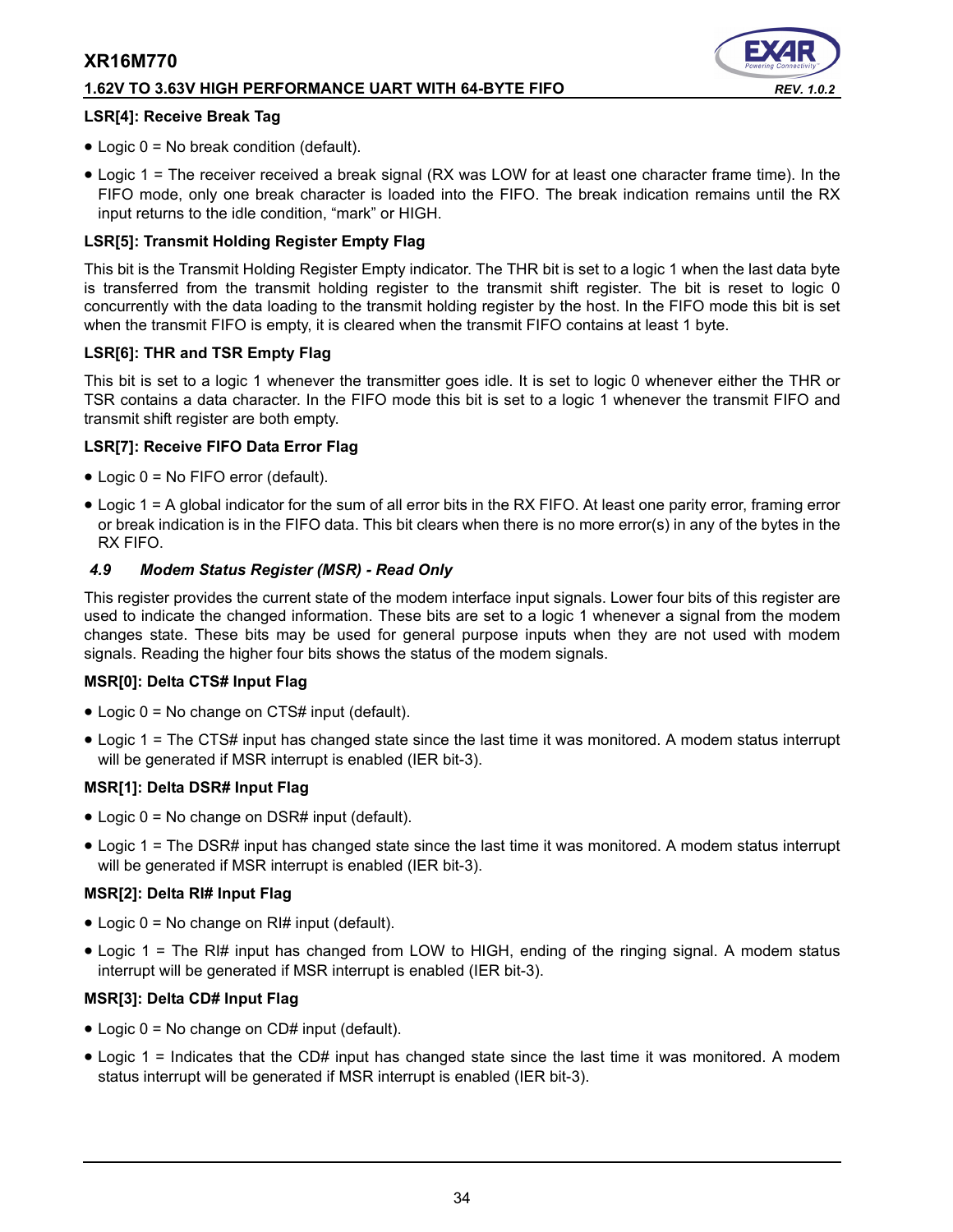### **1.62V TO 3.63V HIGH PERFORMANCE UART WITH 64-BYTE FIFO** *REV. 1.0.2*



### **LSR[4]: Receive Break Tag**

- Logic 0 = No break condition (default).
- Logic 1 = The receiver received a break signal (RX was LOW for at least one character frame time). In the FIFO mode, only one break character is loaded into the FIFO. The break indication remains until the RX input returns to the idle condition, "mark" or HIGH.

### **LSR[5]: Transmit Holding Register Empty Flag**

This bit is the Transmit Holding Register Empty indicator. The THR bit is set to a logic 1 when the last data byte is transferred from the transmit holding register to the transmit shift register. The bit is reset to logic 0 concurrently with the data loading to the transmit holding register by the host. In the FIFO mode this bit is set when the transmit FIFO is empty, it is cleared when the transmit FIFO contains at least 1 byte.

### **LSR[6]: THR and TSR Empty Flag**

This bit is set to a logic 1 whenever the transmitter goes idle. It is set to logic 0 whenever either the THR or TSR contains a data character. In the FIFO mode this bit is set to a logic 1 whenever the transmit FIFO and transmit shift register are both empty.

### **LSR[7]: Receive FIFO Data Error Flag**

- Logic 0 = No FIFO error (default).
- Logic 1 = A global indicator for the sum of all error bits in the RX FIFO. At least one parity error, framing error or break indication is in the FIFO data. This bit clears when there is no more error(s) in any of the bytes in the RX FIFO.

### *4.9 Modem Status Register (MSR) - Read Only*

This register provides the current state of the modem interface input signals. Lower four bits of this register are used to indicate the changed information. These bits are set to a logic 1 whenever a signal from the modem changes state. These bits may be used for general purpose inputs when they are not used with modem signals. Reading the higher four bits shows the status of the modem signals.

### **MSR[0]: Delta CTS# Input Flag**

- Logic 0 = No change on CTS# input (default).
- Logic 1 = The CTS# input has changed state since the last time it was monitored. A modem status interrupt will be generated if MSR interrupt is enabled (IER bit-3).

### **MSR[1]: Delta DSR# Input Flag**

- Logic 0 = No change on DSR# input (default).
- Logic 1 = The DSR# input has changed state since the last time it was monitored. A modem status interrupt will be generated if MSR interrupt is enabled (IER bit-3).

### **MSR[2]: Delta RI# Input Flag**

- Logic 0 = No change on RI# input (default).
- Logic 1 = The RI# input has changed from LOW to HIGH, ending of the ringing signal. A modem status interrupt will be generated if MSR interrupt is enabled (IER bit-3).

### **MSR[3]: Delta CD# Input Flag**

- Logic 0 = No change on CD# input (default).
- Logic 1 = Indicates that the CD# input has changed state since the last time it was monitored. A modem status interrupt will be generated if MSR interrupt is enabled (IER bit-3).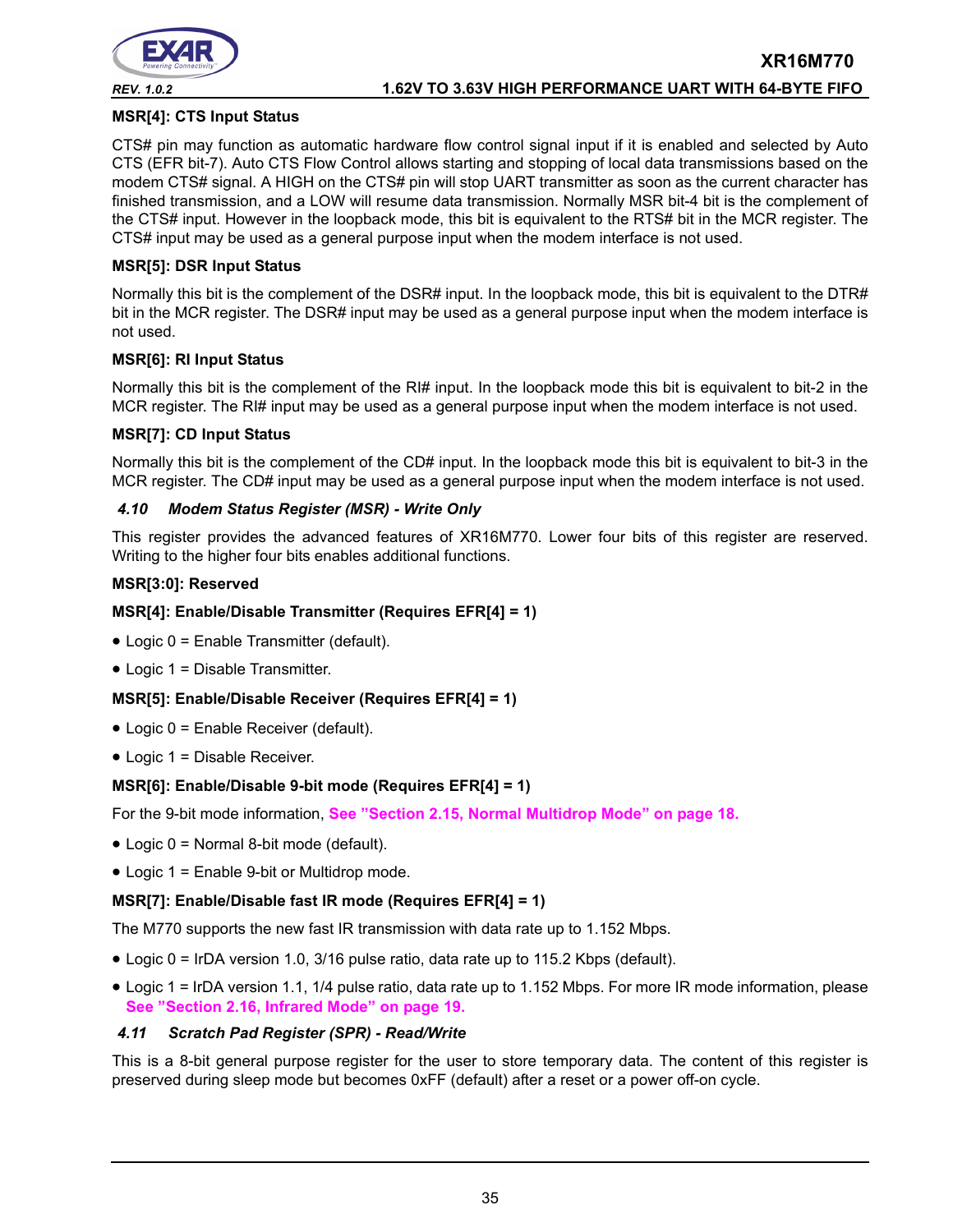

### **MSR[4]: CTS Input Status**

CTS# pin may function as automatic hardware flow control signal input if it is enabled and selected by Auto CTS (EFR bit-7). Auto CTS Flow Control allows starting and stopping of local data transmissions based on the modem CTS# signal. A HIGH on the CTS# pin will stop UART transmitter as soon as the current character has finished transmission, and a LOW will resume data transmission. Normally MSR bit-4 bit is the complement of the CTS# input. However in the loopback mode, this bit is equivalent to the RTS# bit in the MCR register. The CTS# input may be used as a general purpose input when the modem interface is not used.

### **MSR[5]: DSR Input Status**

Normally this bit is the complement of the DSR# input. In the loopback mode, this bit is equivalent to the DTR# bit in the MCR register. The DSR# input may be used as a general purpose input when the modem interface is not used.

### **MSR[6]: RI Input Status**

Normally this bit is the complement of the RI# input. In the loopback mode this bit is equivalent to bit-2 in the MCR register. The RI# input may be used as a general purpose input when the modem interface is not used.

### **MSR[7]: CD Input Status**

Normally this bit is the complement of the CD# input. In the loopback mode this bit is equivalent to bit-3 in the MCR register. The CD# input may be used as a general purpose input when the modem interface is not used.

### *4.10 Modem Status Register (MSR) - Write Only*

This register provides the advanced features of XR16M770. Lower four bits of this register are reserved. Writing to the higher four bits enables additional functions.

### **MSR[3:0]: Reserved**

### **MSR[4]: Enable/Disable Transmitter (Requires EFR[4] = 1)**

- Logic 0 = Enable Transmitter (default).
- Logic 1 = Disable Transmitter.

### **MSR[5]: Enable/Disable Receiver (Requires EFR[4] = 1)**

- Logic 0 = Enable Receiver (default).
- Logic 1 = Disable Receiver.

### **MSR[6]: Enable/Disable 9-bit mode (Requires EFR[4] = 1)**

For the 9-bit mode information, **[See "Section 2.15, Normal Multidrop Mode" on page](#page-17-1) 18.**

- Logic 0 = Normal 8-bit mode (default).
- Logic 1 = Enable 9-bit or Multidrop mode.

### **MSR[7]: Enable/Disable fast IR mode (Requires EFR[4] = 1)**

The M770 supports the new fast IR transmission with data rate up to 1.152 Mbps.

- Logic 0 = IrDA version 1.0, 3/16 pulse ratio, data rate up to 115.2 Kbps (default).
- Logic 1 = IrDA version 1.1, 1/4 pulse ratio, data rate up to 1.152 Mbps. For more IR mode information, please **[See "Section 2.16, Infrared Mode" on page](#page-18-0) 19.**

### *4.11 Scratch Pad Register (SPR) - Read/Write*

This is a 8-bit general purpose register for the user to store temporary data. The content of this register is preserved during sleep mode but becomes 0xFF (default) after a reset or a power off-on cycle.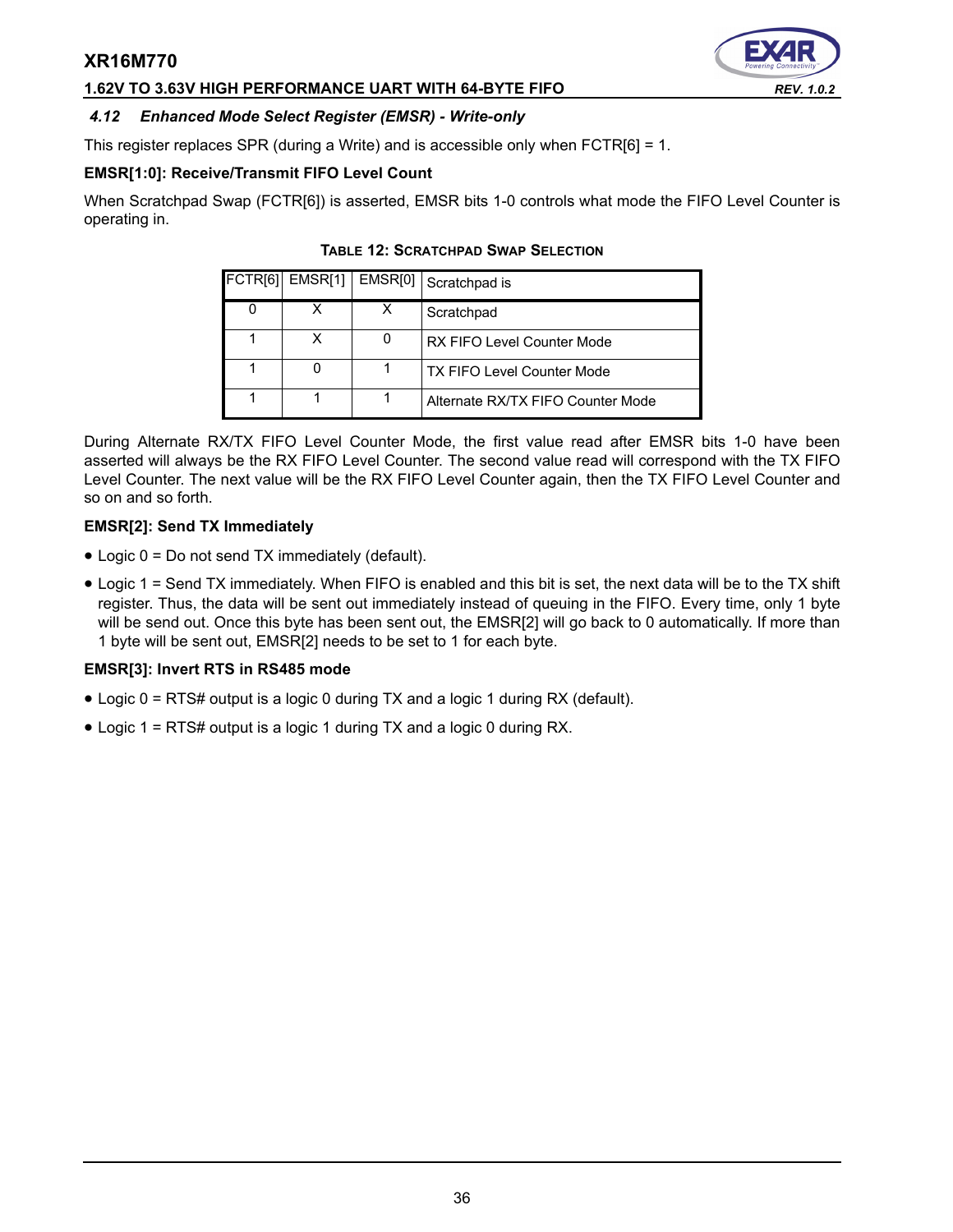### **1.62V TO 3.63V HIGH PERFORMANCE UART WITH 64-BYTE FIFO** *REV. 1.0.2*

# <span id="page-35-0"></span>*4.12 Enhanced Mode Select Register (EMSR) - Write-only*

This register replaces SPR (during a Write) and is accessible only when FCTR[6] = 1.

### **EMSR[1:0]: Receive/Transmit FIFO Level Count**

<span id="page-35-1"></span>When Scratchpad Swap (FCTR[6]) is asserted, EMSR bits 1-0 controls what mode the FIFO Level Counter is operating in.

| FCTR[6] EMSR[1]   EMSR[0] | Scratchpad is                     |
|---------------------------|-----------------------------------|
|                           | Scratchpad                        |
| x                         | RX FIFO Level Counter Mode        |
|                           | <b>TX FIFO Level Counter Mode</b> |
|                           | Alternate RX/TX FIFO Counter Mode |

### **TABLE 12: SCRATCHPAD SWAP SELECTION**

During Alternate RX/TX FIFO Level Counter Mode, the first value read after EMSR bits 1-0 have been asserted will always be the RX FIFO Level Counter. The second value read will correspond with the TX FIFO Level Counter. The next value will be the RX FIFO Level Counter again, then the TX FIFO Level Counter and so on and so forth.

### **EMSR[2]: Send TX Immediately**

- Logic 0 = Do not send TX immediately (default).
- Logic 1 = Send TX immediately. When FIFO is enabled and this bit is set, the next data will be to the TX shift register. Thus, the data will be sent out immediately instead of queuing in the FIFO. Every time, only 1 byte will be send out. Once this byte has been sent out, the EMSR[2] will go back to 0 automatically. If more than 1 byte will be sent out, EMSR[2] needs to be set to 1 for each byte.

### **EMSR[3]: Invert RTS in RS485 mode**

- Logic 0 = RTS# output is a logic 0 during TX and a logic 1 during RX (default).
- Logic 1 = RTS# output is a logic 1 during TX and a logic 0 during RX.

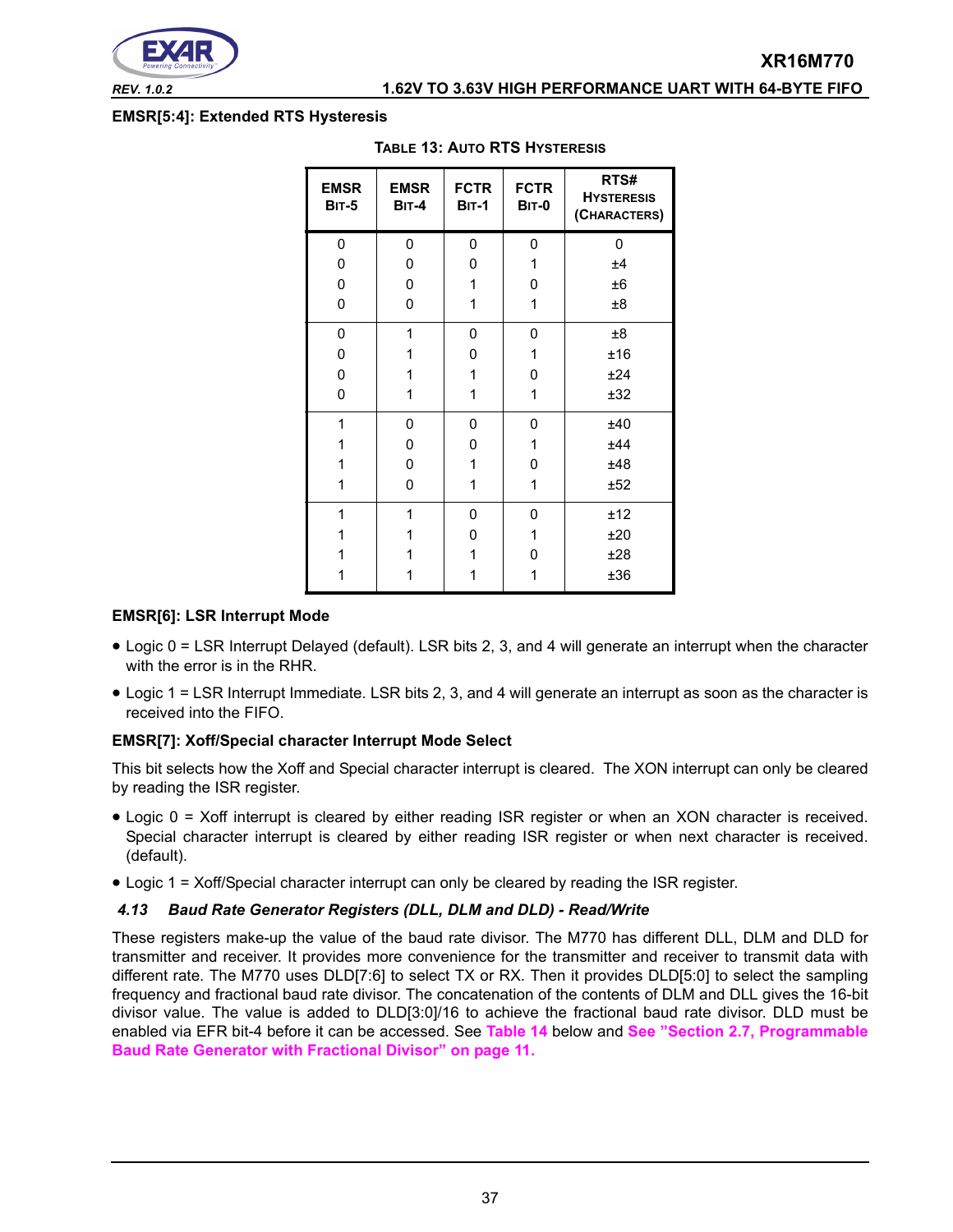

*REV. 1.0.2* **1.62V TO 3.63V HIGH PERFORMANCE UART WITH 64-BYTE FIFO**

### <span id="page-36-1"></span>**EMSR[5:4]: Extended RTS Hysteresis**

| <b>EMSR</b><br><b>BIT-5</b> | <b>EMSR</b><br><b>BIT-4</b> | <b>FCTR</b><br><b>BIT-1</b> | <b>FCTR</b><br><b>BIT-0</b> | RTS#<br><b>HYSTERESIS</b><br>(CHARACTERS) |
|-----------------------------|-----------------------------|-----------------------------|-----------------------------|-------------------------------------------|
| 0                           | 0                           | 0                           | 0                           | 0                                         |
| 0                           | 0                           | 0                           | 1                           | ±4                                        |
| 0                           | 0                           | 1                           | 0                           | ±6                                        |
| 0                           | 0                           | 1                           | 1                           | $\pm 8$                                   |
| 0                           | 1                           | 0                           | 0                           | $\pm 8$                                   |
| 0                           | 1                           | 0                           | 1                           | ±16                                       |
| 0                           | 1                           | 1                           | 0                           | ±24                                       |
| 0                           | 1                           | 1                           | 1                           | ±32                                       |
| 1                           | 0                           | 0                           | 0                           | ±40                                       |
| 1                           | 0                           | 0                           | 1                           | ±44                                       |
| 1                           | 0                           | 1                           | 0                           | ±48                                       |
| 1                           | 0                           | 1                           | 1                           | ±52                                       |
| 1                           | 1                           | 0                           | 0                           | ±12                                       |
| 1                           | 1                           | 0                           | 1                           | ±20                                       |
| 1                           | 1                           | 1                           | 0                           | ±28                                       |
|                             |                             | 1                           |                             | ±36                                       |

### **TABLE 13: AUTO RTS HYSTERESIS**

### **EMSR[6]: LSR Interrupt Mode**

- Logic 0 = LSR Interrupt Delayed (default). LSR bits 2, 3, and 4 will generate an interrupt when the character with the error is in the RHR.
- Logic 1 = LSR Interrupt Immediate. LSR bits 2, 3, and 4 will generate an interrupt as soon as the character is received into the FIFO.

### **EMSR[7]: Xoff/Special character Interrupt Mode Select**

This bit selects how the Xoff and Special character interrupt is cleared. The XON interrupt can only be cleared by reading the ISR register.

- Logic 0 = Xoff interrupt is cleared by either reading ISR register or when an XON character is received. Special character interrupt is cleared by either reading ISR register or when next character is received. (default).
- Logic 1 = Xoff/Special character interrupt can only be cleared by reading the ISR register.

### <span id="page-36-0"></span>*4.13 Baud Rate Generator Registers (DLL, DLM and DLD) - Read/Write*

These registers make-up the value of the baud rate divisor. The M770 has different DLL, DLM and DLD for transmitter and receiver. It provides more convenience for the transmitter and receiver to transmit data with different rate. The M770 uses DLD[7:6] to select TX or RX. Then it provides DLD[5:0] to select the sampling frequency and fractional baud rate divisor. The concatenation of the contents of DLM and DLL gives the 16-bit divisor value. The value is added to DLD[3:0]/16 to achieve the fractional baud rate divisor. DLD must be enabled via EFR bit-4 before it can be accessed. See **[Table](#page-37-0) 14** below and **[See "Section 2.7, Programmable](#page-10-0) [Baud Rate Generator with Fractional Divisor" on page](#page-10-0) 11.**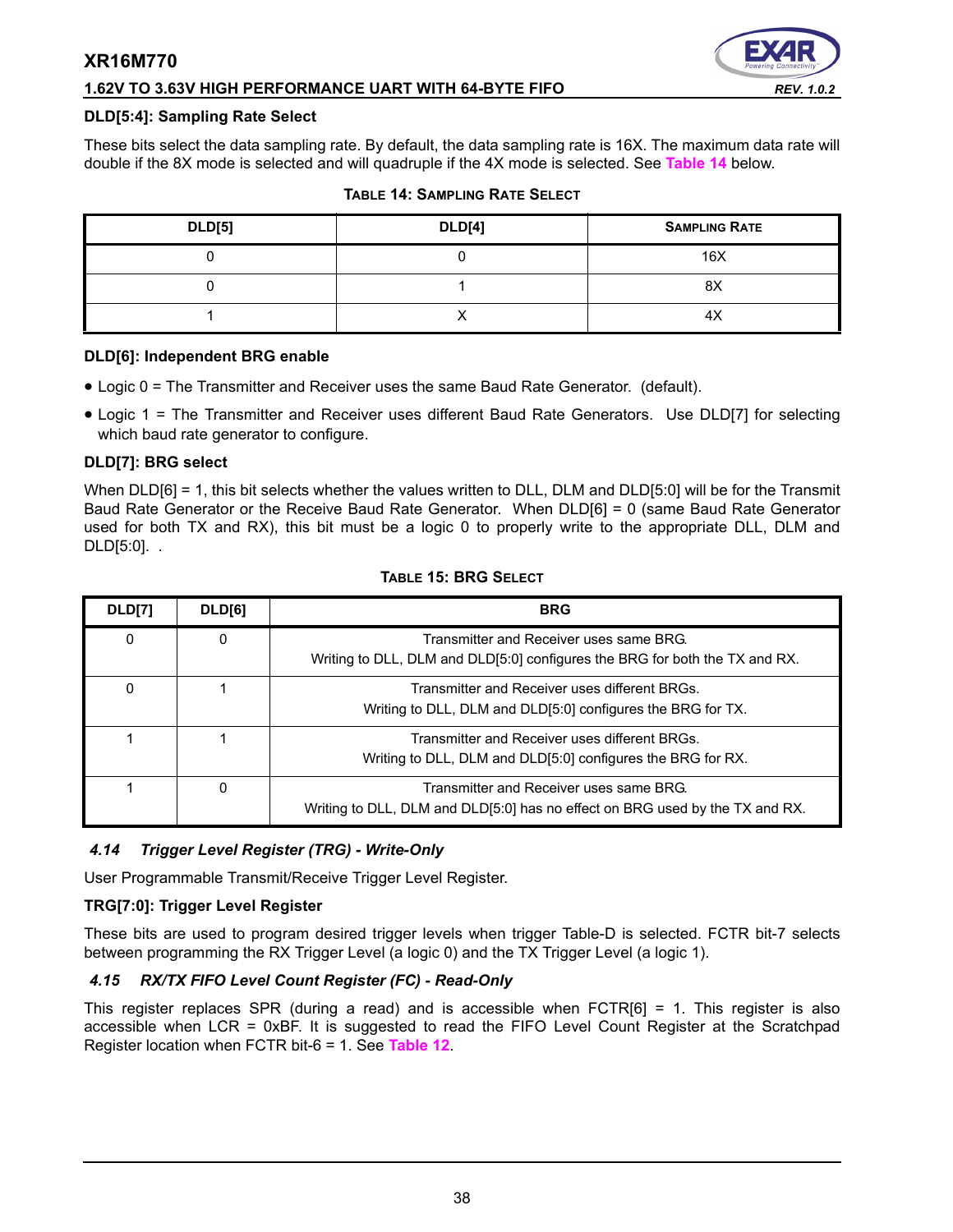# **1.62V TO 3.63V HIGH PERFORMANCE UART WITH 64-BYTE FIFO** *REV. 1.0.2*



### **DLD[5:4]: Sampling Rate Select**

These bits select the data sampling rate. By default, the data sampling rate is 16X. The maximum data rate will double if the 8X mode is selected and will quadruple if the 4X mode is selected. See **[Table](#page-37-0) 14** below.

<span id="page-37-0"></span>

| <b>DLD[5]</b> | <b>DLD[4]</b> | <b>SAMPLING RATE</b> |
|---------------|---------------|----------------------|
|               |               | 16X                  |
|               |               | 8X                   |
|               |               | 4λ                   |

### **TABLE 14: SAMPLING RATE SELECT**

### **DLD[6]: Independent BRG enable**

- Logic 0 = The Transmitter and Receiver uses the same Baud Rate Generator. (default).
- Logic 1 = The Transmitter and Receiver uses different Baud Rate Generators. Use DLD[7] for selecting which baud rate generator to configure.

### **DLD[7]: BRG select**

When DLD[6] = 1, this bit selects whether the values written to DLL, DLM and DLD[5:0] will be for the Transmit Baud Rate Generator or the Receive Baud Rate Generator. When DLD[6] = 0 (same Baud Rate Generator used for both TX and RX), this bit must be a logic 0 to properly write to the appropriate DLL, DLM and DLD[5:0]. .

| <b>DLD[7]</b> | DLD[6]   | <b>BRG</b>                                                                                                              |
|---------------|----------|-------------------------------------------------------------------------------------------------------------------------|
| 0             | $\Omega$ | Transmitter and Receiver uses same BRG.<br>Writing to DLL, DLM and DLD[5:0] configures the BRG for both the TX and RX.  |
| 0             |          | Transmitter and Receiver uses different BRGs.<br>Writing to DLL, DLM and DLD[5:0] configures the BRG for TX.            |
|               |          | Transmitter and Receiver uses different BRGs.<br>Writing to DLL, DLM and DLD[5:0] configures the BRG for RX.            |
|               | 0        | Transmitter and Receiver uses same BRG.<br>Writing to DLL, DLM and DLD[5:0] has no effect on BRG used by the TX and RX. |

### **TABLE 15: BRG SELECT**

### *4.14 Trigger Level Register (TRG) - Write-Only*

User Programmable Transmit/Receive Trigger Level Register.

### **TRG[7:0]: Trigger Level Register**

These bits are used to program desired trigger levels when trigger Table-D is selected. FCTR bit-7 selects between programming the RX Trigger Level (a logic 0) and the TX Trigger Level (a logic 1).

### *4.15 RX/TX FIFO Level Count Register (FC) - Read-Only*

This register replaces SPR (during a read) and is accessible when FCTR[6] = 1. This register is also accessible when LCR = 0xBF. It is suggested to read the FIFO Level Count Register at the Scratchpad Register location when FCTR bit-6 = 1. See **[Table](#page-35-1) 12**.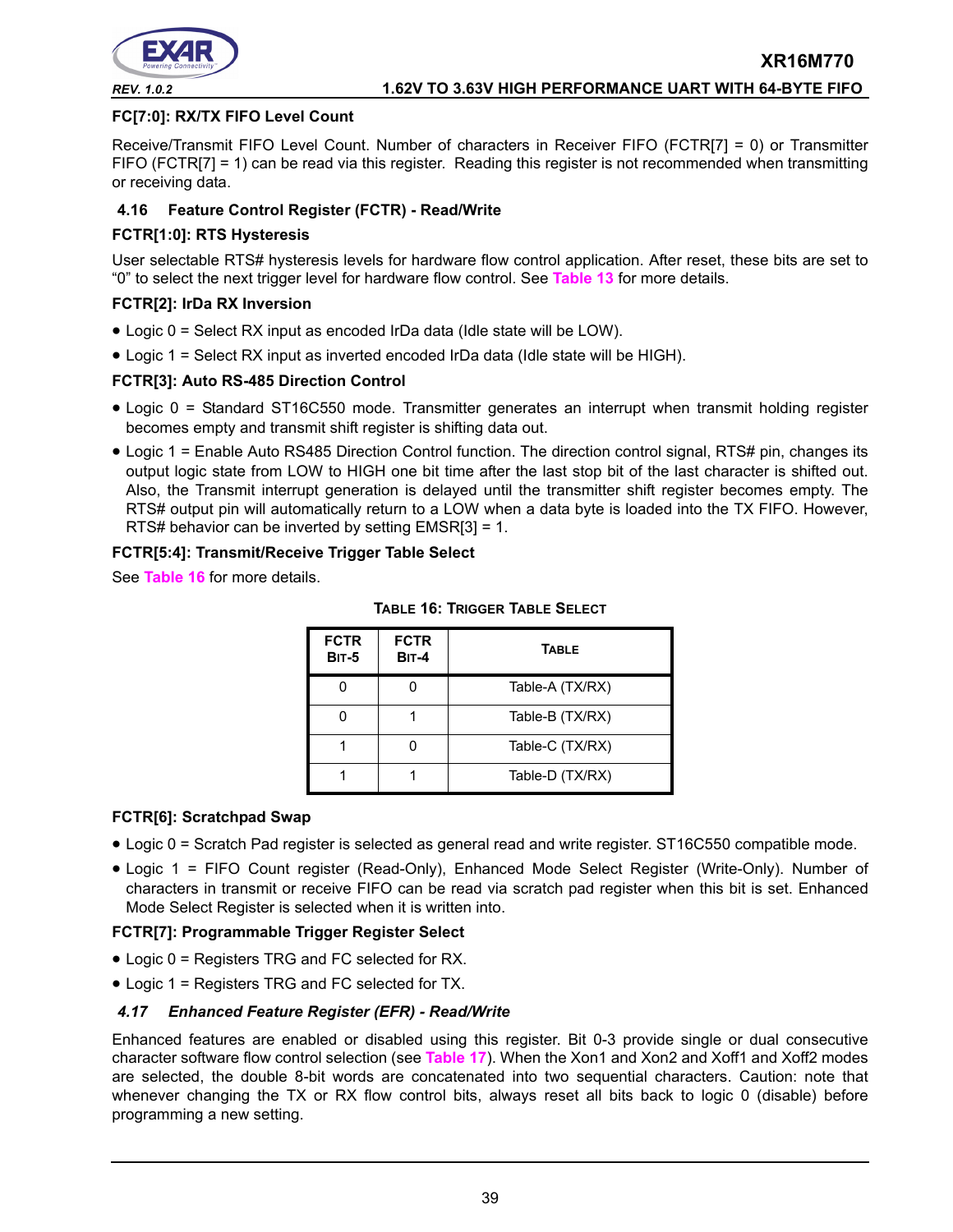

### **FC[7:0]: RX/TX FIFO Level Count**

Receive/Transmit FIFO Level Count. Number of characters in Receiver FIFO (FCTR[7] = 0) or Transmitter FIFO (FCTR[7] = 1) can be read via this register. Reading this register is not recommended when transmitting or receiving data.

### **4.16 Feature Control Register (FCTR) - Read/Write**

### **FCTR[1:0]: RTS Hysteresis**

User selectable RTS# hysteresis levels for hardware flow control application. After reset, these bits are set to "0" to select the next trigger level for hardware flow control. See **[Table](#page-36-1) 13** for more details.

### **FCTR[2]: IrDa RX Inversion**

- Logic 0 = Select RX input as encoded IrDa data (Idle state will be LOW).
- Logic 1 = Select RX input as inverted encoded IrDa data (Idle state will be HIGH).

### **FCTR[3]: Auto RS-485 Direction Control**

- Logic 0 = Standard ST16C550 mode. Transmitter generates an interrupt when transmit holding register becomes empty and transmit shift register is shifting data out.
- Logic 1 = Enable Auto RS485 Direction Control function. The direction control signal, RTS# pin, changes its output logic state from LOW to HIGH one bit time after the last stop bit of the last character is shifted out. Also, the Transmit interrupt generation is delayed until the transmitter shift register becomes empty. The RTS# output pin will automatically return to a LOW when a data byte is loaded into the TX FIFO. However, RTS# behavior can be inverted by setting EMSR[3] = 1.

### **FCTR[5:4]: Transmit/Receive Trigger Table Select**

<span id="page-38-0"></span>See **[Table](#page-38-0) 16** for more details.

| <b>FCTR</b><br><b>BIT-5</b> | <b>FCTR</b><br><b>BIT-4</b> | <b>TABLE</b>    |
|-----------------------------|-----------------------------|-----------------|
|                             |                             | Table-A (TX/RX) |
|                             |                             | Table-B (TX/RX) |
|                             |                             | Table-C (TX/RX) |
|                             |                             | Table-D (TX/RX) |

### **TABLE 16: TRIGGER TABLE SELECT**

### **FCTR[6]: Scratchpad Swap**

- Logic 0 = Scratch Pad register is selected as general read and write register. ST16C550 compatible mode.
- Logic 1 = FIFO Count register (Read-Only), Enhanced Mode Select Register (Write-Only). Number of characters in transmit or receive FIFO can be read via scratch pad register when this bit is set. Enhanced Mode Select Register is selected when it is written into.

### **FCTR[7]: Programmable Trigger Register Select**

- Logic 0 = Registers TRG and FC selected for RX.
- Logic 1 = Registers TRG and FC selected for TX.

### *4.17 Enhanced Feature Register (EFR) - Read/Write*

Enhanced features are enabled or disabled using this register. Bit 0-3 provide single or dual consecutive character software flow control selection (see **[Table](#page-39-0) 17**). When the Xon1 and Xon2 and Xoff1 and Xoff2 modes are selected, the double 8-bit words are concatenated into two sequential characters. Caution: note that whenever changing the TX or RX flow control bits, always reset all bits back to logic 0 (disable) before programming a new setting.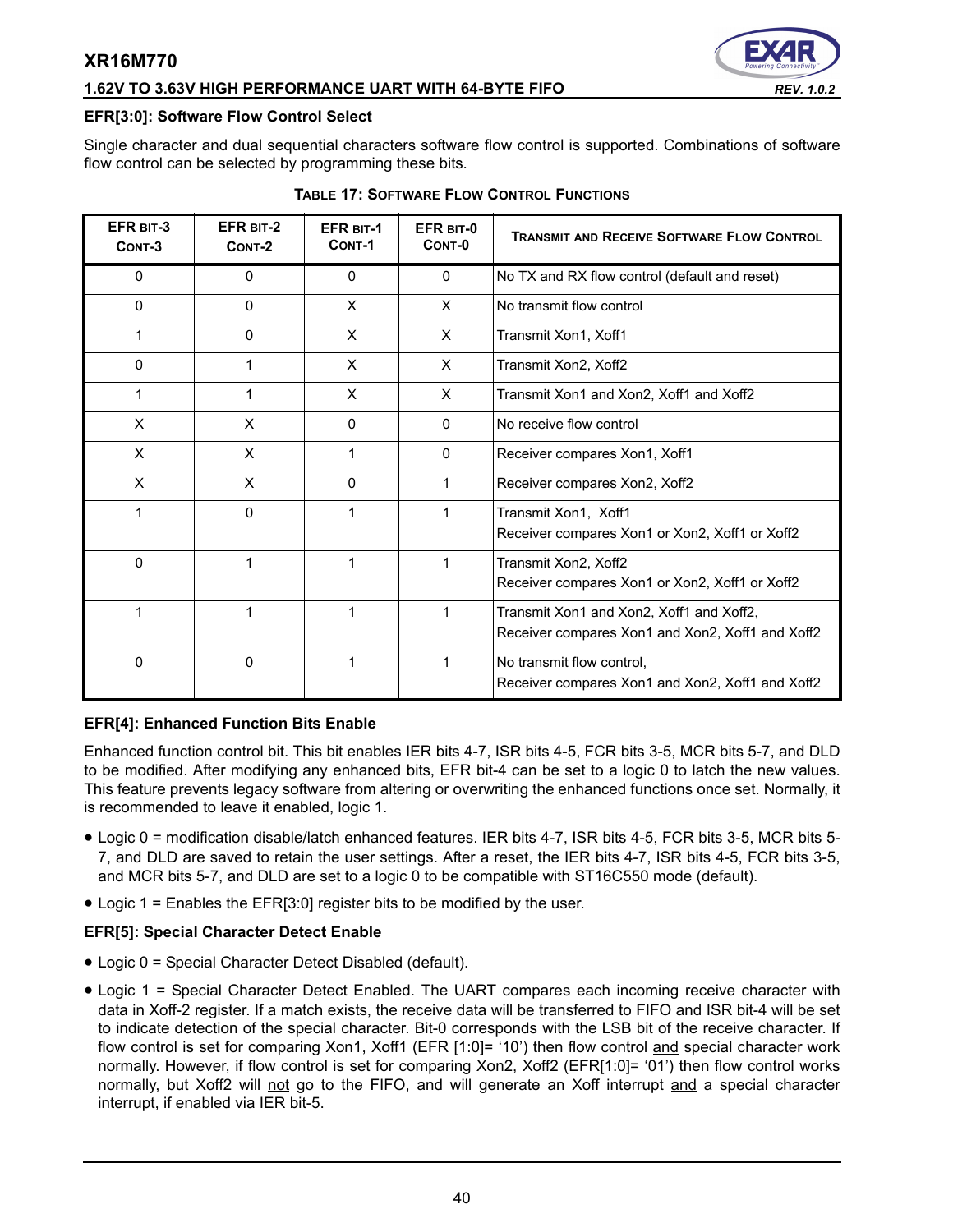### **1.62V TO 3.63V HIGH PERFORMANCE UART WITH 64-BYTE FIFO** *REV. 1.0.2*



### **EFR[3:0]: Software Flow Control Select**

Single character and dual sequential characters software flow control is supported. Combinations of software flow control can be selected by programming these bits.

<span id="page-39-0"></span>

| EFR BIT-3<br>CONT-3 | EFR BIT-2<br>CONT-2 | <b>EFR BIT-1</b><br>CONT-1 | EFR BIT-0<br>CONT-0 | <b>TRANSMIT AND RECEIVE SOFTWARE FLOW CONTROL</b>                                            |
|---------------------|---------------------|----------------------------|---------------------|----------------------------------------------------------------------------------------------|
| 0                   | 0                   | 0                          | $\Omega$            | No TX and RX flow control (default and reset)                                                |
| $\mathbf{0}$        | $\mathbf{0}$        | X                          | $\mathsf{x}$        | No transmit flow control                                                                     |
| 1                   | 0                   | X                          | X                   | Transmit Xon1, Xoff1                                                                         |
| 0                   | 1                   | X                          | X                   | Transmit Xon2, Xoff2                                                                         |
| 1                   | 1                   | X                          | X                   | Transmit Xon1 and Xon2, Xoff1 and Xoff2                                                      |
| X                   | X                   | $\Omega$                   | $\mathbf{0}$        | No receive flow control                                                                      |
| X                   | X                   | 1                          | $\mathbf{0}$        | Receiver compares Xon1, Xoff1                                                                |
| X                   | X                   | 0                          |                     | Receiver compares Xon2, Xoff2                                                                |
| 1                   | 0                   | 1                          |                     | Transmit Xon1, Xoff1<br>Receiver compares Xon1 or Xon2, Xoff1 or Xoff2                       |
| 0                   | 1                   | 1                          |                     | Transmit Xon2, Xoff2<br>Receiver compares Xon1 or Xon2, Xoff1 or Xoff2                       |
| 1                   | 1                   | 1                          |                     | Transmit Xon1 and Xon2, Xoff1 and Xoff2,<br>Receiver compares Xon1 and Xon2, Xoff1 and Xoff2 |
| 0                   | 0                   | 1                          |                     | No transmit flow control,<br>Receiver compares Xon1 and Xon2, Xoff1 and Xoff2                |

### **TABLE 17: SOFTWARE FLOW CONTROL FUNCTIONS**

### **EFR[4]: Enhanced Function Bits Enable**

Enhanced function control bit. This bit enables IER bits 4-7, ISR bits 4-5, FCR bits 3-5, MCR bits 5-7, and DLD to be modified. After modifying any enhanced bits, EFR bit-4 can be set to a logic 0 to latch the new values. This feature prevents legacy software from altering or overwriting the enhanced functions once set. Normally, it is recommended to leave it enabled, logic 1.

- Logic 0 = modification disable/latch enhanced features. IER bits 4-7, ISR bits 4-5, FCR bits 3-5, MCR bits 5- 7, and DLD are saved to retain the user settings. After a reset, the IER bits 4-7, ISR bits 4-5, FCR bits 3-5, and MCR bits 5-7, and DLD are set to a logic 0 to be compatible with ST16C550 mode (default).
- Logic 1 = Enables the EFR[3:0] register bits to be modified by the user.

### **EFR[5]: Special Character Detect Enable**

- Logic 0 = Special Character Detect Disabled (default).
- Logic 1 = Special Character Detect Enabled. The UART compares each incoming receive character with data in Xoff-2 register. If a match exists, the receive data will be transferred to FIFO and ISR bit-4 will be set to indicate detection of the special character. Bit-0 corresponds with the LSB bit of the receive character. If flow control is set for comparing Xon1, Xoff1 (EFR [1:0]= '10') then flow control and special character work normally. However, if flow control is set for comparing Xon2, Xoff2 (EFR[1:0]= '01') then flow control works normally, but Xoff2 will not go to the FIFO, and will generate an Xoff interrupt and a special character interrupt, if enabled via IER bit-5.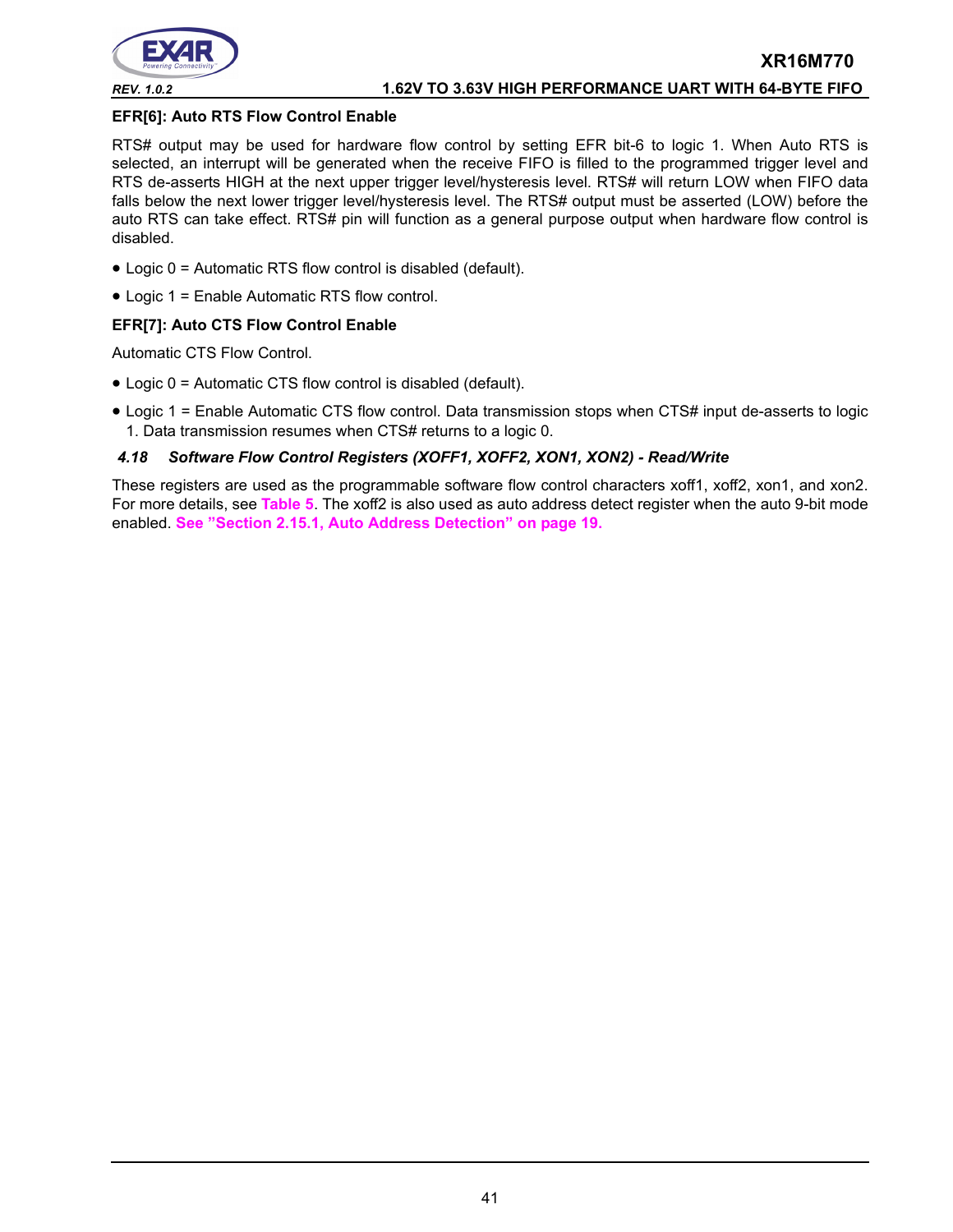

### **EFR[6]: Auto RTS Flow Control Enable**

RTS# output may be used for hardware flow control by setting EFR bit-6 to logic 1. When Auto RTS is selected, an interrupt will be generated when the receive FIFO is filled to the programmed trigger level and RTS de-asserts HIGH at the next upper trigger level/hysteresis level. RTS# will return LOW when FIFO data falls below the next lower trigger level/hysteresis level. The RTS# output must be asserted (LOW) before the auto RTS can take effect. RTS# pin will function as a general purpose output when hardware flow control is disabled.

- Logic 0 = Automatic RTS flow control is disabled (default).
- Logic 1 = Enable Automatic RTS flow control.

### **EFR[7]: Auto CTS Flow Control Enable**

Automatic CTS Flow Control.

- Logic 0 = Automatic CTS flow control is disabled (default).
- Logic 1 = Enable Automatic CTS flow control. Data transmission stops when CTS# input de-asserts to logic 1. Data transmission resumes when CTS# returns to a logic 0.

### *4.18 Software Flow Control Registers (XOFF1, XOFF2, XON1, XON2) - Read/Write*

These registers are used as the programmable software flow control characters xoff1, xoff2, xon1, and xon2. For more details, see **[Table](#page-17-0) 5**. The xoff2 is also used as auto address detect register when the auto 9-bit mode enabled. **[See "Section 2.15.1, Auto Address Detection" on page](#page-18-1) 19.**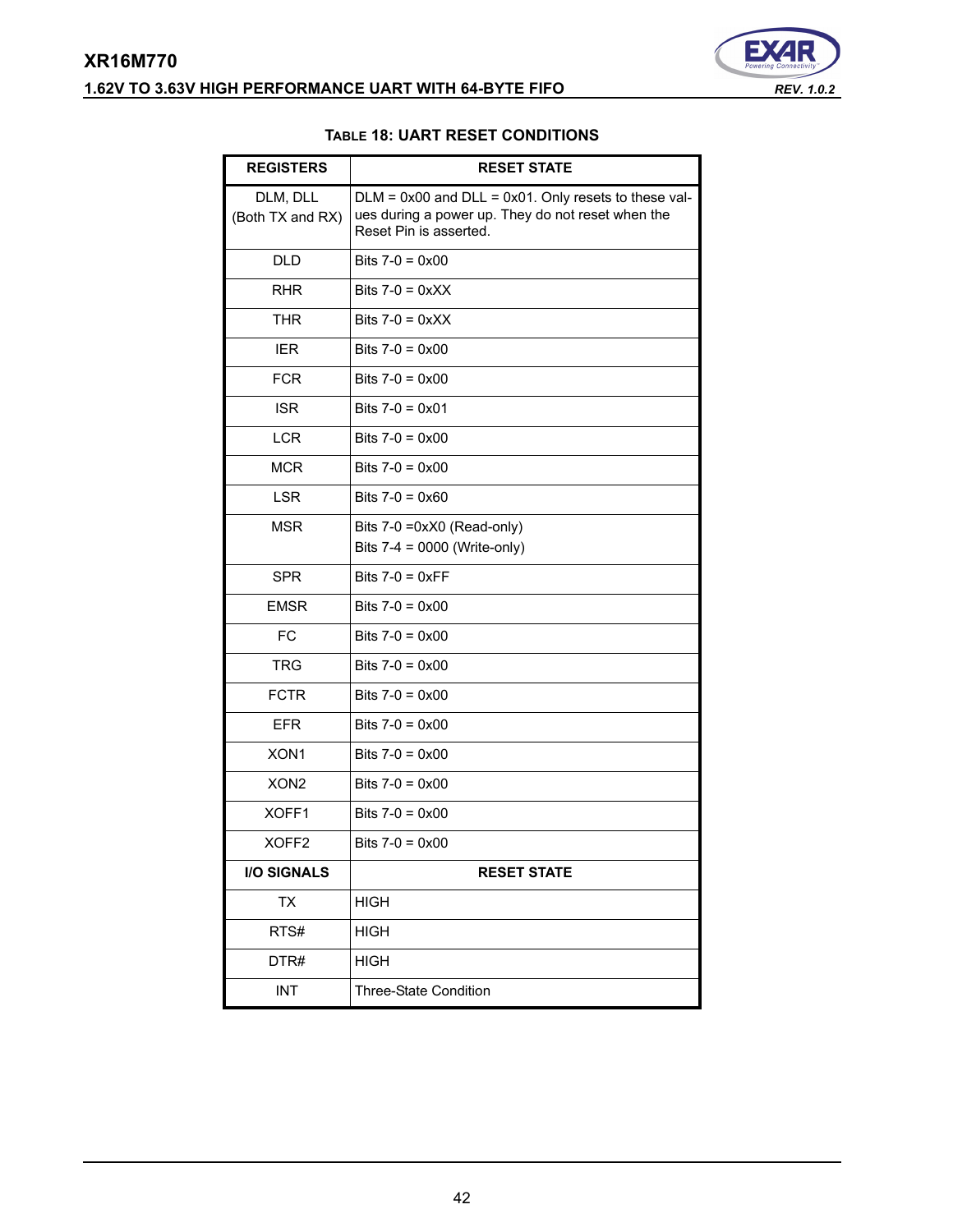# <span id="page-41-0"></span>**XR16M770 1.62V TO 3.63V HIGH PERFORMANCE UART WITH 64-BYTE FIFO** *REV. 1.0.2*



### **TABLE 18: UART RESET CONDITIONS**

| <b>REGISTERS</b>             | <b>RESET STATE</b>                                                                                                                       |
|------------------------------|------------------------------------------------------------------------------------------------------------------------------------------|
| DLM, DLL<br>(Both TX and RX) | $DLM = 0x00$ and $DLL = 0x01$ . Only resets to these val-<br>ues during a power up. They do not reset when the<br>Reset Pin is asserted. |
| <b>DLD</b>                   | Bits $7-0 = 0 \times 00$                                                                                                                 |
| <b>RHR</b>                   | Bits $7-0 = 0 \times XX$                                                                                                                 |
| <b>THR</b>                   | Bits $7-0 = 0xXX$                                                                                                                        |
| <b>IER</b>                   | Bits $7-0 = 0 \times 00$                                                                                                                 |
| <b>FCR</b>                   | Bits $7-0 = 0 \times 00$                                                                                                                 |
| <b>ISR</b>                   | Bits $7-0 = 0 \times 01$                                                                                                                 |
| <b>LCR</b>                   | Bits $7-0 = 0 \times 00$                                                                                                                 |
| <b>MCR</b>                   | Bits $7-0 = 0 \times 00$                                                                                                                 |
| <b>LSR</b>                   | Bits $7-0 = 0 \times 60$                                                                                                                 |
| <b>MSR</b>                   | Bits 7-0 =0xX0 (Read-only)<br>Bits 7-4 = 0000 (Write-only)                                                                               |
| <b>SPR</b>                   | Bits $7-0 = 0 \times FF$                                                                                                                 |
| <b>EMSR</b>                  | Bits $7-0 = 0 \times 00$                                                                                                                 |
| <b>FC</b>                    | Bits $7-0 = 0 \times 00$                                                                                                                 |
| <b>TRG</b>                   | Bits $7-0 = 0 \times 00$                                                                                                                 |
| <b>FCTR</b>                  | Bits $7-0 = 0 \times 00$                                                                                                                 |
| <b>EFR</b>                   | Bits $7-0 = 0 \times 00$                                                                                                                 |
| XON <sub>1</sub>             | Bits $7-0 = 0 \times 00$                                                                                                                 |
| XON <sub>2</sub>             | Bits $7-0 = 0 \times 00$                                                                                                                 |
| XOFF1                        | Bits $7-0 = 0 \times 00$                                                                                                                 |
| XOFF2                        | Bits $7-0 = 0 \times 00$                                                                                                                 |
| <b>I/O SIGNALS</b>           | <b>RESET STATE</b>                                                                                                                       |
| TX                           | HIGH                                                                                                                                     |
| RTS#                         | <b>HIGH</b>                                                                                                                              |
| DTR#                         | <b>HIGH</b>                                                                                                                              |
| <b>INT</b>                   | Three-State Condition                                                                                                                    |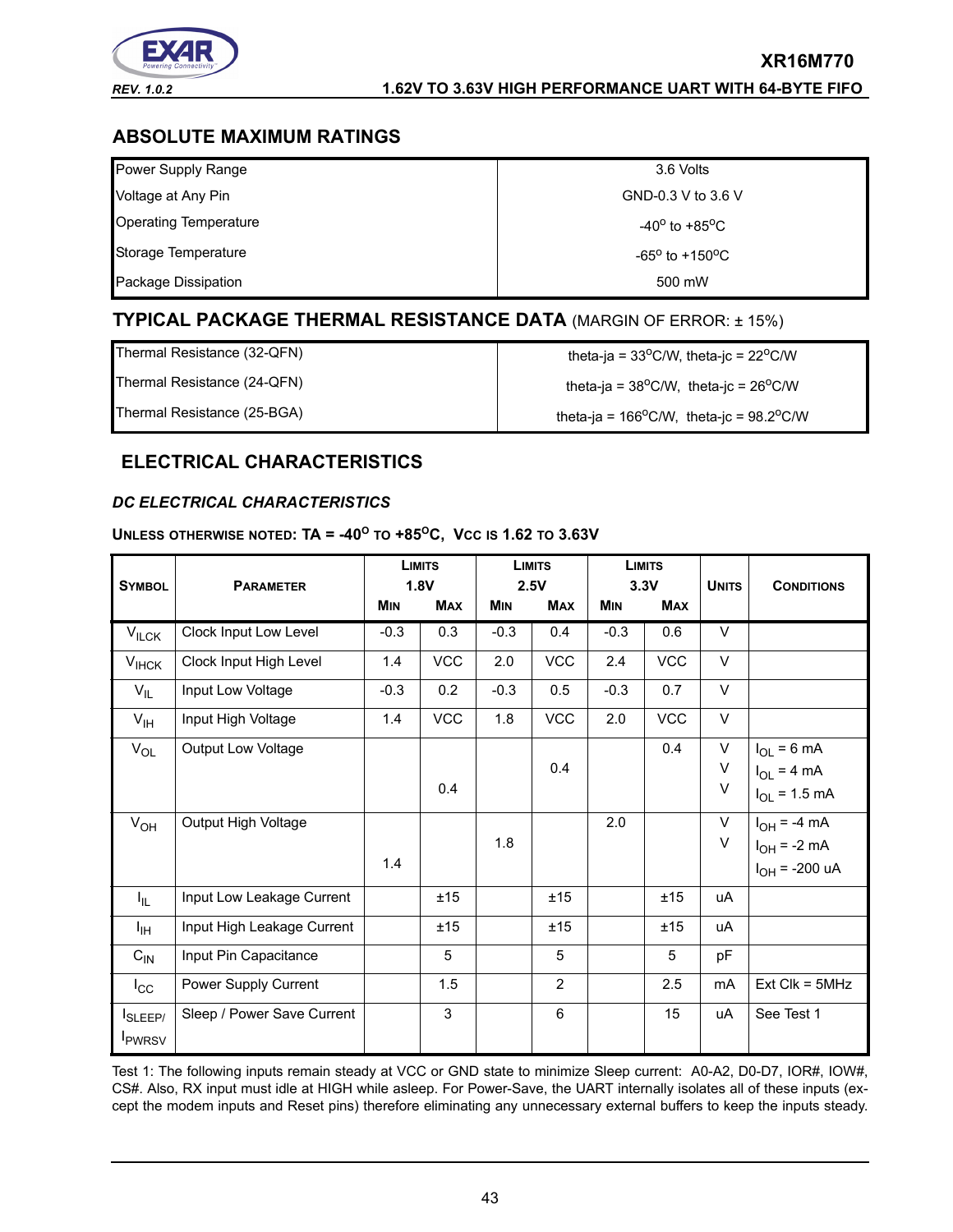

# **ABSOLUTE MAXIMUM RATINGS**

| Power Supply Range           | 3.6 Volts                          |
|------------------------------|------------------------------------|
| Voltage at Any Pin           | GND-0.3 V to 3.6 V                 |
| <b>Operating Temperature</b> | -40 $^{\rm o}$ to +85 $^{\rm o}$ C |
| Storage Temperature          | $-65^{\circ}$ to $+150^{\circ}$ C  |
| Package Dissipation          | 500 mW                             |

# **TYPICAL PACKAGE THERMAL RESISTANCE DATA** (MARGIN OF ERROR: ± 15%)

| Thermal Resistance (32-QFN) | theta-ja = $33^{\circ}$ C/W, theta-jc = $22^{\circ}$ C/W    |
|-----------------------------|-------------------------------------------------------------|
| Thermal Resistance (24-QFN) | theta-ja = $38^{\circ}$ C/W, theta-jc = $26^{\circ}$ C/W    |
| Thermal Resistance (25-BGA) | theta-ja = $166^{\circ}$ C/W, theta-jc = $98.2^{\circ}$ C/W |

# **ELECTRICAL CHARACTERISTICS**

### <span id="page-42-0"></span>*DC ELECTRICAL CHARACTERISTICS*

### **UNLESS OTHERWISE NOTED: TA = -40<sup>O</sup> TO +85OC, VCC IS 1.62 TO 3.63V**

| <b>SYMBOL</b>             | <b>PARAMETER</b>           | <b>LIMITS</b><br>1.8V |            | <b>LIMITS</b><br>2.5V |                | <b>LIMITS</b><br>3.3V |            | <b>UNITS</b> | <b>CONDITIONS</b>  |
|---------------------------|----------------------------|-----------------------|------------|-----------------------|----------------|-----------------------|------------|--------------|--------------------|
|                           |                            | <b>MIN</b>            | <b>MAX</b> | <b>MIN</b>            | <b>MAX</b>     | <b>MIN</b>            | <b>MAX</b> |              |                    |
| $V_{\text{ILCK}}$         | Clock Input Low Level      | $-0.3$                | 0.3        | $-0.3$                | 0.4            | $-0.3$                | 0.6        | V            |                    |
| $V_{HCK}$                 | Clock Input High Level     | 1.4                   | <b>VCC</b> | 2.0                   | VCC            | 2.4                   | <b>VCC</b> | $\vee$       |                    |
| $V_{IL}$                  | Input Low Voltage          | $-0.3$                | 0.2        | $-0.3$                | 0.5            | $-0.3$                | 0.7        | $\vee$       |                    |
| $V_{\text{IH}}$           | Input High Voltage         | 1.4                   | <b>VCC</b> | 1.8                   | <b>VCC</b>     | 2.0                   | <b>VCC</b> | V            |                    |
| $V_{OL}$                  | Output Low Voltage         |                       |            |                       |                |                       | 0.4        | $\vee$       | $I_{OL}$ = 6 mA    |
|                           |                            |                       |            |                       | 0.4            |                       |            | V            | $I_{OL}$ = 4 mA    |
|                           |                            |                       | 0.4        |                       |                |                       |            | $\vee$       | $I_{OL} = 1.5$ mA  |
| $V_{OH}$                  | Output High Voltage        |                       |            |                       |                | 2.0                   |            | V            | $I_{OH} = -4 mA$   |
|                           |                            |                       |            | 1.8                   |                |                       |            | V            | $I_{OH}$ = -2 mA   |
|                           |                            | 1.4                   |            |                       |                |                       |            |              | $I_{OH}$ = -200 uA |
| Ι'n.                      | Input Low Leakage Current  |                       | ±15        |                       | ±15            |                       | ±15        | uA           |                    |
| ŀщ                        | Input High Leakage Current |                       | ±15        |                       | ±15            |                       | ±15        | uA           |                    |
| $C_{IN}$                  | Input Pin Capacitance      |                       | 5          |                       | 5              |                       | 5          | pF           |                    |
| $I_{\rm CC}$              | Power Supply Current       |                       | 1.5        |                       | $\overline{2}$ |                       | 2.5        | mA           | $Ext$ Clk = $5MHz$ |
| SLEEP/                    | Sleep / Power Save Current |                       | 3          |                       | 6              |                       | 15         | uA           | See Test 1         |
| <b>I</b> <sub>PWRSV</sub> |                            |                       |            |                       |                |                       |            |              |                    |

Test 1: The following inputs remain steady at VCC or GND state to minimize Sleep current: A0-A2, D0-D7, IOR#, IOW#, CS#. Also, RX input must idle at HIGH while asleep. For Power-Save, the UART internally isolates all of these inputs (except the modem inputs and Reset pins) therefore eliminating any unnecessary external buffers to keep the inputs steady.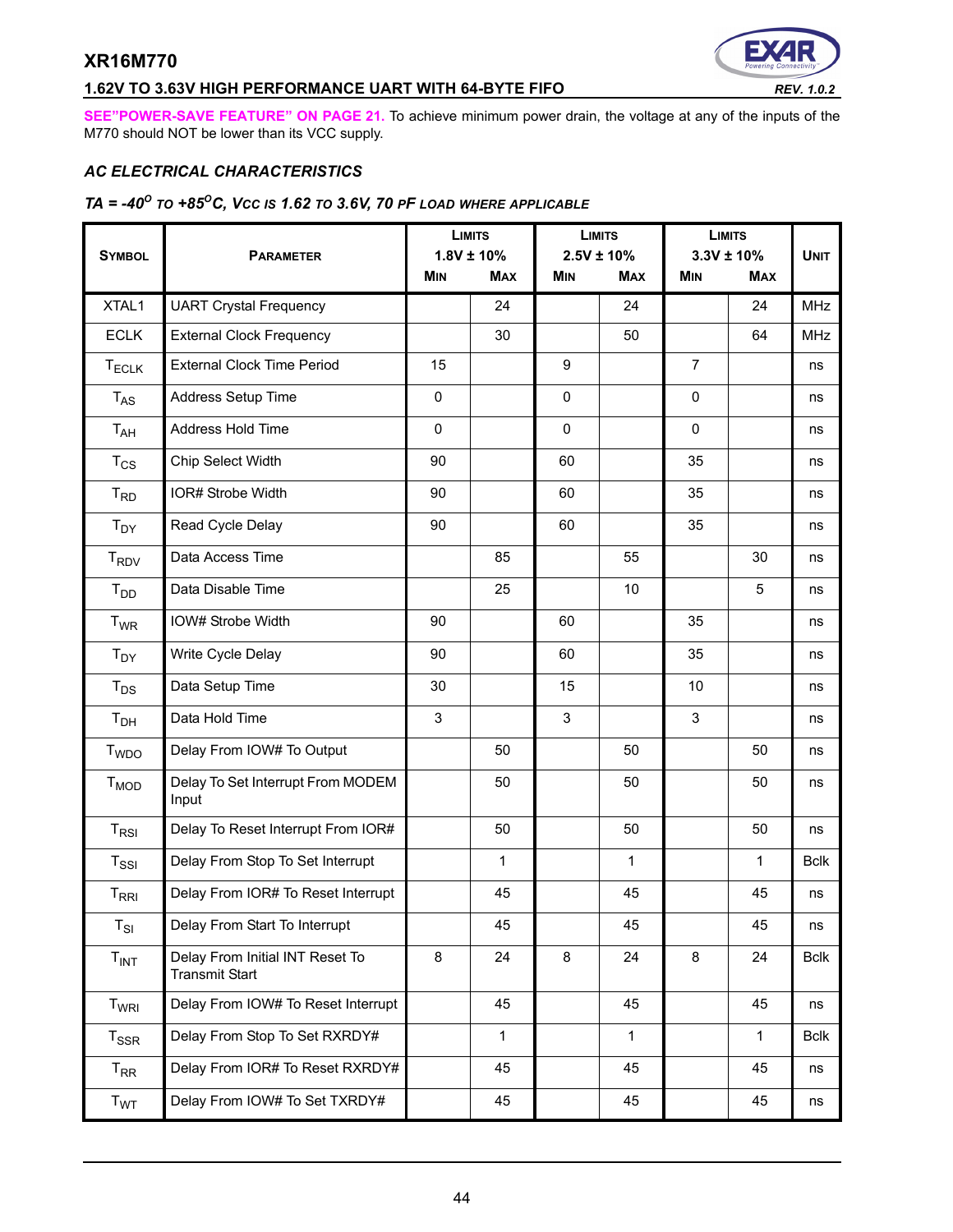# **1.62V TO 3.63V HIGH PERFORMANCE UART WITH 64-BYTE FIFO** *REV. 1.0.2*



**[SEE"POWER-SAVE FEATURE" ON PAGE](#page-20-1) 21.** To achieve minimum power drain, the voltage at any of the inputs of the M770 should NOT be lower than its VCC supply.

### *AC ELECTRICAL CHARACTERISTICS*

# *TA = -40O TO +85OC, VCC IS 1.62 TO 3.6V, 70 PF LOAD WHERE APPLICABLE*

| <b>SYMBOL</b>          | <b>PARAMETER</b>                                         | <b>LIMITS</b><br>$1.8V \pm 10\%$ |              | <b>LIMITS</b><br>$2.5V \pm 10\%$ |              | <b>LIMITS</b><br>$3.3V \pm 10\%$ |              | <b>UNIT</b> |
|------------------------|----------------------------------------------------------|----------------------------------|--------------|----------------------------------|--------------|----------------------------------|--------------|-------------|
|                        |                                                          | <b>MIN</b>                       | <b>MAX</b>   | <b>MIN</b>                       | <b>MAX</b>   | MIN                              | <b>MAX</b>   |             |
| XTAL1                  | <b>UART Crystal Frequency</b>                            |                                  | 24           |                                  | 24           |                                  | 24           | <b>MHz</b>  |
| <b>ECLK</b>            | <b>External Clock Frequency</b>                          |                                  | 30           |                                  | 50           |                                  | 64           | <b>MHz</b>  |
| <b>TECLK</b>           | <b>External Clock Time Period</b>                        | 15                               |              | 9                                |              | $\overline{7}$                   |              | ns          |
| $T_{AS}$               | Address Setup Time                                       | 0                                |              | 0                                |              | $\mathbf 0$                      |              | ns          |
| $T_{AH}$               | Address Hold Time                                        | 0                                |              | 0                                |              | $\pmb{0}$                        |              | ns          |
| $T_{CS}$               | Chip Select Width                                        | 90                               |              | 60                               |              | 35                               |              | ns          |
| $T_{RD}$               | IOR# Strobe Width                                        | 90                               |              | 60                               |              | 35                               |              | ns          |
| $T_{DY}$               | Read Cycle Delay                                         | 90                               |              | 60                               |              | 35                               |              | ns          |
| <b>T<sub>RDV</sub></b> | Data Access Time                                         |                                  | 85           |                                  | 55           |                                  | 30           | ns          |
| $T_{DD}$               | Data Disable Time                                        |                                  | 25           |                                  | 10           |                                  | 5            | ns          |
| $T_{WR}$               | IOW# Strobe Width                                        | 90                               |              | 60                               |              | 35                               |              | ns          |
| $T_{DY}$               | Write Cycle Delay                                        | 90                               |              | 60                               |              | 35                               |              | ns          |
| $T_{DS}$               | Data Setup Time                                          | 30                               |              | 15                               |              | 10                               |              | ns          |
| T <sub>DH</sub>        | Data Hold Time                                           | 3                                |              | 3                                |              | 3                                |              | ns          |
| T <sub>WDO</sub>       | Delay From IOW# To Output                                |                                  | 50           |                                  | 50           |                                  | 50           | ns          |
| $T_{MOD}$              | Delay To Set Interrupt From MODEM<br>Input               |                                  | 50           |                                  | 50           |                                  | 50           | ns          |
| $T_{RSI}$              | Delay To Reset Interrupt From IOR#                       |                                  | 50           |                                  | 50           |                                  | 50           | ns          |
| $T_{\rm SSI}$          | Delay From Stop To Set Interrupt                         |                                  | $\mathbf{1}$ |                                  | $\mathbf{1}$ |                                  | $\mathbf{1}$ | <b>Bclk</b> |
| $T_{\sf RRI}$          | Delay From IOR# To Reset Interrupt                       |                                  | 45           |                                  | 45           |                                  | 45           | ns          |
| $T_{SI}$               | Delay From Start To Interrupt                            |                                  | 45           |                                  | 45           |                                  | 45           | ns          |
| $T_{INT}$              | Delay From Initial INT Reset To<br><b>Transmit Start</b> | 8                                | 24           | 8                                | 24           | 8                                | 24           | <b>Bclk</b> |
| T <sub>WRI</sub>       | Delay From IOW# To Reset Interrupt                       |                                  | 45           |                                  | 45           |                                  | 45           | ns          |
| $T_{SSR}$              | Delay From Stop To Set RXRDY#                            |                                  | 1            |                                  | 1            |                                  | $\mathbf{1}$ | <b>Bclk</b> |
| $T_{\sf RR}$           | Delay From IOR# To Reset RXRDY#                          |                                  | 45           |                                  | 45           |                                  | 45           | ns          |
| T <sub>WT</sub>        | Delay From IOW# To Set TXRDY#                            |                                  | 45           |                                  | 45           |                                  | 45           | ns          |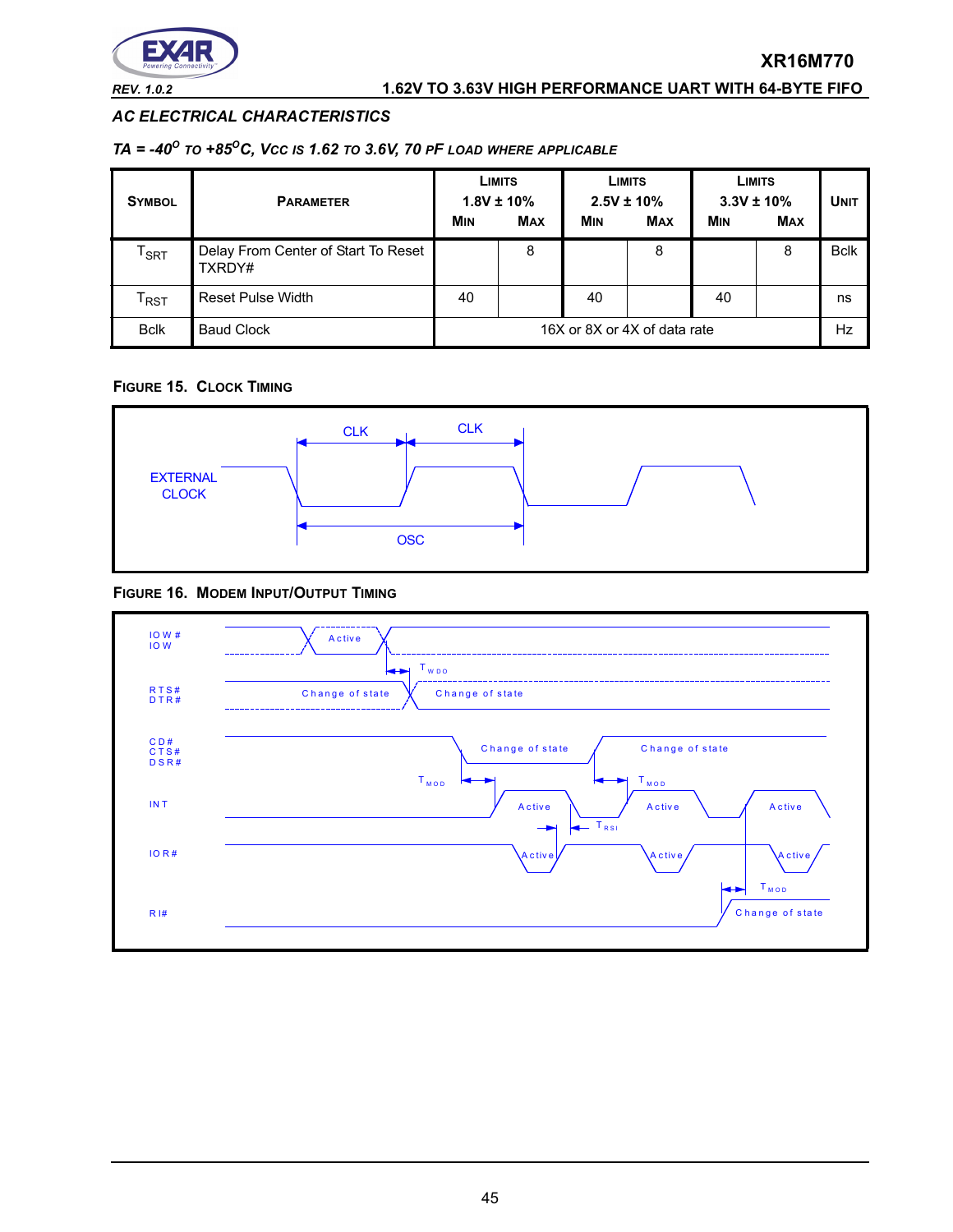

### *REV. 1.0.2* **1.62V TO 3.63V HIGH PERFORMANCE UART WITH 64-BYTE FIFO**

### *AC ELECTRICAL CHARACTERISTICS*

### *TA = -40O TO +85OC, VCC IS 1.62 TO 3.6V, 70 PF LOAD WHERE APPLICABLE*

| <b>SYMBOL</b>               | <b>PARAMETER</b>                              | <b>LIMITS</b><br>$1.8V \pm 10\%$<br><b>MAX</b><br><b>MIN</b> |   | <b>LIMITS</b><br>$2.5V \pm 10\%$<br><b>MIN</b><br><b>MAX</b> |   | <b>LIMITS</b><br>$3.3V \pm 10\%$<br><b>MAX</b><br><b>MIN</b> |   | <b>UNIT</b> |
|-----------------------------|-----------------------------------------------|--------------------------------------------------------------|---|--------------------------------------------------------------|---|--------------------------------------------------------------|---|-------------|
| $\mathsf{T}_{\mathsf{SRT}}$ | Delay From Center of Start To Reset<br>TXRDY# |                                                              | 8 |                                                              | 8 |                                                              | 8 | <b>Bclk</b> |
| $\mathsf{r}_{\mathsf{RST}}$ | <b>Reset Pulse Width</b>                      | 40                                                           |   | 40                                                           |   | 40                                                           |   | ns          |
| <b>Bclk</b>                 | <b>Baud Clock</b>                             | 16X or 8X or 4X of data rate                                 |   |                                                              |   | Hz                                                           |   |             |

### **FIGURE 15. CLOCK TIMING**



### **FIGURE 16. MODEM INPUT/OUTPUT TIMING**

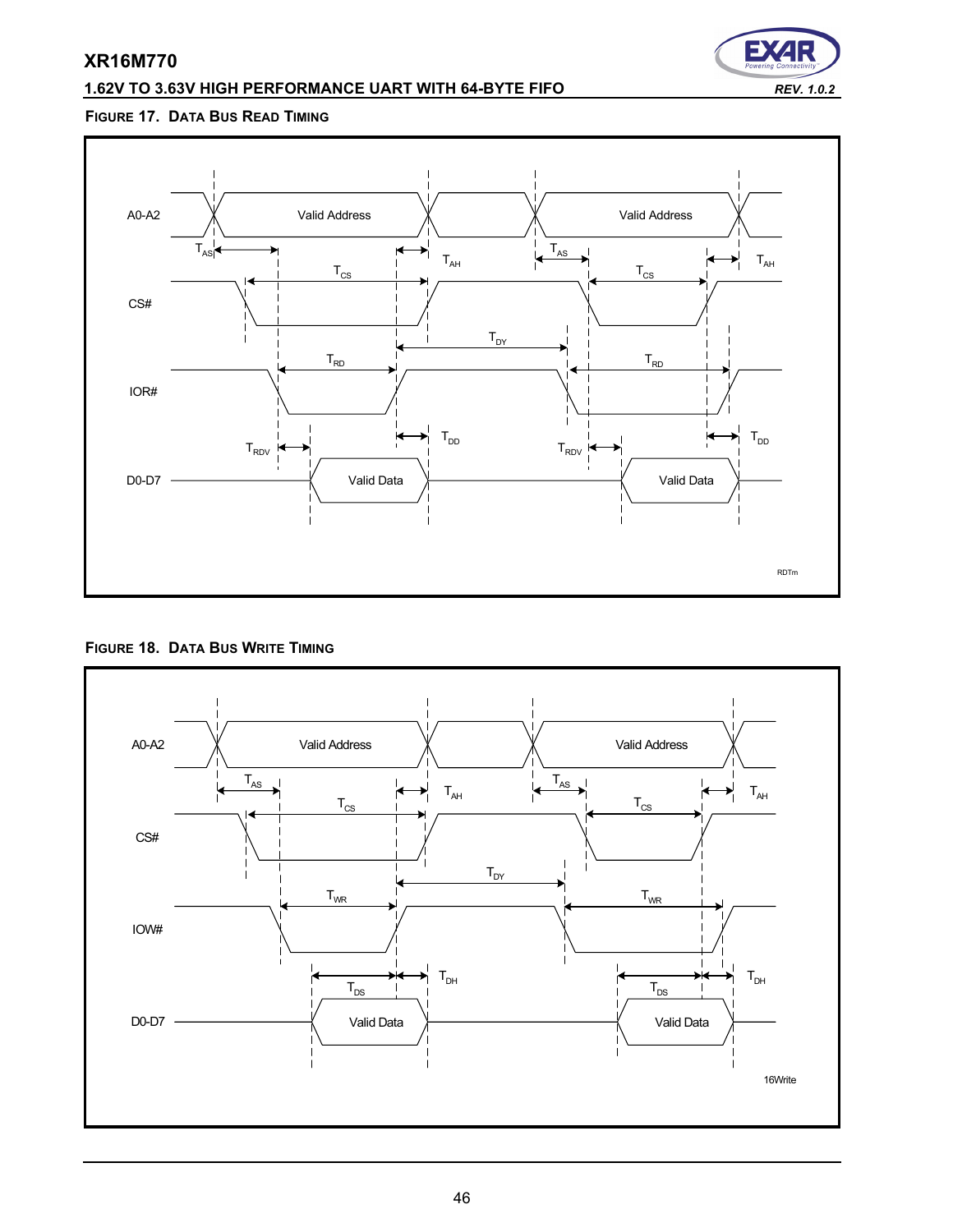# **1.62V TO 3.63V HIGH PERFORMANCE UART WITH 64-BYTE FIFO** *REV. 1.0.2*



# **FIGURE 17. DATA BUS READ TIMING**



### **FIGURE 18. DATA BUS WRITE TIMING**

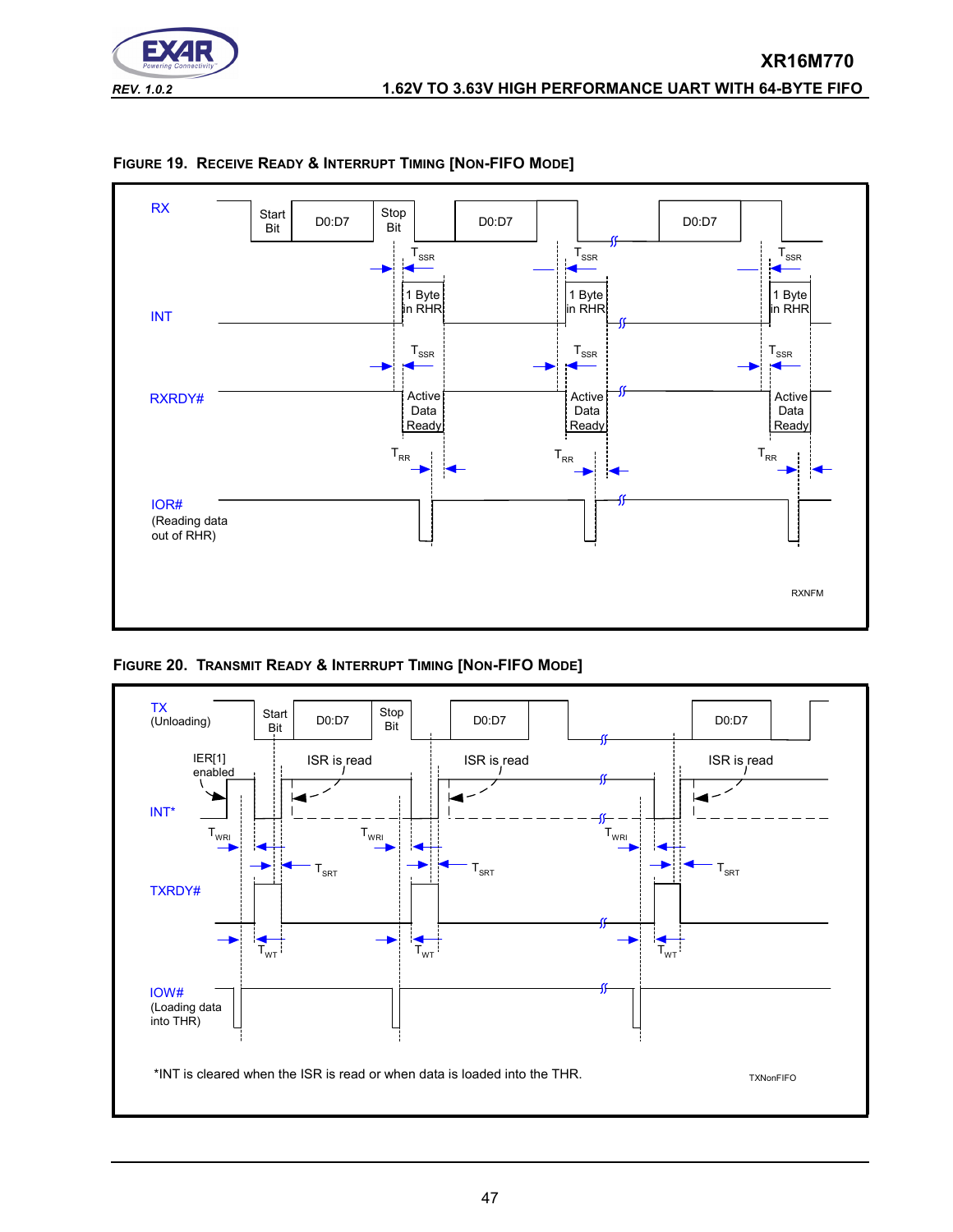



<span id="page-46-0"></span>

**FIGURE 20. TRANSMIT READY & INTERRUPT TIMING [NON-FIFO MODE]**

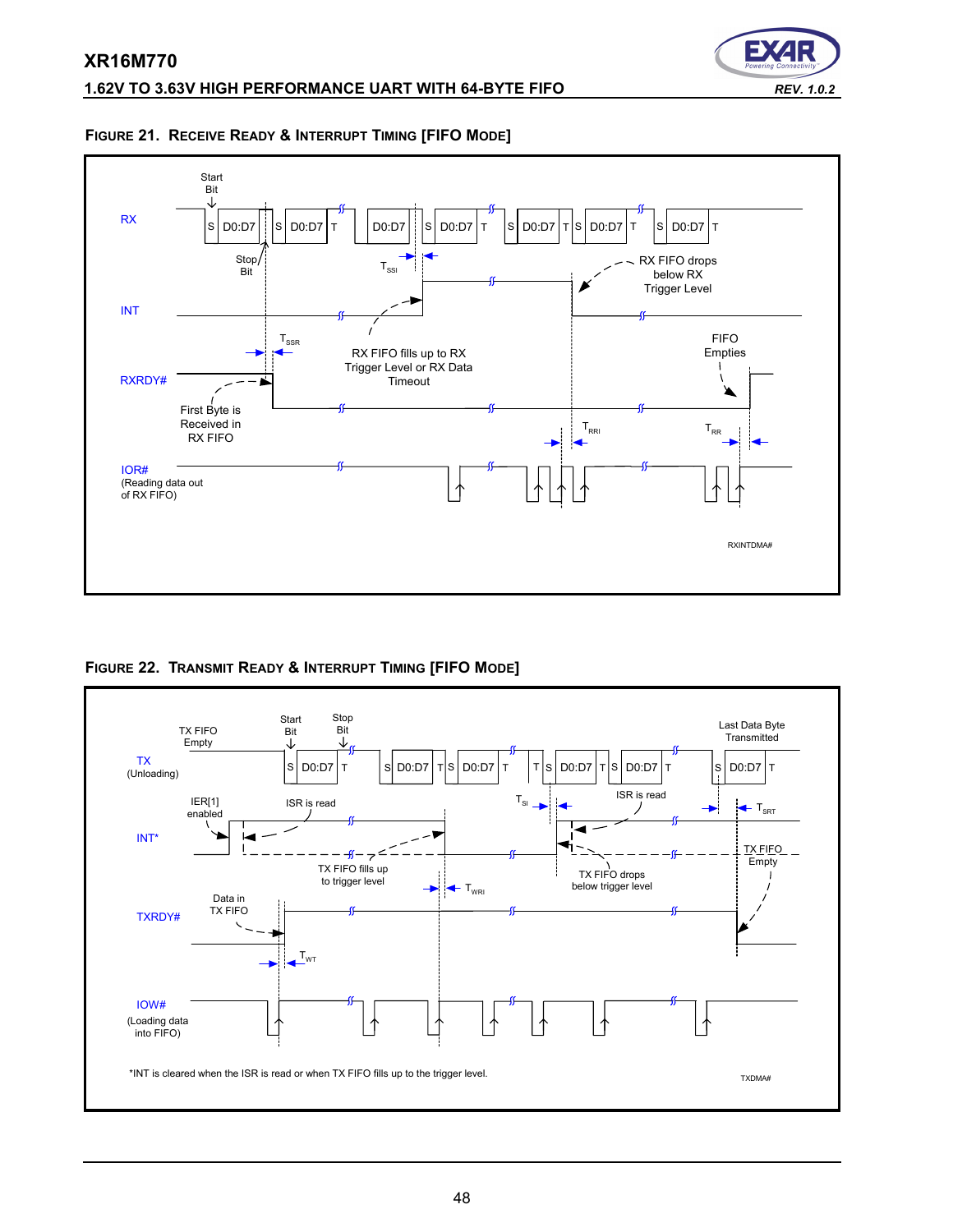





<span id="page-47-0"></span>**FIGURE 22. TRANSMIT READY & INTERRUPT TIMING [FIFO MODE]**

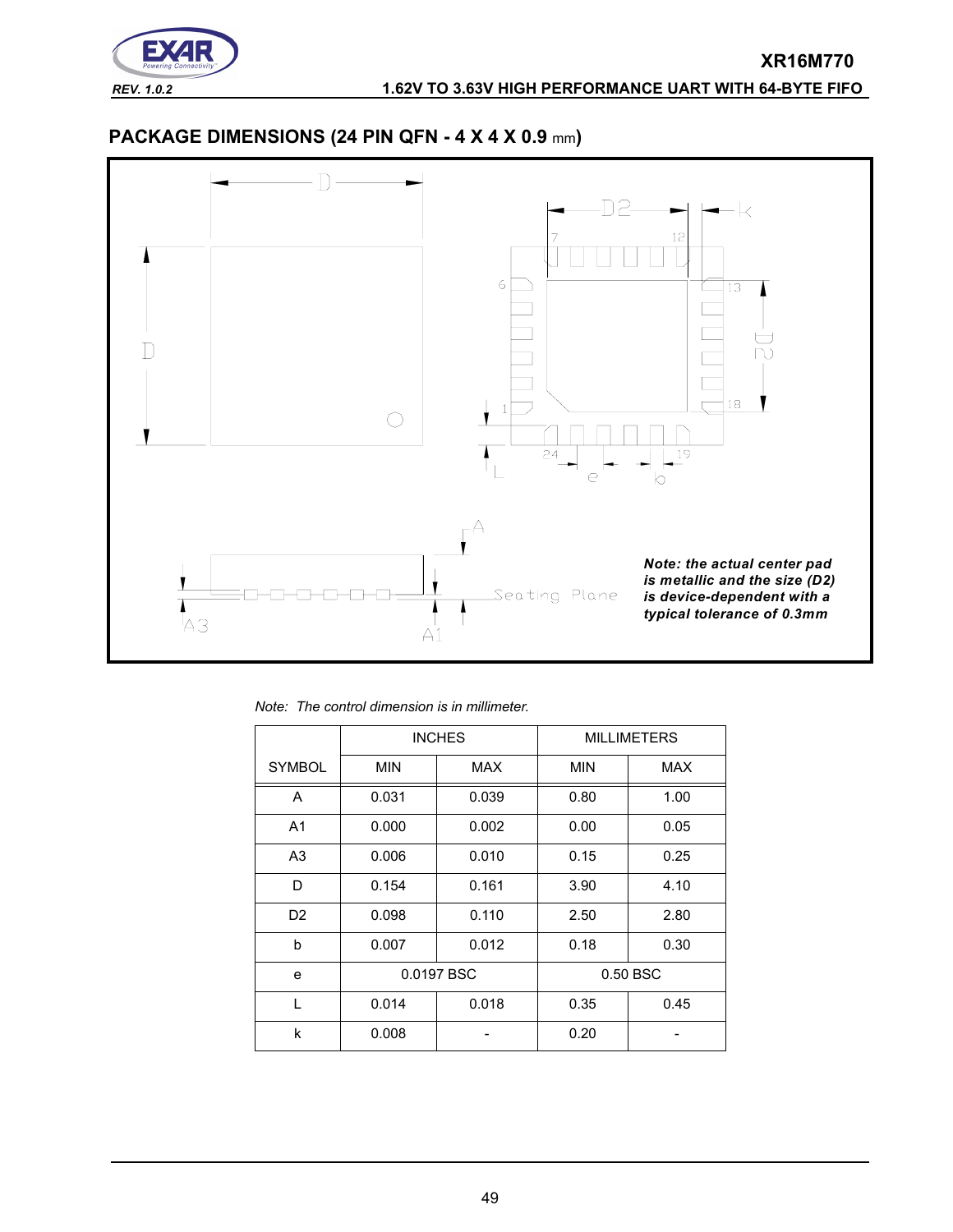

# **PACKAGE DIMENSIONS (24 PIN QFN - 4 X 4 X 0.9** mm**)**



*Note: The control dimension is in millimeter.*

|                |            | <b>INCHES</b> |            | <b>MILLIMETERS</b> |
|----------------|------------|---------------|------------|--------------------|
| <b>SYMBOL</b>  | <b>MIN</b> | MAX           | <b>MIN</b> | <b>MAX</b>         |
| A              | 0.031      | 0.039         | 0.80       | 1.00               |
| A <sub>1</sub> | 0.000      | 0.002         | 0.00       | 0.05               |
| A <sub>3</sub> | 0.006      | 0.010         | 0.15       | 0.25               |
| D              | 0.154      | 0.161         | 3.90       | 4.10               |
| D <sub>2</sub> | 0.098      | 0.110         | 2.50       | 2.80               |
| b              | 0.007      | 0.012         | 0.18       | 0.30               |
| e              |            | 0.0197 BSC    |            | 0.50 BSC           |
| L              | 0.014      | 0.018         | 0.35       | 0.45               |
| k              | 0.008      |               | 0.20       |                    |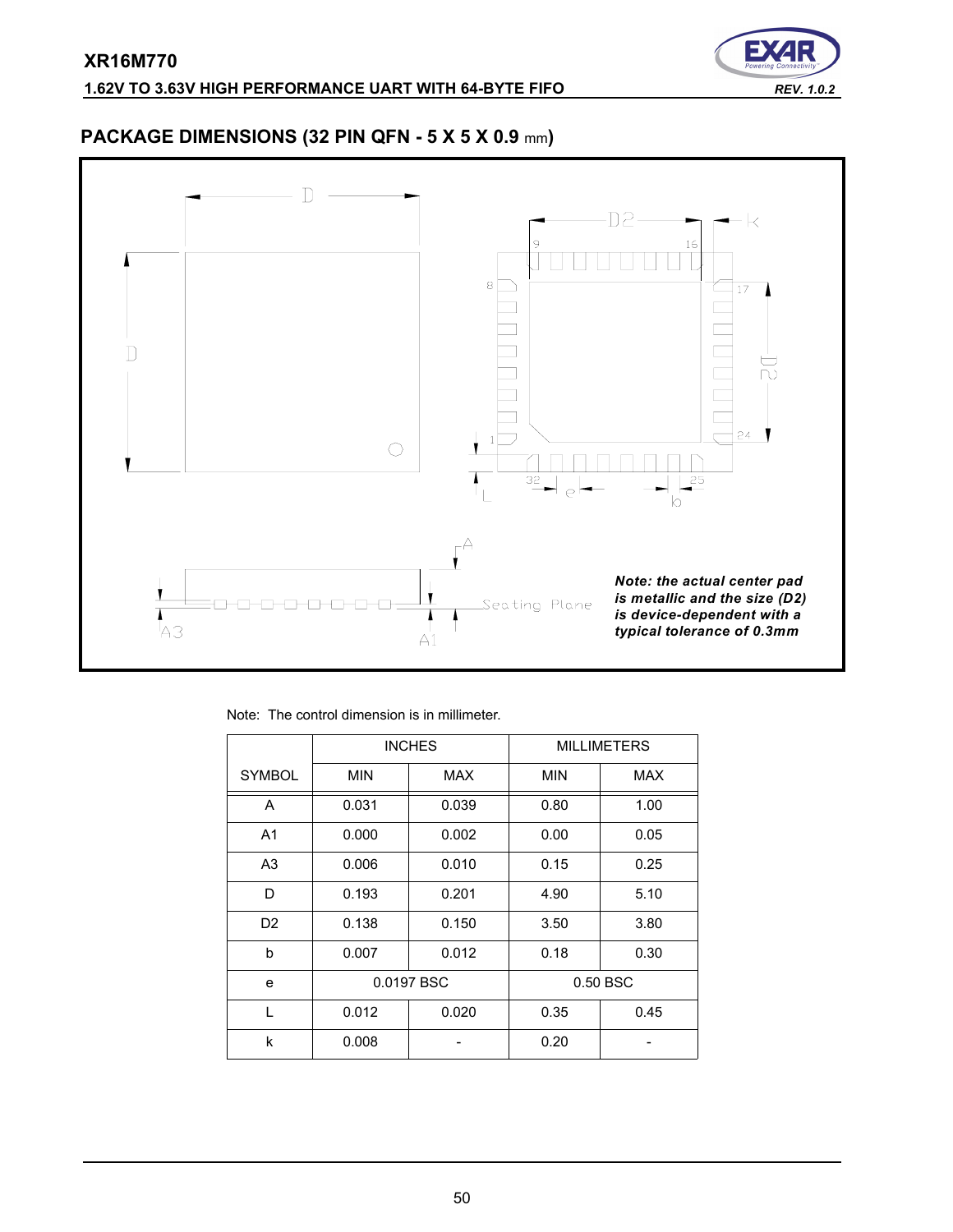

# **PACKAGE DIMENSIONS (32 PIN QFN - 5 X 5 X 0.9** mm**)**



Note: The control dimension is in millimeter.

|                |            | <b>INCHES</b> |            | <b>MILLIMETERS</b> |
|----------------|------------|---------------|------------|--------------------|
| <b>SYMBOL</b>  | <b>MIN</b> | MAX           | <b>MIN</b> | <b>MAX</b>         |
| A              | 0.031      | 0.039         | 0.80       | 1.00               |
| A <sub>1</sub> | 0.000      | 0.002         | 0.00       | 0.05               |
| A <sub>3</sub> | 0.006      | 0.010         | 0.15       | 0.25               |
| D              | 0.193      | 0.201         | 4.90       | 5.10               |
| D <sub>2</sub> | 0.138      | 0.150         | 3.50       | 3.80               |
| b              | 0.007      | 0.012         | 0.18       | 0.30               |
| e              | 0.0197 BSC |               |            | 0.50 BSC           |
| $\mathbf{L}$   | 0.012      | 0.020         | 0.35       | 0.45               |
| k              | 0.008      |               | 0.20       |                    |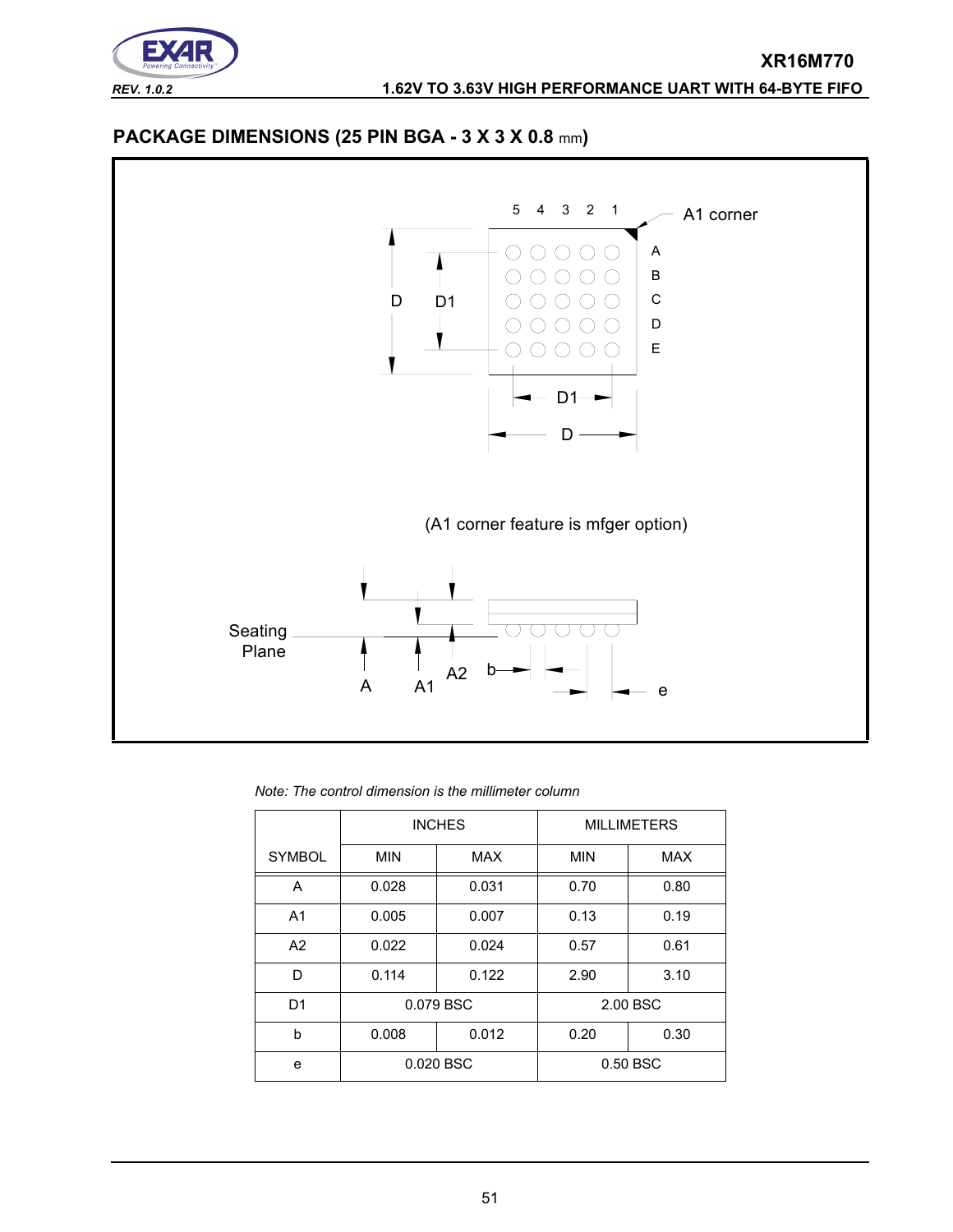





*Note: The control dimension is the millimeter column*

|                |                | <b>INCHES</b> |      | <b>MILLIMETERS</b> |
|----------------|----------------|---------------|------|--------------------|
| <b>SYMBOL</b>  | <b>MIN</b>     | <b>MAX</b>    |      | <b>MAX</b>         |
| A              | 0.031<br>0.028 |               | 0.70 | 0.80               |
| A <sub>1</sub> | 0.005          | 0.007         | 0.13 | 0.19               |
| A2             | 0.022          | 0.024         | 0.57 | 0.61               |
| D              | 0.114          | 0.122         | 2.90 | 3.10               |
| D <sub>1</sub> |                | 0.079 BSC     |      | 2.00 BSC           |
| h              | 0.012<br>0.008 |               | 0.20 | 0.30               |
| e              |                | 0.020 BSC     |      | 0.50 BSC           |